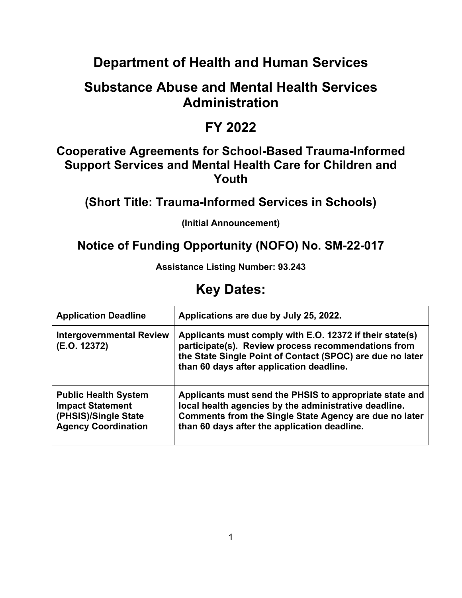# **Department of Health and Human Services**

# **Substance Abuse and Mental Health Services Administration**

## **FY 2022**

## **Cooperative Agreements for School-Based Trauma-Informed Support Services and Mental Health Care for Children and Youth**

**(Short Title: Trauma-Informed Services in Schools)**

**(Initial Announcement)**

## **Notice of Funding Opportunity (NOFO) No. SM-22-017**

**Assistance Listing Number: 93.243**

# **Key Dates:**

| <b>Application Deadline</b>                                                                                  | Applications are due by July 25, 2022.                                                                                                                                                                                     |
|--------------------------------------------------------------------------------------------------------------|----------------------------------------------------------------------------------------------------------------------------------------------------------------------------------------------------------------------------|
| <b>Intergovernmental Review</b><br>(E.O. 12372)                                                              | Applicants must comply with E.O. 12372 if their state(s)<br>participate(s). Review process recommendations from<br>the State Single Point of Contact (SPOC) are due no later<br>than 60 days after application deadline.   |
| <b>Public Health System</b><br><b>Impact Statement</b><br>(PHSIS)/Single State<br><b>Agency Coordination</b> | Applicants must send the PHSIS to appropriate state and<br>local health agencies by the administrative deadline.<br>Comments from the Single State Agency are due no later<br>than 60 days after the application deadline. |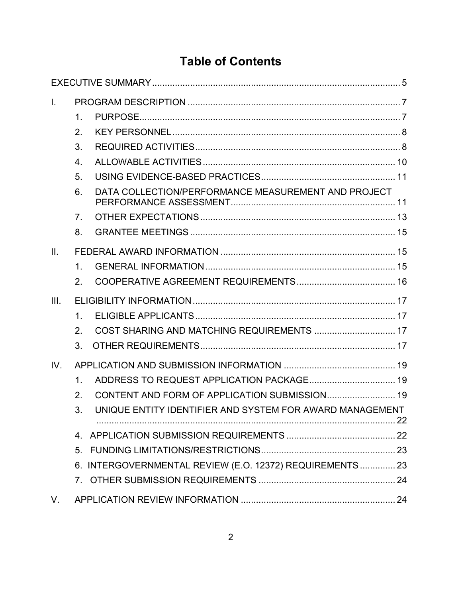# **Table of Contents**

| $\mathbf{L}$ |                  |                                                          |  |
|--------------|------------------|----------------------------------------------------------|--|
|              | 1.               |                                                          |  |
|              | 2.               |                                                          |  |
|              | 3.               |                                                          |  |
|              | $\overline{4}$ . |                                                          |  |
|              | 5.               |                                                          |  |
|              | 6.               | DATA COLLECTION/PERFORMANCE MEASUREMENT AND PROJECT      |  |
|              | 7 <sub>1</sub>   |                                                          |  |
|              | 8.               |                                                          |  |
| II.          |                  |                                                          |  |
|              | 1.               |                                                          |  |
|              | 2.               |                                                          |  |
| III.         |                  |                                                          |  |
|              | 1.               |                                                          |  |
|              | 2.               | COST SHARING AND MATCHING REQUIREMENTS  17               |  |
|              | 3.               |                                                          |  |
| IV.          |                  |                                                          |  |
|              | 1.               | ADDRESS TO REQUEST APPLICATION PACKAGE 19                |  |
|              | 2.               | CONTENT AND FORM OF APPLICATION SUBMISSION 19            |  |
|              | 3.               | UNIQUE ENTITY IDENTIFIER AND SYSTEM FOR AWARD MANAGEMENT |  |
|              |                  |                                                          |  |
|              | 5 <sub>1</sub>   |                                                          |  |
|              |                  | 6. INTERGOVERNMENTAL REVIEW (E.O. 12372) REQUIREMENTS 23 |  |
|              |                  |                                                          |  |
| V.           |                  |                                                          |  |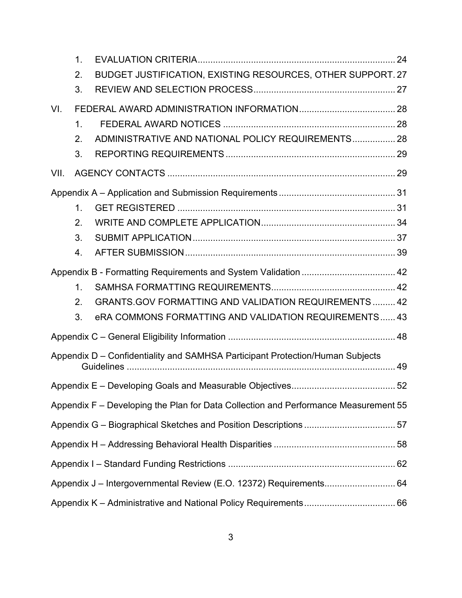|      | 1.            |                                                                                     |  |
|------|---------------|-------------------------------------------------------------------------------------|--|
|      | 2.            | BUDGET JUSTIFICATION, EXISTING RESOURCES, OTHER SUPPORT. 27                         |  |
|      | 3.            |                                                                                     |  |
| VI.  |               |                                                                                     |  |
|      | $\mathbf 1$ . |                                                                                     |  |
|      | 2.            | ADMINISTRATIVE AND NATIONAL POLICY REQUIREMENTS 28                                  |  |
|      | 3.            |                                                                                     |  |
| VII. |               |                                                                                     |  |
|      |               |                                                                                     |  |
|      | 1.            |                                                                                     |  |
|      | 2.            |                                                                                     |  |
|      | 3.            |                                                                                     |  |
|      | 4.            |                                                                                     |  |
|      |               | Appendix B - Formatting Requirements and System Validation  42                      |  |
|      | 1.            |                                                                                     |  |
|      | 2.            | <b>GRANTS.GOV FORMATTING AND VALIDATION REQUIREMENTS 42</b>                         |  |
|      | 3.            | eRA COMMONS FORMATTING AND VALIDATION REQUIREMENTS 43                               |  |
|      |               |                                                                                     |  |
|      |               | Appendix D - Confidentiality and SAMHSA Participant Protection/Human Subjects       |  |
|      |               |                                                                                     |  |
|      |               | Appendix F – Developing the Plan for Data Collection and Performance Measurement 55 |  |
|      |               |                                                                                     |  |
|      |               |                                                                                     |  |
|      |               |                                                                                     |  |
|      |               |                                                                                     |  |
|      |               |                                                                                     |  |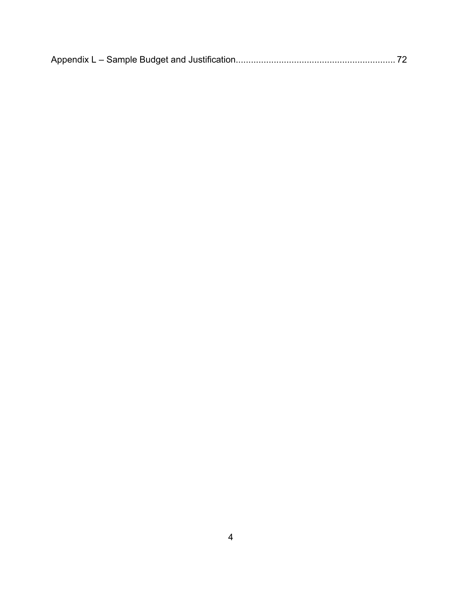|--|--|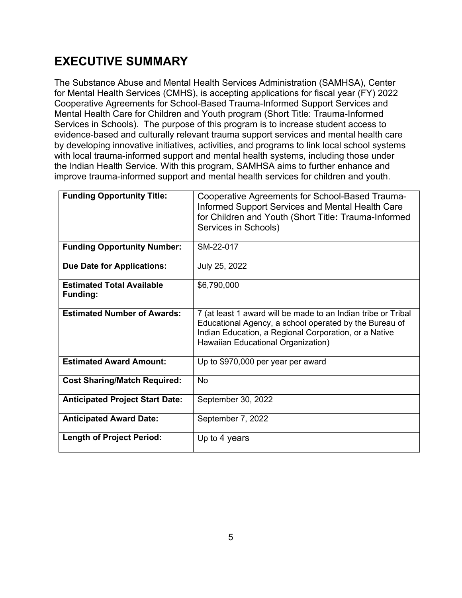# <span id="page-4-0"></span>**EXECUTIVE SUMMARY**

The Substance Abuse and Mental Health Services Administration (SAMHSA), Center for Mental Health Services (CMHS), is accepting applications for fiscal year (FY) 2022 Cooperative Agreements for School-Based Trauma-Informed Support Services and Mental Health Care for Children and Youth program (Short Title: Trauma-Informed Services in Schools).The purpose of this program is to increase student access to evidence-based and culturally relevant trauma support services and mental health care by developing innovative initiatives, activities, and programs to link local school systems with local trauma-informed support and mental health systems, including those under the Indian Health Service. With this program, SAMHSA aims to further enhance and improve trauma-informed support and mental health services for children and youth.

| <b>Funding Opportunity Title:</b>                   | Cooperative Agreements for School-Based Trauma-<br>Informed Support Services and Mental Health Care<br>for Children and Youth (Short Title: Trauma-Informed<br>Services in Schools)                                    |
|-----------------------------------------------------|------------------------------------------------------------------------------------------------------------------------------------------------------------------------------------------------------------------------|
| <b>Funding Opportunity Number:</b>                  | SM-22-017                                                                                                                                                                                                              |
| <b>Due Date for Applications:</b>                   | July 25, 2022                                                                                                                                                                                                          |
| <b>Estimated Total Available</b><br><b>Funding:</b> | \$6,790,000                                                                                                                                                                                                            |
| <b>Estimated Number of Awards:</b>                  | 7 (at least 1 award will be made to an Indian tribe or Tribal<br>Educational Agency, a school operated by the Bureau of<br>Indian Education, a Regional Corporation, or a Native<br>Hawaiian Educational Organization) |
| <b>Estimated Award Amount:</b>                      | Up to \$970,000 per year per award                                                                                                                                                                                     |
| <b>Cost Sharing/Match Required:</b>                 | No                                                                                                                                                                                                                     |
| <b>Anticipated Project Start Date:</b>              | September 30, 2022                                                                                                                                                                                                     |
| <b>Anticipated Award Date:</b>                      | September 7, 2022                                                                                                                                                                                                      |
| <b>Length of Project Period:</b>                    | Up to 4 years                                                                                                                                                                                                          |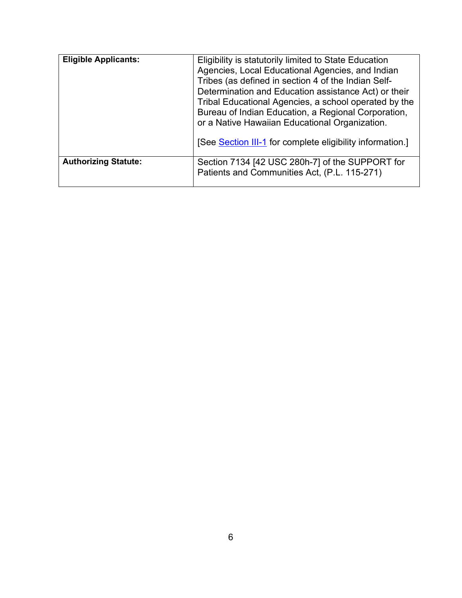| <b>Eligible Applicants:</b> | Eligibility is statutorily limited to State Education<br>Agencies, Local Educational Agencies, and Indian<br>Tribes (as defined in section 4 of the Indian Self-<br>Determination and Education assistance Act) or their<br>Tribal Educational Agencies, a school operated by the<br>Bureau of Indian Education, a Regional Corporation,<br>or a Native Hawaiian Educational Organization.<br>[See Section III-1 for complete eligibility information.] |
|-----------------------------|---------------------------------------------------------------------------------------------------------------------------------------------------------------------------------------------------------------------------------------------------------------------------------------------------------------------------------------------------------------------------------------------------------------------------------------------------------|
| <b>Authorizing Statute:</b> | Section 7134 [42 USC 280h-7] of the SUPPORT for<br>Patients and Communities Act, (P.L. 115-271)                                                                                                                                                                                                                                                                                                                                                         |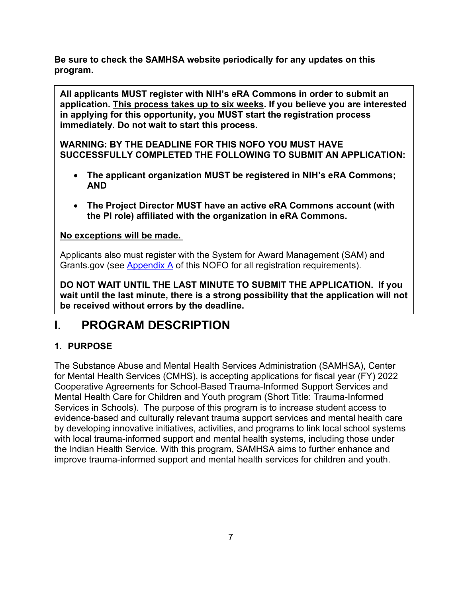**Be sure to check the SAMHSA website periodically for any updates on this program.**

**All applicants MUST register with NIH's eRA Commons in order to submit an application. This process takes up to six weeks. If you believe you are interested in applying for this opportunity, you MUST start the registration process immediately. Do not wait to start this process.** 

**WARNING: BY THE DEADLINE FOR THIS NOFO YOU MUST HAVE SUCCESSFULLY COMPLETED THE FOLLOWING TO SUBMIT AN APPLICATION:**

- **The applicant organization MUST be registered in NIH's eRA Commons; AND**
- **The Project Director MUST have an active eRA Commons account (with the PI role) affiliated with the organization in eRA Commons.**

## **No exceptions will be made.**

Applicants also must register with the System for Award Management (SAM) and Grants.gov (see [Appendix A](#page-30-1) of this NOFO for all registration requirements).

**DO NOT WAIT UNTIL THE LAST MINUTE TO SUBMIT THE APPLICATION. If you wait until the last minute, there is a strong possibility that the application will not be received without errors by the deadline.** 

## <span id="page-6-0"></span>**I. PROGRAM DESCRIPTION**

## <span id="page-6-1"></span>**1. PURPOSE**

The Substance Abuse and Mental Health Services Administration (SAMHSA), Center for Mental Health Services (CMHS), is accepting applications for fiscal year (FY) 2022 Cooperative Agreements for School-Based Trauma-Informed Support Services and Mental Health Care for Children and Youth program (Short Title: Trauma-Informed Services in Schools).The purpose of this program is to increase student access to evidence-based and culturally relevant trauma support services and mental health care by developing innovative initiatives, activities, and programs to link local school systems with local trauma-informed support and mental health systems, including those under the Indian Health Service. With this program, SAMHSA aims to further enhance and improve trauma-informed support and mental health services for children and youth.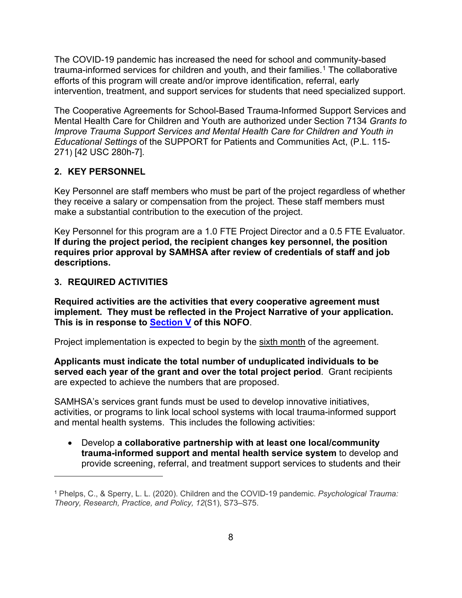The COVID-19 pandemic has increased the need for school and community-based trauma-informed services for children and youth, and their families.<sup>1</sup> The collaborative efforts of this program will create and/or improve identification, referral, early intervention, treatment, and support services for students that need specialized support.

The Cooperative Agreements for School-Based Trauma-Informed Support Services and Mental Health Care for Children and Youth are authorized under Section 7134 *Grants to Improve Trauma Support Services and Mental Health Care for Children and Youth in Educational Settings* of the SUPPORT for Patients and Communities Act, (P.L. 115- 271) [42 USC 280h-7]*.* 

#### <span id="page-7-0"></span>**2. KEY PERSONNEL**

Key Personnel are staff members who must be part of the project regardless of whether they receive a salary or compensation from the project. These staff members must make a substantial contribution to the execution of the project.

Key Personnel for this program are a 1.0 FTE Project Director and a 0.5 FTE Evaluator. **If during the project period, the recipient changes key personnel, the position requires prior approval by SAMHSA after review of credentials of staff and job descriptions.**

#### <span id="page-7-1"></span>**3. REQUIRED ACTIVITIES**

**Required activities are the activities that every cooperative agreement must implement. They must be reflected in the Project Narrative of your application. This is in response to [Section V](#page-23-3) of this NOFO**.

Project implementation is expected to begin by the sixth month of the agreement.

**Applicants must indicate the total number of unduplicated individuals to be served each year of the grant and over the total project period**. Grant recipients are expected to achieve the numbers that are proposed.

SAMHSA's services grant funds must be used to develop innovative initiatives, activities, or programs to link local school systems with local trauma-informed support and mental health systems. This includes the following activities:

• Develop **a collaborative partnership with at least one local/community trauma-informed support and mental health service system** to develop and provide screening, referral, and treatment support services to students and their

<span id="page-7-2"></span><sup>1</sup> Phelps, C., & Sperry, L. L. (2020). Children and the COVID-19 pandemic. *Psychological Trauma: Theory, Research, Practice, and Policy, 12*(S1), S73–S75.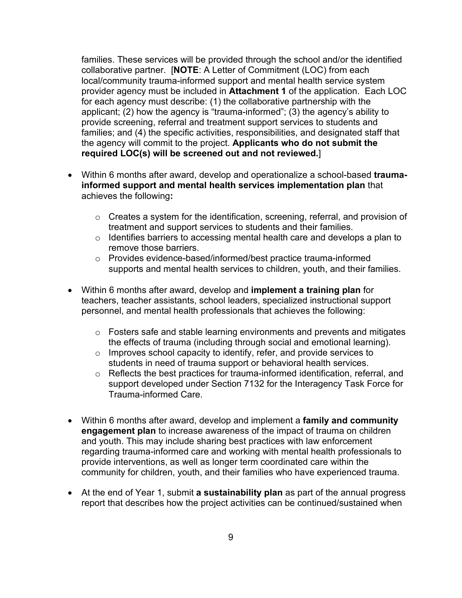families. These services will be provided through the school and/or the identified collaborative partner. [**NOTE**: A Letter of Commitment (LOC) from each local/community trauma-informed support and mental health service system provider agency must be included in **Attachment 1** of the application. Each LOC for each agency must describe: (1) the collaborative partnership with the applicant; (2) how the agency is "trauma-informed"; (3) the agency's ability to provide screening, referral and treatment support services to students and families; and (4) the specific activities, responsibilities, and designated staff that the agency will commit to the project. **Applicants who do not submit the required LOC(s) will be screened out and not reviewed.**]

- Within 6 months after award, develop and operationalize a school-based **traumainformed support and mental health services implementation plan** that achieves the following**:**
	- o Creates a system for the identification, screening, referral, and provision of treatment and support services to students and their families.
	- $\circ$  Identifies barriers to accessing mental health care and develops a plan to remove those barriers.
	- o Provides evidence-based/informed/best practice trauma-informed supports and mental health services to children, youth, and their families.
- Within 6 months after award, develop and **implement a training plan** for teachers, teacher assistants, school leaders, specialized instructional support personnel, and mental health professionals that achieves the following:
	- $\circ$  Fosters safe and stable learning environments and prevents and mitigates the effects of trauma (including through social and emotional learning).
	- $\circ$  Improves school capacity to identify, refer, and provide services to students in need of trauma support or behavioral health services.
	- o Reflects the best practices for trauma-informed identification, referral, and support developed under Section 7132 for the Interagency Task Force for Trauma-informed Care.
- Within 6 months after award, develop and implement a **family and community engagement plan** to increase awareness of the impact of trauma on children and youth. This may include sharing best practices with law enforcement regarding trauma-informed care and working with mental health professionals to provide interventions, as well as longer term coordinated care within the community for children, youth, and their families who have experienced trauma.
- At the end of Year 1, submit **a sustainability plan** as part of the annual progress report that describes how the project activities can be continued/sustained when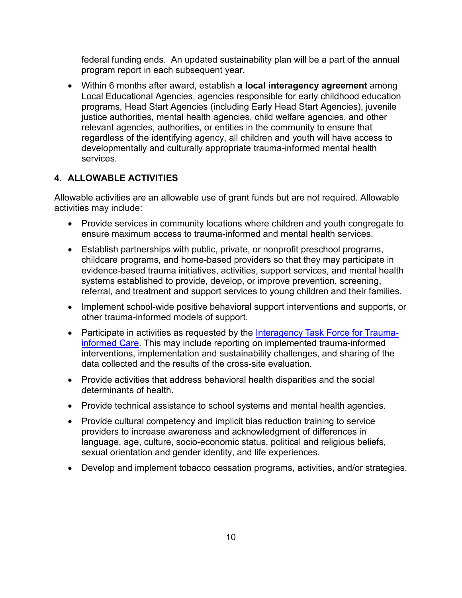federal funding ends. An updated sustainability plan will be a part of the annual program report in each subsequent year.

• Within 6 months after award, establish **a local interagency agreement** among Local Educational Agencies, agencies responsible for early childhood education programs, Head Start Agencies (including Early Head Start Agencies), juvenile justice authorities, mental health agencies, child welfare agencies, and other relevant agencies, authorities, or entities in the community to ensure that regardless of the identifying agency, all children and youth will have access to developmentally and culturally appropriate trauma-informed mental health services.

#### <span id="page-9-0"></span>**4. ALLOWABLE ACTIVITIES**

Allowable activities are an allowable use of grant funds but are not required. Allowable activities may include:

- Provide services in community locations where children and youth congregate to ensure maximum access to trauma-informed and mental health services.
- Establish partnerships with public, private, or nonprofit preschool programs, childcare programs, and home-based providers so that they may participate in evidence-based trauma initiatives, activities, support services, and mental health systems established to provide, develop, or improve prevention, screening, referral, and treatment and support services to young children and their families.
- Implement school-wide positive behavioral support interventions and supports, or other trauma-informed models of support.
- Participate in activities as requested by the [Interagency Task Force for Trauma](https://www.samhsa.gov/trauma-informed-care)[informed Care.](https://www.samhsa.gov/trauma-informed-care) This may include reporting on implemented trauma-informed interventions, implementation and sustainability challenges, and sharing of the data collected and the results of the cross-site evaluation.
- Provide activities that address behavioral health disparities and the social determinants of health.
- Provide technical assistance to school systems and mental health agencies.
- Provide cultural competency and implicit bias reduction training to service providers to increase awareness and acknowledgment of differences in language, age, culture, socio-economic status, political and religious beliefs, sexual orientation and gender identity, and life experiences.
- Develop and implement tobacco cessation programs, activities, and/or strategies.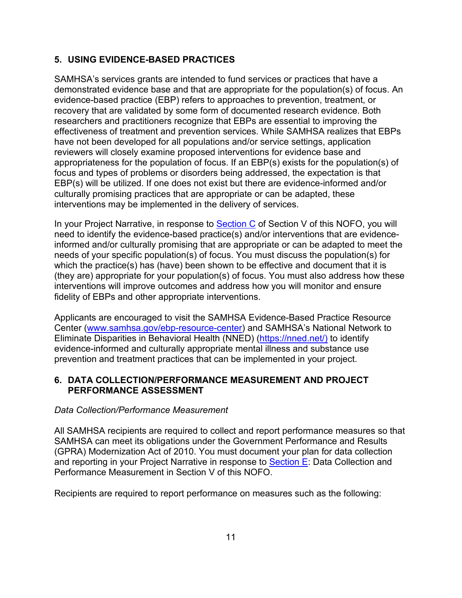## <span id="page-10-0"></span>**5. USING EVIDENCE-BASED PRACTICES**

SAMHSA's services grants are intended to fund services or practices that have a demonstrated evidence base and that are appropriate for the population(s) of focus. An evidence-based practice (EBP) refers to approaches to prevention, treatment, or recovery that are validated by some form of documented research evidence. Both researchers and practitioners recognize that EBPs are essential to improving the effectiveness of treatment and prevention services. While SAMHSA realizes that EBPs have not been developed for all populations and/or service settings, application reviewers will closely examine proposed interventions for evidence base and appropriateness for the population of focus. If an EBP(s) exists for the population(s) of focus and types of problems or disorders being addressed, the expectation is that EBP(s) will be utilized. If one does not exist but there are evidence-informed and/or culturally promising practices that are appropriate or can be adapted, these interventions may be implemented in the delivery of services.

In your Project Narrative, in response to **[Section C](#page-25-0)** of Section V of this NOFO, you will need to identify the evidence-based practice(s) and/or interventions that are evidenceinformed and/or culturally promising that are appropriate or can be adapted to meet the needs of your specific population(s) of focus. You must discuss the population(s) for which the practice(s) has (have) been shown to be effective and document that it is (they are) appropriate for your population(s) of focus. You must also address how these interventions will improve outcomes and address how you will monitor and ensure fidelity of EBPs and other appropriate interventions.

Applicants are encouraged to visit the SAMHSA Evidence-Based Practice Resource Center [\(www.samhsa.gov/ebp-resource-center\)](http://www.samhsa.gov/ebp-resource-center) and SAMHSA's National Network to Eliminate Disparities in Behavioral Health (NNED) [\(https://nned.net/\)](https://nned.net/) to identify evidence-informed and culturally appropriate mental illness and substance use prevention and treatment practices that can be implemented in your project.

#### <span id="page-10-1"></span>**6. DATA COLLECTION/PERFORMANCE MEASUREMENT AND PROJECT PERFORMANCE ASSESSMENT**

#### *Data Collection/Performance Measurement*

All SAMHSA recipients are required to collect and report performance measures so that SAMHSA can meet its obligations under the Government Performance and Results (GPRA) Modernization Act of 2010. You must document your plan for data collection and reporting in your Project Narrative in response to [Section E:](#page-25-1) Data Collection and Performance Measurement in Section V of this NOFO.

Recipients are required to report performance on measures such as the following: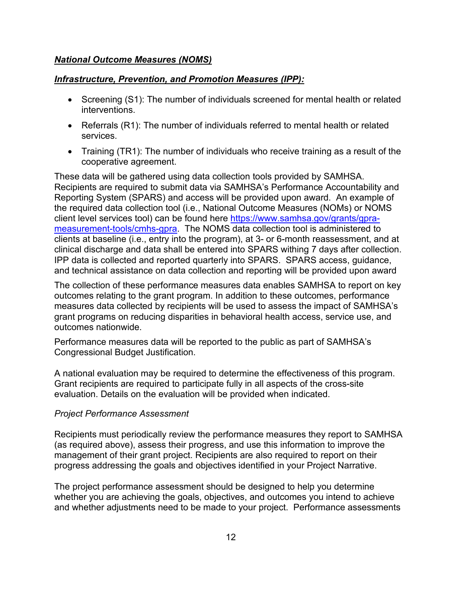#### *National Outcome Measures (NOMS)*

#### *Infrastructure, Prevention, and Promotion Measures (IPP):*

- Screening (S1): The number of individuals screened for mental health or related interventions.
- Referrals (R1): The number of individuals referred to mental health or related services.
- Training (TR1): The number of individuals who receive training as a result of the cooperative agreement.

These data will be gathered using data collection tools provided by SAMHSA. Recipients are required to submit data via SAMHSA's Performance Accountability and Reporting System (SPARS) and access will be provided upon award. An example of the required data collection tool (i.e., National Outcome Measures (NOMs) or NOMS client level services tool) can be found here [https://www.samhsa.gov/grants/gpra](https://www.samhsa.gov/grants/gpra-measurement-tools/cmhs-gpra)[measurement-tools/cmhs-gpra.](https://www.samhsa.gov/grants/gpra-measurement-tools/cmhs-gpra) The NOMS data collection tool is administered to clients at baseline (i.e., entry into the program), at 3- or 6-month reassessment, and at clinical discharge and data shall be entered into SPARS withing 7 days after collection. IPP data is collected and reported quarterly into SPARS. SPARS access, guidance, and technical assistance on data collection and reporting will be provided upon award

The collection of these performance measures data enables SAMHSA to report on key outcomes relating to the grant program. In addition to these outcomes, performance measures data collected by recipients will be used to assess the impact of SAMHSA's grant programs on reducing disparities in behavioral health access, service use, and outcomes nationwide.

Performance measures data will be reported to the public as part of SAMHSA's Congressional Budget Justification.

A national evaluation may be required to determine the effectiveness of this program. Grant recipients are required to participate fully in all aspects of the cross-site evaluation. Details on the evaluation will be provided when indicated.

#### *Project Performance Assessment*

Recipients must periodically review the performance measures they report to SAMHSA (as required above), assess their progress, and use this information to improve the management of their grant project. Recipients are also required to report on their progress addressing the goals and objectives identified in your Project Narrative.

The project performance assessment should be designed to help you determine whether you are achieving the goals, objectives, and outcomes you intend to achieve and whether adjustments need to be made to your project. Performance assessments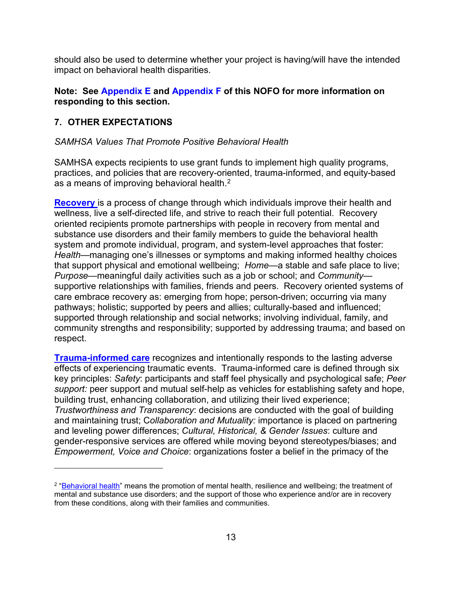should also be used to determine whether your project is having/will have the intended impact on behavioral health disparities.

#### **Note: See [Appendix E](#page-51-0) and [Appendix F](#page-54-0) of this NOFO for more information on responding to this section.**

#### <span id="page-12-0"></span>**7. OTHER EXPECTATIONS**

#### *SAMHSA Values That Promote Positive Behavioral Health*

SAMHSA expects recipients to use grant funds to implement high quality programs, practices, and policies that are recovery-oriented, trauma-informed, and equity-based as a means of improving behavioral health.<sup>2</sup>

**[Recovery](https://store.samhsa.gov/sites/default/files/d7/priv/pep12-recdef.pdf)** is a process of change through which individuals improve their health and wellness, live a self-directed life, and strive to reach their full potential. Recovery oriented recipients promote partnerships with people in recovery from mental and substance use disorders and their family members to guide the behavioral health system and promote individual, program, and system-level approaches that foster: *Health*—managing one's illnesses or symptoms and making informed healthy choices that support physical and emotional wellbeing; *Home*—a stable and safe place to live; *Purpose*—meaningful daily activities such as a job or school; and *Community* supportive relationships with families, friends and peers. Recovery oriented systems of care embrace recovery as: emerging from hope; person-driven; occurring via many pathways; holistic; supported by peers and allies; culturally-based and influenced; supported through relationship and social networks; involving individual, family, and community strengths and responsibility; supported by addressing trauma; and based on respect.

**[Trauma-informed care](https://ncsacw.samhsa.gov/userfiles/files/SAMHSA_Trauma.pdf)** recognizes and intentionally responds to the lasting adverse effects of experiencing traumatic events. Trauma-informed care is defined through six key principles: *Safety*: participants and staff feel physically and psychological safe; *Peer support:* peer support and mutual self-help as vehicles for establishing safety and hope, building trust, enhancing collaboration, and utilizing their lived experience; *Trustworthiness and Transparency*: decisions are conducted with the goal of building and maintaining trust; C*ollaboration and Mutuality:* importance is placed on partnering and leveling power differences; *Cultural, Historical, & Gender Issues*: culture and gender-responsive services are offered while moving beyond stereotypes/biases; and *Empowerment, Voice and Choice*: organizations foster a belief in the primacy of the

<span id="page-12-1"></span><sup>&</sup>lt;sup>2</sup> ["Behavioral health"](https://www.samhsa.gov/sites/default/files/samhsa-behavioral-health-integration.pdf) means the promotion of mental health, resilience and wellbeing; the treatment of mental and substance use disorders; and the support of those who experience and/or are in recovery from these conditions, along with their families and communities.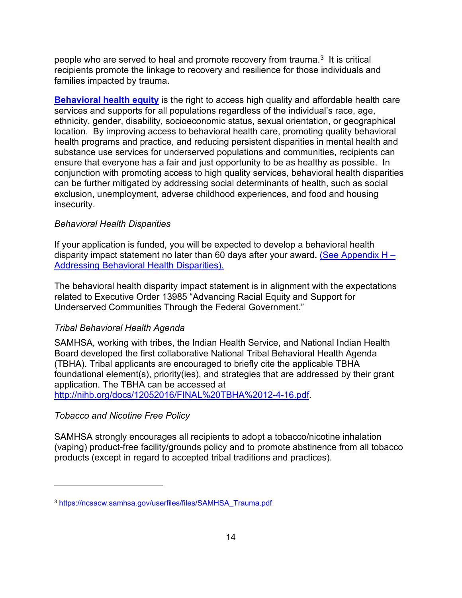people who are served to heal and promote recovery from trauma. $3$  It is critical recipients promote the linkage to recovery and resilience for those individuals and families impacted by trauma.

**[Behavioral health equity](https://www.samhsa.gov/behavioral-health-equity)** is the right to access high quality and affordable health care services and supports for all populations regardless of the individual's race, age, ethnicity, gender, disability, socioeconomic status, sexual orientation, or geographical location. By improving access to behavioral health care, promoting quality behavioral health programs and practice, and reducing persistent disparities in mental health and substance use services for underserved populations and communities, recipients can ensure that everyone has a fair and just opportunity to be as healthy as possible. In conjunction with promoting access to high quality services, behavioral health disparities can be further mitigated by addressing social determinants of health, such as social exclusion, unemployment, adverse childhood experiences, and food and housing insecurity.

#### *Behavioral Health Disparities*

If your application is funded, you will be expected to develop a behavioral health disparity impact statement no later than 60 days after your award**.** [\(See Appendix H –](file://pklnfs01/SAMHSA_Apps/SAMHSA_App1/Share/shardata/OPAC/RFAs/RFAs/FY%202022%20FOAs/CMS%20Project%20-%20Nursing%20homes%20TA%20Center/NOFO/CoE%20Nursing%20Facilities%20NOFO%20to%20OAS%204.7.2022.docx#_Appendix_H_%E2%80%93) [Addressing Behavioral Health Disparities\).](file://pklnfs01/SAMHSA_Apps/SAMHSA_App1/Share/shardata/OPAC/RFAs/RFAs/FY%202022%20FOAs/CMS%20Project%20-%20Nursing%20homes%20TA%20Center/NOFO/CoE%20Nursing%20Facilities%20NOFO%20to%20OAS%204.7.2022.docx#_Appendix_H_%E2%80%93) 

The behavioral health disparity impact statement is in alignment with the expectations related to Executive Order 13985 "Advancing Racial Equity and Support for Underserved Communities Through the Federal Government."

#### *Tribal Behavioral Health Agenda*

SAMHSA, working with tribes, the Indian Health Service, and National Indian Health Board developed the first collaborative National Tribal Behavioral Health Agenda (TBHA). Tribal applicants are encouraged to briefly cite the applicable TBHA foundational element(s), priority(ies), and strategies that are addressed by their grant application. The TBHA can be accessed at

[http://nihb.org/docs/12052016/FINAL%20TBHA%2012-4-16.pdf.](http://nihb.org/docs/12052016/FINAL%20TBHA%2012-4-16.pdf)

#### *Tobacco and Nicotine Free Policy*

SAMHSA strongly encourages all recipients to adopt a tobacco/nicotine inhalation (vaping) product-free facility/grounds policy and to promote abstinence from all tobacco products (except in regard to accepted tribal traditions and practices).

<span id="page-13-0"></span><sup>3</sup> [https://ncsacw.samhsa.gov/userfiles/files/SAMHSA\\_Trauma.pdf](https://ncsacw.samhsa.gov/userfiles/files/SAMHSA_Trauma.pdf)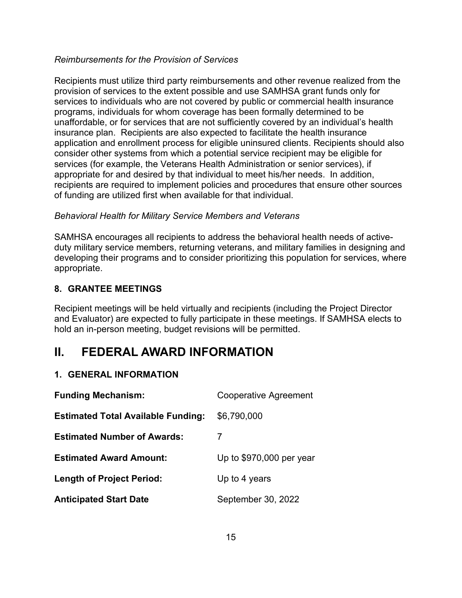#### *Reimbursements for the Provision of Services*

Recipients must utilize third party reimbursements and other revenue realized from the provision of services to the extent possible and use SAMHSA grant funds only for services to individuals who are not covered by public or commercial health insurance programs, individuals for whom coverage has been formally determined to be unaffordable, or for services that are not sufficiently covered by an individual's health insurance plan. Recipients are also expected to facilitate the health insurance application and enrollment process for eligible uninsured clients. Recipients should also consider other systems from which a potential service recipient may be eligible for services (for example, the Veterans Health Administration or senior services), if appropriate for and desired by that individual to meet his/her needs. In addition, recipients are required to implement policies and procedures that ensure other sources of funding are utilized first when available for that individual.

#### *Behavioral Health for Military Service Members and Veterans*

SAMHSA encourages all recipients to address the behavioral health needs of activeduty military service members, returning veterans, and military families in designing and developing their programs and to consider prioritizing this population for services, where appropriate.

#### <span id="page-14-0"></span>**8. GRANTEE MEETINGS**

Recipient meetings will be held virtually and recipients (including the Project Director and Evaluator) are expected to fully participate in these meetings. If SAMHSA elects to hold an in-person meeting, budget revisions will be permitted.

## <span id="page-14-1"></span>**II. FEDERAL AWARD INFORMATION**

#### <span id="page-14-2"></span>**1. GENERAL INFORMATION**

| <b>Funding Mechanism:</b>                 | <b>Cooperative Agreement</b> |
|-------------------------------------------|------------------------------|
| <b>Estimated Total Available Funding:</b> | \$6,790,000                  |
| <b>Estimated Number of Awards:</b>        |                              |
| <b>Estimated Award Amount:</b>            | Up to $$970,000$ per year    |
| <b>Length of Project Period:</b>          | Up to 4 years                |
| <b>Anticipated Start Date</b>             | September 30, 2022           |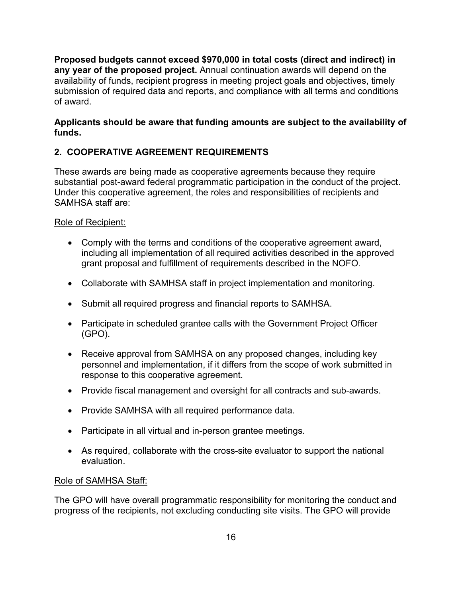**Proposed budgets cannot exceed \$970,000 in total costs (direct and indirect) in any year of the proposed project.** Annual continuation awards will depend on the availability of funds, recipient progress in meeting project goals and objectives, timely submission of required data and reports, and compliance with all terms and conditions of award.

#### **Applicants should be aware that funding amounts are subject to the availability of funds.**

## <span id="page-15-0"></span>**2. COOPERATIVE AGREEMENT REQUIREMENTS**

These awards are being made as cooperative agreements because they require substantial post-award federal programmatic participation in the conduct of the project. Under this cooperative agreement, the roles and responsibilities of recipients and SAMHSA staff are:

#### Role of Recipient:

- Comply with the terms and conditions of the cooperative agreement award, including all implementation of all required activities described in the approved grant proposal and fulfillment of requirements described in the NOFO.
- Collaborate with SAMHSA staff in project implementation and monitoring.
- Submit all required progress and financial reports to SAMHSA.
- Participate in scheduled grantee calls with the Government Project Officer (GPO).
- Receive approval from SAMHSA on any proposed changes, including key personnel and implementation, if it differs from the scope of work submitted in response to this cooperative agreement.
- Provide fiscal management and oversight for all contracts and sub-awards.
- Provide SAMHSA with all required performance data.
- Participate in all virtual and in-person grantee meetings.
- As required, collaborate with the cross-site evaluator to support the national evaluation.

#### Role of SAMHSA Staff:

The GPO will have overall programmatic responsibility for monitoring the conduct and progress of the recipients, not excluding conducting site visits. The GPO will provide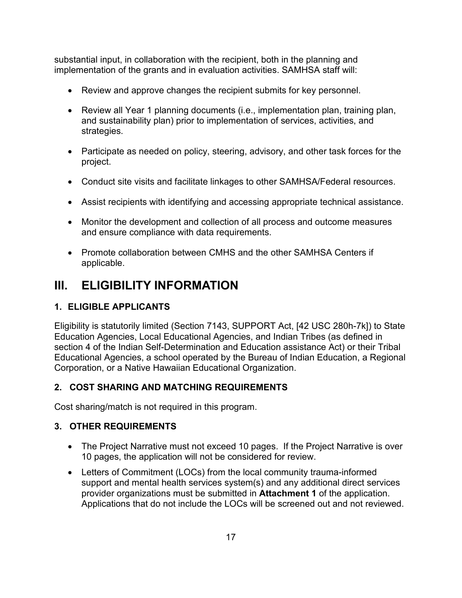substantial input, in collaboration with the recipient, both in the planning and implementation of the grants and in evaluation activities. SAMHSA staff will:

- Review and approve changes the recipient submits for key personnel.
- Review all Year 1 planning documents (i.e., implementation plan, training plan, and sustainability plan) prior to implementation of services, activities, and strategies.
- Participate as needed on policy, steering, advisory, and other task forces for the project.
- Conduct site visits and facilitate linkages to other SAMHSA/Federal resources.
- Assist recipients with identifying and accessing appropriate technical assistance.
- Monitor the development and collection of all process and outcome measures and ensure compliance with data requirements.
- Promote collaboration between CMHS and the other SAMHSA Centers if applicable.

# <span id="page-16-0"></span>**III. ELIGIBILITY INFORMATION**

## <span id="page-16-1"></span>**1. ELIGIBLE APPLICANTS**

Eligibility is statutorily limited (Section 7143, SUPPORT Act, [42 USC 280h-7k]) to State Education Agencies, Local Educational Agencies, and Indian Tribes (as defined in section 4 of the Indian Self-Determination and Education assistance Act) or their Tribal Educational Agencies, a school operated by the Bureau of Indian Education, a Regional Corporation, or a Native Hawaiian Educational Organization.

## <span id="page-16-2"></span>**2. COST SHARING AND MATCHING REQUIREMENTS**

Cost sharing/match is not required in this program.

## <span id="page-16-3"></span>**3. OTHER REQUIREMENTS**

- The Project Narrative must not exceed 10 pages. If the Project Narrative is over 10 pages, the application will not be considered for review.
- Letters of Commitment (LOCs) from the local community trauma-informed support and mental health services system(s) and any additional direct services provider organizations must be submitted in **Attachment 1** of the application. Applications that do not include the LOCs will be screened out and not reviewed.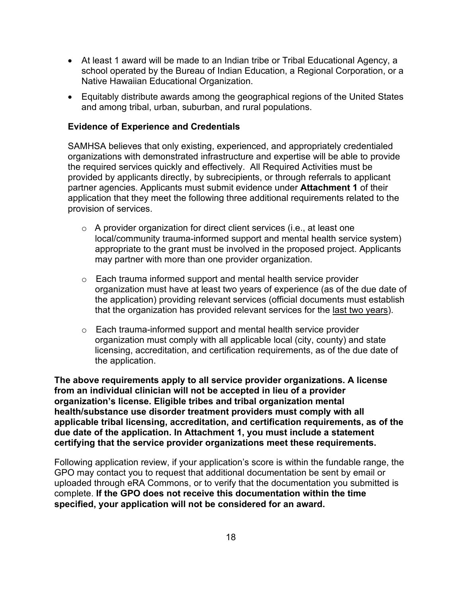- At least 1 award will be made to an Indian tribe or Tribal Educational Agency, a school operated by the Bureau of Indian Education, a Regional Corporation, or a Native Hawaiian Educational Organization.
- Equitably distribute awards among the geographical regions of the United States and among tribal, urban, suburban, and rural populations.

#### **Evidence of Experience and Credentials**

SAMHSA believes that only existing, experienced, and appropriately credentialed organizations with demonstrated infrastructure and expertise will be able to provide the required services quickly and effectively. All Required Activities must be provided by applicants directly, by subrecipients, or through referrals to applicant partner agencies. Applicants must submit evidence under **Attachment 1** of their application that they meet the following three additional requirements related to the provision of services.

- $\circ$  A provider organization for direct client services (i.e., at least one local/community trauma-informed support and mental health service system) appropriate to the grant must be involved in the proposed project. Applicants may partner with more than one provider organization.
- o Each trauma informed support and mental health service provider organization must have at least two years of experience (as of the due date of the application) providing relevant services (official documents must establish that the organization has provided relevant services for the last two years).
- o Each trauma-informed support and mental health service provider organization must comply with all applicable local (city, county) and state licensing, accreditation, and certification requirements, as of the due date of the application.

**The above requirements apply to all service provider organizations. A license from an individual clinician will not be accepted in lieu of a provider organization's license. Eligible tribes and tribal organization mental health/substance use disorder treatment providers must comply with all applicable tribal licensing, accreditation, and certification requirements, as of the due date of the application. In Attachment 1, you must include a statement certifying that the service provider organizations meet these requirements.**

Following application review, if your application's score is within the fundable range, the GPO may contact you to request that additional documentation be sent by email or uploaded through eRA Commons, or to verify that the documentation you submitted is complete. **If the GPO does not receive this documentation within the time specified, your application will not be considered for an award.**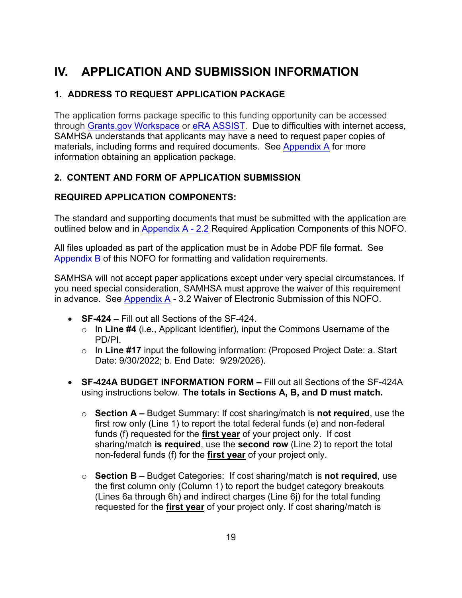# <span id="page-18-0"></span>**IV. APPLICATION AND SUBMISSION INFORMATION**

## <span id="page-18-1"></span>**1. ADDRESS TO REQUEST APPLICATION PACKAGE**

The application forms package specific to this funding opportunity can be accessed through [Grants.gov Workspace](https://www.grants.gov/applicants/workspace-overview.html) or [eRA ASSIST.](https://public.era.nih.gov/assist/public/login.era?TARGET=https%3A%2F%2Fpublic.era.nih.gov%3A443%2Fassist%2F) Due to difficulties with internet access, SAMHSA understands that applicants may have a need to request paper copies of materials, including forms and required documents. See [Appendix A](#page-33-1) for more information obtaining an application package.

## <span id="page-18-2"></span>**2. CONTENT AND FORM OF APPLICATION SUBMISSION**

## **REQUIRED APPLICATION COMPONENTS:**

The standard and supporting documents that must be submitted with the application are outlined below and in [Appendix A - 2.2](#page-33-0) Required Application Components of this NOFO.

All files uploaded as part of the application must be in Adobe PDF file format. See [Appendix B](#page-41-0) of this NOFO for formatting and validation requirements.

SAMHSA will not accept paper applications except under very special circumstances. If you need special consideration, SAMHSA must approve the waiver of this requirement in advance. See [Appendix A](#page-36-1) - 3.2 Waiver of Electronic Submission of this NOFO.

- **SF-424** Fill out all Sections of the SF-424.
	- o In **Line #4** (i.e., Applicant Identifier), input the Commons Username of the PD/PI.
	- o In **Line #17** input the following information: (Proposed Project Date: a. Start Date: 9/30/2022; b. End Date: 9/29/2026).
- **SF-424A BUDGET INFORMATION FORM** Fill out all Sections of the SF-424A using instructions below. **The totals in Sections A, B, and D must match.**
	- o **Section A** Budget Summary: If cost sharing/match is **not required**, use the first row only (Line 1) to report the total federal funds (e) and non-federal funds (f) requested for the **first year** of your project only. If cost sharing/match **is required**, use the **second row** (Line 2) to report the total non-federal funds (f) for the **first year** of your project only.
	- o **Section B** Budget Categories: If cost sharing/match is **not required**, use the first column only (Column 1) to report the budget category breakouts (Lines 6a through 6h) and indirect charges (Line 6j) for the total funding requested for the **first year** of your project only. If cost sharing/match is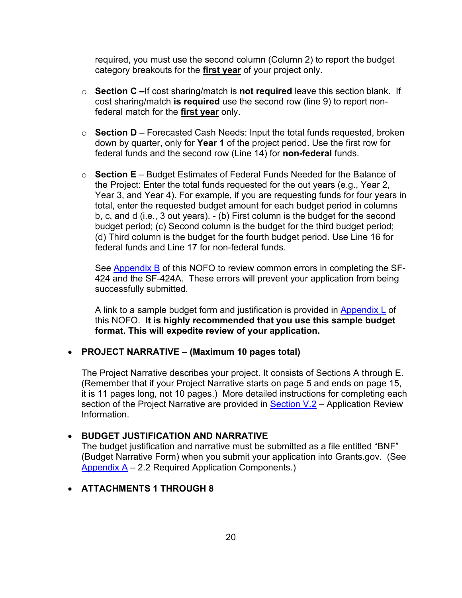required, you must use the second column (Column 2) to report the budget category breakouts for the **first year** of your project only.

- o **Section C –**If cost sharing/match is **not required** leave this section blank. If cost sharing/match **is required** use the second row (line 9) to report nonfederal match for the **first year** only.
- o **Section D** Forecasted Cash Needs: Input the total funds requested, broken down by quarter, only for **Year 1** of the project period. Use the first row for federal funds and the second row (Line 14) for **non-federal** funds.
- o **Section E** Budget Estimates of Federal Funds Needed for the Balance of the Project: Enter the total funds requested for the out years (e.g., Year 2, Year 3, and Year 4). For example, if you are requesting funds for four years in total, enter the requested budget amount for each budget period in columns b, c, and d (i.e., 3 out years). - (b) First column is the budget for the second budget period; (c) Second column is the budget for the third budget period; (d) Third column is the budget for the fourth budget period. Use Line 16 for federal funds and Line 17 for non-federal funds.

See [Appendix B](#page-41-0) of this NOFO to review common errors in completing the SF-424 and the SF-424A. These errors will prevent your application from being successfully submitted.

A link to a sample budget form and justification is provided in [Appendix L](#page-71-0) of this NOFO. **It is highly recommended that you use this sample budget format. This will expedite review of your application.**

#### • **PROJECT NARRATIVE** – **(Maximum 10 pages total)**

The Project Narrative describes your project. It consists of Sections A through E. (Remember that if your Project Narrative starts on page 5 and ends on page 15, it is 11 pages long, not 10 pages.) More detailed instructions for completing each section of the Project Narrative are provided in [Section V.](#page-23-3)2 – Application Review Information.

#### • **BUDGET JUSTIFICATION AND NARRATIVE**

The budget justification and narrative must be submitted as a file entitled "BNF" (Budget Narrative Form) when you submit your application into Grants.gov. (See [Appendix A](#page-33-2) – 2.2 Required Application Components.)

#### • **ATTACHMENTS 1 THROUGH 8**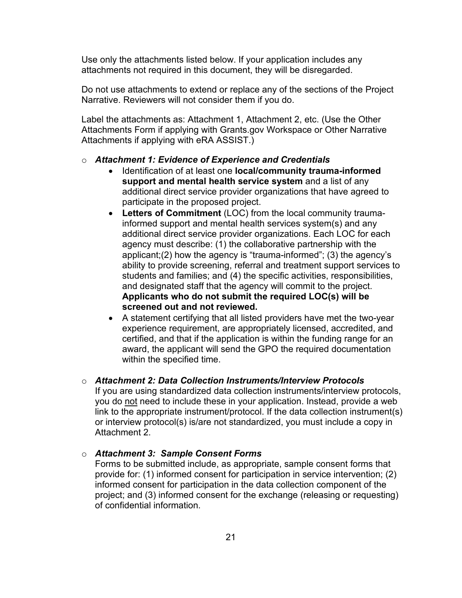Use only the attachments listed below. If your application includes any attachments not required in this document, they will be disregarded.

Do not use attachments to extend or replace any of the sections of the Project Narrative. Reviewers will not consider them if you do.

Label the attachments as: Attachment 1, Attachment 2, etc. (Use the Other Attachments Form if applying with Grants.gov Workspace or Other Narrative Attachments if applying with eRA ASSIST.)

# o *Attachment 1: Evidence of Experience and Credentials*

- Identification of at least one **local/community trauma-informed support and mental health service system** and a list of any additional direct service provider organizations that have agreed to participate in the proposed project.
- **Letters of Commitment** (LOC) from the local community traumainformed support and mental health services system(s) and any additional direct service provider organizations. Each LOC for each agency must describe: (1) the collaborative partnership with the applicant;(2) how the agency is "trauma-informed"; (3) the agency's ability to provide screening, referral and treatment support services to students and families; and (4) the specific activities, responsibilities, and designated staff that the agency will commit to the project. **Applicants who do not submit the required LOC(s) will be screened out and not reviewed.**
- A statement certifying that all listed providers have met the two-year experience requirement, are appropriately licensed, accredited, and certified, and that if the application is within the funding range for an award, the applicant will send the GPO the required documentation within the specified time.

#### o *Attachment 2: Data Collection Instruments/Interview Protocols*

If you are using standardized data collection instruments/interview protocols, you do not need to include these in your application. Instead, provide a web link to the appropriate instrument/protocol. If the data collection instrument(s) or interview protocol(s) is/are not standardized, you must include a copy in Attachment 2.

o *Attachment 3: Sample Consent Forms*

Forms to be submitted include, as appropriate, sample consent forms that provide for: (1) informed consent for participation in service intervention; (2) informed consent for participation in the data collection component of the project; and (3) informed consent for the exchange (releasing or requesting) of confidential information.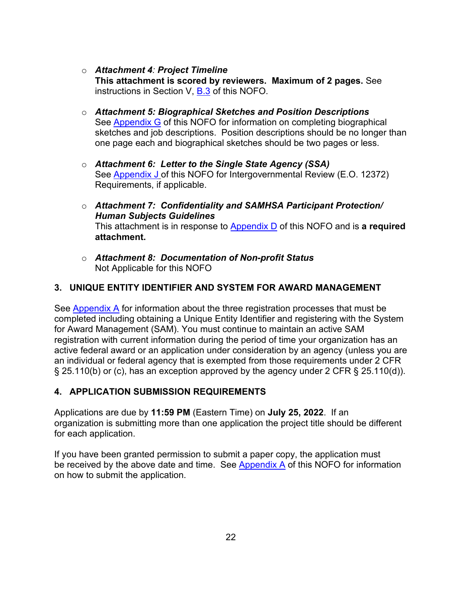o *Attachment 4: Project Timeline* 

**This attachment is scored by reviewers. Maximum of 2 pages.** See instructions in Section V, [B.3](#page-24-0) of this NOFO.

- o *Attachment 5: Biographical Sketches and Position Descriptions*  See [Appendix G](#page-56-0) of this NOFO for information on completing biographical sketches and job descriptions. Position descriptions should be no longer than one page each and biographical sketches should be two pages or less.
- o *Attachment 6: Letter to the Single State Agency (SSA)*  See [Appendix J](#page-63-0) of this NOFO for Intergovernmental Review (E.O. 12372) Requirements, if applicable.
- o *Attachment 7: Confidentiality and SAMHSA Participant Protection/ Human Subjects Guidelines* This attachment is in response to [Appendix](#page-48-0) D of this NOFO and is **a required attachment.**
- o *Attachment 8: Documentation of Non-profit Status*  Not Applicable for this NOFO

## <span id="page-21-0"></span>**3. UNIQUE ENTITY IDENTIFIER AND SYSTEM FOR AWARD MANAGEMENT**

See [Appendix A](#page-29-0) for information about the three registration processes that must be completed including obtaining a Unique Entity Identifier and registering with the System for Award Management (SAM). You must continue to maintain an active SAM registration with current information during the period of time your organization has an active federal award or an application under consideration by an agency (unless you are an individual or federal agency that is exempted from those requirements under 2 CFR § 25.110(b) or (c), has an exception approved by the agency under 2 CFR § 25.110(d)).

#### <span id="page-21-1"></span>**4. APPLICATION SUBMISSION REQUIREMENTS**

Applications are due by **11:59 PM** (Eastern Time) on **July 25, 2022**. If an organization is submitting more than one application the project title should be different for each application.

If you have been granted permission to submit a paper copy, the application must be received by the above date and time. See [Appendix A](#page-36-1) of this NOFO for information on how to submit the application.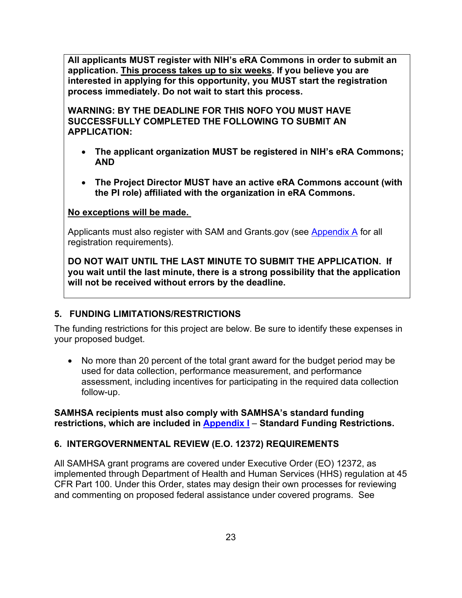**All applicants MUST register with NIH's eRA Commons in order to submit an application. This process takes up to six weeks. If you believe you are interested in applying for this opportunity, you MUST start the registration process immediately. Do not wait to start this process.** 

**WARNING: BY THE DEADLINE FOR THIS NOFO YOU MUST HAVE SUCCESSFULLY COMPLETED THE FOLLOWING TO SUBMIT AN APPLICATION:**

- **The applicant organization MUST be registered in NIH's eRA Commons; AND**
- **The Project Director MUST have an active eRA Commons account (with the PI role) affiliated with the organization in eRA Commons.**

#### **No exceptions will be made.**

Applicants must also register with SAM and Grants.gov (see [Appendix A](#page-29-0) for all registration requirements).

**DO NOT WAIT UNTIL THE LAST MINUTE TO SUBMIT THE APPLICATION. If you wait until the last minute, there is a strong possibility that the application will not be received without errors by the deadline.**

## <span id="page-22-0"></span>**5. FUNDING LIMITATIONS/RESTRICTIONS**

The funding restrictions for this project are below. Be sure to identify these expenses in your proposed budget.

• No more than 20 percent of the total grant award for the budget period may be used for data collection, performance measurement, and performance assessment, including incentives for participating in the required data collection follow-up.

#### **SAMHSA recipients must also comply with SAMHSA's standard funding restrictions, which are included in [Appendix I](#page-61-0)** – **Standard Funding Restrictions.**

## <span id="page-22-1"></span>**6. INTERGOVERNMENTAL REVIEW (E.O. 12372) REQUIREMENTS**

All SAMHSA grant programs are covered under Executive Order (EO) 12372, as implemented through Department of Health and Human Services (HHS) regulation at 45 CFR Part 100. Under this Order, states may design their own processes for reviewing and commenting on proposed federal assistance under covered programs. See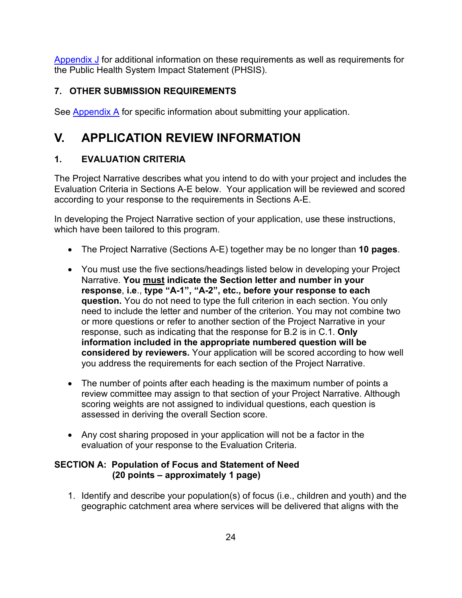[Appendix J](#page-63-0) for additional information on these requirements as well as requirements for the Public Health System Impact Statement (PHSIS).

## <span id="page-23-0"></span>**7. OTHER SUBMISSION REQUIREMENTS**

<span id="page-23-3"></span>See [Appendix A](#page-30-1) for specific information about submitting your application.

# <span id="page-23-1"></span>**V. APPLICATION REVIEW INFORMATION**

## <span id="page-23-2"></span>**1. EVALUATION CRITERIA**

The Project Narrative describes what you intend to do with your project and includes the Evaluation Criteria in Sections A-E below. Your application will be reviewed and scored according to your response to the requirements in Sections A-E.

In developing the Project Narrative section of your application, use these instructions, which have been tailored to this program.

- The Project Narrative (Sections A-E) together may be no longer than **10 pages**.
- You must use the five sections/headings listed below in developing your Project Narrative. **You must indicate the Section letter and number in your response**, **i.e**., **type "A-1", "A-2", etc., before your response to each question.** You do not need to type the full criterion in each section. You only need to include the letter and number of the criterion. You may not combine two or more questions or refer to another section of the Project Narrative in your response, such as indicating that the response for B.2 is in C.1. **Only information included in the appropriate numbered question will be considered by reviewers.** Your application will be scored according to how well you address the requirements for each section of the Project Narrative.
- The number of points after each heading is the maximum number of points a review committee may assign to that section of your Project Narrative. Although scoring weights are not assigned to individual questions, each question is assessed in deriving the overall Section score.
- Any cost sharing proposed in your application will not be a factor in the evaluation of your response to the Evaluation Criteria.

## **SECTION A: Population of Focus and Statement of Need (20 points – approximately 1 page)**

1. Identify and describe your population(s) of focus (i.e., children and youth) and the geographic catchment area where services will be delivered that aligns with the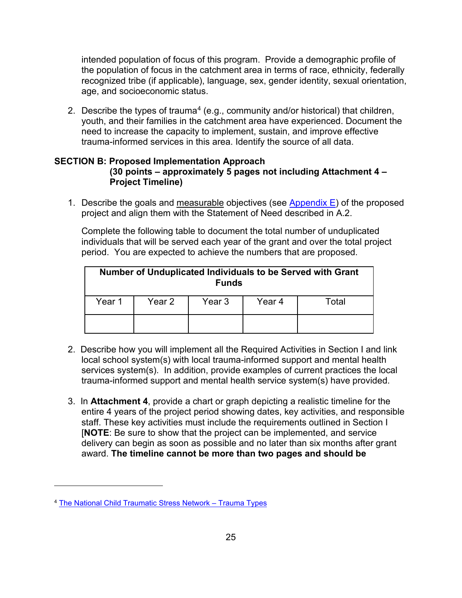intended population of focus of this program. Provide a demographic profile of the population of focus in the catchment area in terms of race, ethnicity, federally recognized tribe (if applicable), language, sex, gender identity, sexual orientation, age, and socioeconomic status.

2. Describe the types of trauma<sup>[4](#page-24-1)</sup> (e.g., community and/or historical) that children, youth, and their families in the catchment area have experienced. Document the need to increase the capacity to implement, sustain, and improve effective trauma-informed services in this area. Identify the source of all data.

#### <span id="page-24-0"></span>**SECTION B: Proposed Implementation Approach (30 points – approximately 5 pages not including Attachment 4 – Project Timeline)**

1. Describe the goals and measurable objectives (see Appendix  $E$ ) of the proposed project and align them with the Statement of Need described in A.2.

Complete the following table to document the total number of unduplicated individuals that will be served each year of the grant and over the total project period. You are expected to achieve the numbers that are proposed.

| Number of Unduplicated Individuals to be Served with Grant<br><b>Funds</b> |        |        |        |       |  |
|----------------------------------------------------------------------------|--------|--------|--------|-------|--|
| Year 1                                                                     | Year 2 | Year 3 | Year 4 | Total |  |
|                                                                            |        |        |        |       |  |

- 2. Describe how you will implement all the Required Activities in Section I and link local school system(s) with local trauma-informed support and mental health services system(s). In addition, provide examples of current practices the local trauma-informed support and mental health service system(s) have provided.
- 3. In **Attachment 4**, provide a chart or graph depicting a realistic timeline for the entire 4 years of the project period showing dates, key activities, and responsible staff. These key activities must include the requirements outlined in Section I [**NOTE**: Be sure to show that the project can be implemented, and service delivery can begin as soon as possible and no later than six months after grant award. **The timeline cannot be more than two pages and should be**

<span id="page-24-1"></span><sup>4</sup> [The National Child Traumatic Stress Network – Trauma Types](https://www.nctsn.org/what-is-child-trauma/trauma-types)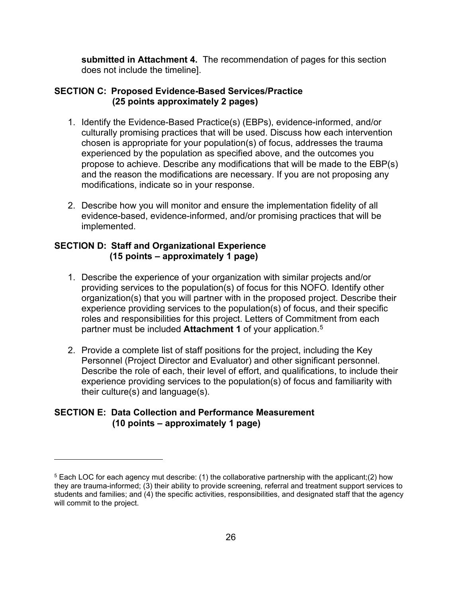**submitted in Attachment 4.** The recommendation of pages for this section does not include the timeline].

#### <span id="page-25-0"></span>**SECTION C: Proposed Evidence-Based Services/Practice (25 points approximately 2 pages)**

- 1. Identify the Evidence-Based Practice(s) (EBPs), evidence-informed, and/or culturally promising practices that will be used. Discuss how each intervention chosen is appropriate for your population(s) of focus, addresses the trauma experienced by the population as specified above, and the outcomes you propose to achieve. Describe any modifications that will be made to the EBP(s) and the reason the modifications are necessary. If you are not proposing any modifications, indicate so in your response.
- 2. Describe how you will monitor and ensure the implementation fidelity of all evidence-based, evidence-informed, and/or promising practices that will be implemented.

#### **SECTION D: Staff and Organizational Experience (15 points – approximately 1 page)**

- 1. Describe the experience of your organization with similar projects and/or providing services to the population(s) of focus for this NOFO. Identify other organization(s) that you will partner with in the proposed project. Describe their experience providing services to the population(s) of focus, and their specific roles and responsibilities for this project. Letters of Commitment from each partner must be included **Attachment 1** of your application.[5](#page-25-2)
- 2. Provide a complete list of staff positions for the project, including the Key Personnel (Project Director and Evaluator) and other significant personnel. Describe the role of each, their level of effort, and qualifications, to include their experience providing services to the population(s) of focus and familiarity with their culture(s) and language(s).

#### <span id="page-25-1"></span>**SECTION E: Data Collection and Performance Measurement (10 points – approximately 1 page)**

<span id="page-25-2"></span><sup>5</sup> Each LOC for each agency mut describe: (1) the collaborative partnership with the applicant;(2) how they are trauma-informed; (3) their ability to provide screening, referral and treatment support services to students and families; and (4) the specific activities, responsibilities, and designated staff that the agency will commit to the project.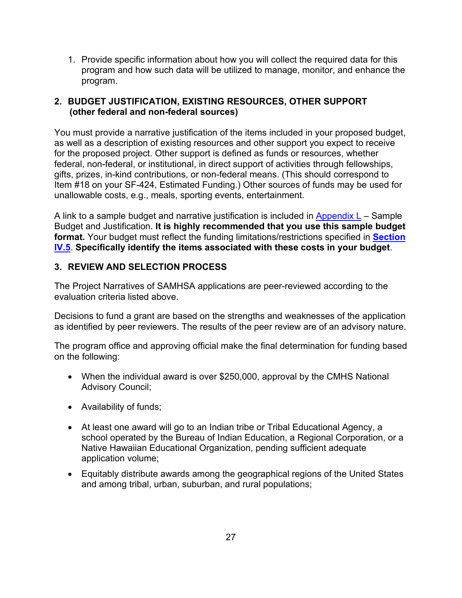1. Provide specific information about how you will collect the required data for this program and how such data will be utilized to manage, monitor, and enhance the program.

### <span id="page-26-0"></span>**2. BUDGET JUSTIFICATION, EXISTING RESOURCES, OTHER SUPPORT (other federal and non-federal sources)**

You must provide a narrative justification of the items included in your proposed budget, as well as a description of existing resources and other support you expect to receive for the proposed project. Other support is defined as funds or resources, whether federal, non-federal, or institutional, in direct support of activities through fellowships, gifts, prizes, in-kind contributions, or non-federal means. (This should correspond to Item #18 on your SF-424, Estimated Funding.) Other sources of funds may be used for unallowable costs, e.g., meals, sporting events, entertainment.

A link to a sample budget and narrative justification is included in [Appendix](#page-71-0)  $L -$  Sample Budget and Justification. **It is highly recommended that you use this sample budget format.** Your budget must reflect the funding limitations/restrictions specified in **[Section](#page-22-0)  [IV.5](#page-22-0)**. **Specifically identify the items associated with these costs in your budget**.

## <span id="page-26-1"></span>**3. REVIEW AND SELECTION PROCESS**

The Project Narratives of SAMHSA applications are peer-reviewed according to the evaluation criteria listed above.

Decisions to fund a grant are based on the strengths and weaknesses of the application as identified by peer reviewers. The results of the peer review are of an advisory nature.

The program office and approving official make the final determination for funding based on the following:

- When the individual award is over \$250,000, approval by the CMHS National Advisory Council;
- Availability of funds;
- At least one award will go to an Indian tribe or Tribal Educational Agency, a school operated by the Bureau of Indian Education, a Regional Corporation, or a Native Hawaiian Educational Organization, pending sufficient adequate application volume;
- Equitably distribute awards among the geographical regions of the United States and among tribal, urban, suburban, and rural populations;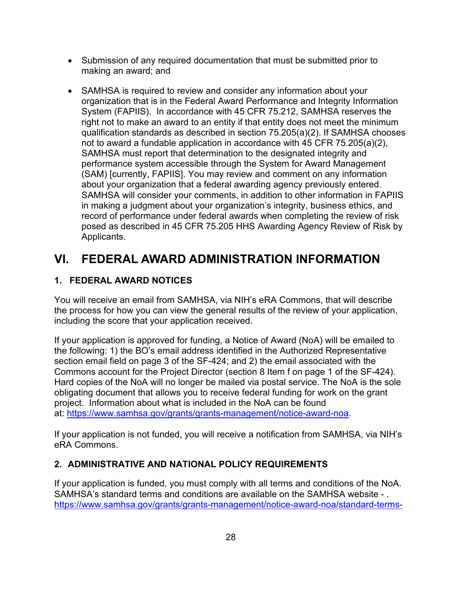- Submission of any required documentation that must be submitted prior to making an award; and
- SAMHSA is required to review and consider any information about your organization that is in the Federal Award Performance and Integrity Information System (FAPIIS). In accordance with 45 CFR 75.212, SAMHSA reserves the right not to make an award to an entity if that entity does not meet the minimum qualification standards as described in section 75.205(a)(2). If SAMHSA chooses not to award a fundable application in accordance with 45 CFR 75.205(a)(2), SAMHSA must report that determination to the designated integrity and performance system accessible through the System for Award Management (SAM) [currently, FAPIIS]. You may review and comment on any information about your organization that a federal awarding agency previously entered. SAMHSA will consider your comments, in addition to other information in FAPIIS in making a judgment about your organization's integrity, business ethics, and record of performance under federal awards when completing the review of risk posed as described in 45 CFR 75.205 HHS Awarding Agency Review of Risk by Applicants.

# <span id="page-27-0"></span>**VI. FEDERAL AWARD ADMINISTRATION INFORMATION**

## <span id="page-27-1"></span>**1. FEDERAL AWARD NOTICES**

You will receive an email from SAMHSA, via NIH's eRA Commons, that will describe the process for how you can view the general results of the review of your application, including the score that your application received.

If your application is approved for funding, a Notice of Award (NoA) will be emailed to the following: 1) the BO's email address identified in the Authorized Representative section email field on page 3 of the SF-424; and 2) the email associated with the Commons account for the Project Director (section 8 Item f on page 1 of the SF-424). Hard copies of the NoA will no longer be mailed via postal service. The NoA is the sole obligating document that allows you to receive federal funding for work on the grant project. Information about what is included in the NoA can be found at: [https://www.samhsa.gov/grants/grants-management/notice-award-noa.](https://www.samhsa.gov/grants/grants-management/notice-award-noa)

If your application is not funded, you will receive a notification from SAMHSA, via NIH's eRA Commons.

## <span id="page-27-2"></span>**2. ADMINISTRATIVE AND NATIONAL POLICY REQUIREMENTS**

If your application is funded, you must comply with all terms and conditions of the NoA. SAMHSA's standard terms and conditions are available on the SAMHSA website - . [https://www.samhsa.gov/grants/grants-management/notice-award-noa/standard-terms-](https://www.samhsa.gov/grants/grants-management/notice-award-noa/standard-terms-conditions)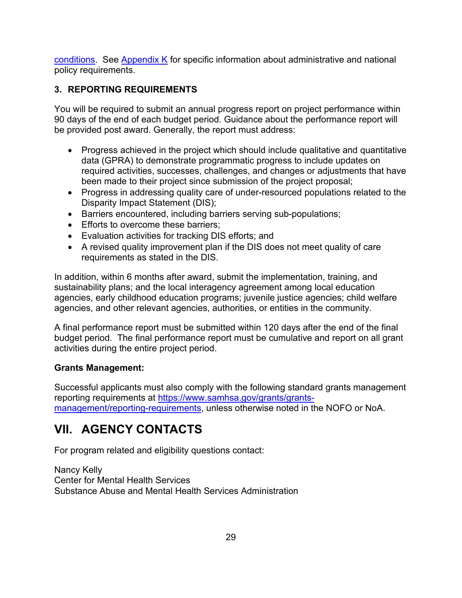[conditions.](https://www.samhsa.gov/grants/grants-management/notice-award-noa/standard-terms-conditions) See [Appendix K](#page-65-0) for specific information about administrative and national policy requirements.

## <span id="page-28-0"></span>**3. REPORTING REQUIREMENTS**

You will be required to submit an annual progress report on project performance within 90 days of the end of each budget period. Guidance about the performance report will be provided post award. Generally, the report must address:

- Progress achieved in the project which should include qualitative and quantitative data (GPRA) to demonstrate programmatic progress to include updates on required activities, successes, challenges, and changes or adjustments that have been made to their project since submission of the project proposal;
- Progress in addressing quality care of under-resourced populations related to the Disparity Impact Statement (DIS);
- Barriers encountered, including barriers serving sub-populations;
- Efforts to overcome these barriers;
- Evaluation activities for tracking DIS efforts; and
- A revised quality improvement plan if the DIS does not meet quality of care requirements as stated in the DIS.

In addition, within 6 months after award, submit the implementation, training, and sustainability plans; and the local interagency agreement among local education agencies, early childhood education programs; juvenile justice agencies; child welfare agencies, and other relevant agencies, authorities, or entities in the community.

A final performance report must be submitted within 120 days after the end of the final budget period. The final performance report must be cumulative and report on all grant activities during the entire project period.

## **Grants Management:**

Successful applicants must also comply with the following standard grants management reporting requirements at [https://www.samhsa.gov/grants/grants](https://www.samhsa.gov/grants/grants-management/reporting-requirements)[management/reporting-requirements,](https://www.samhsa.gov/grants/grants-management/reporting-requirements) unless otherwise noted in the NOFO or NoA.

## <span id="page-28-1"></span>**VII. AGENCY CONTACTS**

For program related and eligibility questions contact:

Nancy Kelly Center for Mental Health Services Substance Abuse and Mental Health Services Administration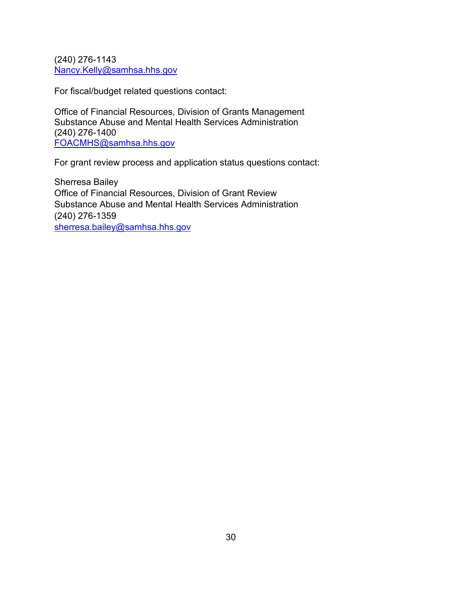(240) 276-1143 [Nancy.Kelly@samhsa.hhs.gov](mailto:Nancy.Kelly@samhsa.hhs.gov)

For fiscal/budget related questions contact:

Office of Financial Resources, Division of Grants Management Substance Abuse and Mental Health Services Administration (240) 276-1400 [FOACMHS@samhsa.hhs.gov](mailto:FOACMHS@samhsa.hhs.gov)

For grant review process and application status questions contact:

<span id="page-29-0"></span>Sherresa Bailey Office of Financial Resources, Division of Grant Review Substance Abuse and Mental Health Services Administration (240) 276-1359 [sherresa.bailey@samhsa.hhs.gov](mailto:sherresa.bailey@samhsa.hhs.gov)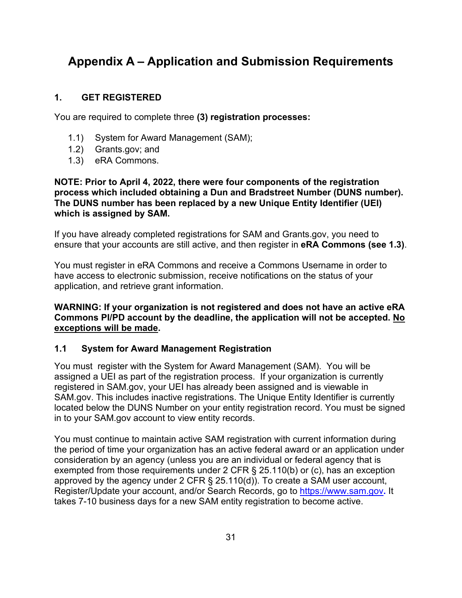# <span id="page-30-1"></span>**Appendix A – Application and Submission Requirements**

#### <span id="page-30-0"></span>**1. GET REGISTERED**

You are required to complete three **(3) registration processes:**

- 1.1) System for Award Management (SAM);
- 1.2) Grants.gov; and
- 1.3) eRA Commons.

**NOTE: Prior to April 4, 2022, there were four components of the registration process which included obtaining a Dun and Bradstreet Number (DUNS number). The DUNS number has been replaced by a new Unique Entity Identifier (UEI) which is assigned by SAM.**

If you have already completed registrations for SAM and Grants.gov, you need to ensure that your accounts are still active, and then register in **eRA Commons (see 1.3)**.

You must register in eRA Commons and receive a Commons Username in order to have access to electronic submission, receive notifications on the status of your application, and retrieve grant information.

#### **WARNING: If your organization is not registered and does not have an active eRA Commons PI/PD account by the deadline, the application will not be accepted. No exceptions will be made.**

#### **1.1 System for Award Management Registration**

You must register with the System for Award Management (SAM). You will be assigned a UEI as part of the registration process. If your organization is currently registered in SAM.gov, your UEI has already been assigned and is viewable in SAM.gov. This includes inactive registrations. The Unique Entity Identifier is currently located below the DUNS Number on your entity registration record. You must be signed in to your SAM.gov account to view entity records.

You must continue to maintain active SAM registration with current information during the period of time your organization has an active federal award or an application under consideration by an agency (unless you are an individual or federal agency that is exempted from those requirements under 2 CFR § 25.110(b) or (c), has an exception approved by the agency under 2 CFR § 25.110(d)). To create a SAM user account, Register/Update your account, and/or Search Records, go to [https://www.sam.gov](https://www.sam.gov/)**.** It takes 7-10 business days for a new SAM entity registration to become active.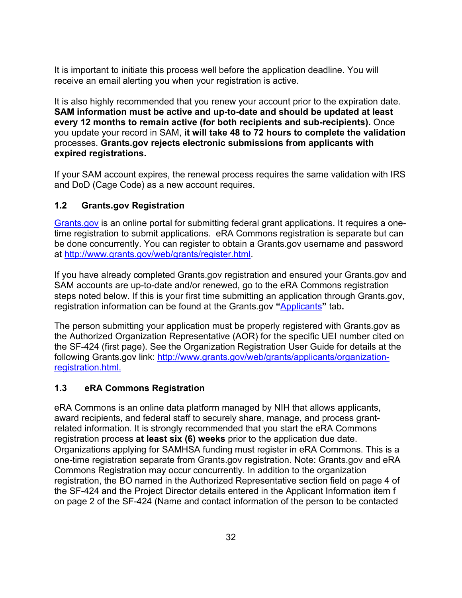It is important to initiate this process well before the application deadline. You will receive an email alerting you when your registration is active.

It is also highly recommended that you renew your account prior to the expiration date. **SAM information must be active and up-to-date and should be updated at least every 12 months to remain active (for both recipients and sub-recipients).** Once you update your record in SAM, **it will take 48 to 72 hours to complete the validation** processes. **Grants.gov rejects electronic submissions from applicants with expired registrations.** 

If your SAM account expires, the renewal process requires the same validation with IRS and DoD (Cage Code) as a new account requires.

## **1.2 Grants.gov Registration**

[Grants.gov](http://www.grants.gov/) is an online portal for submitting federal grant applications. It requires a onetime registration to submit applications. eRA Commons registration is separate but can be done concurrently. You can register to obtain a Grants.gov username and password at [http://www.grants.gov/web/grants/register.html.](http://www.grants.gov/web/grants/register.html)

If you have already completed Grants.gov registration and ensured your Grants.gov and SAM accounts are up-to-date and/or renewed, go to the eRA Commons registration steps noted below. If this is your first time submitting an application through Grants.gov, registration information can be found at the Grants.gov **"**[Applicants](http://www.grants.gov/web/grants/applicants.html)**"** tab**.** 

The person submitting your application must be properly registered with Grants.gov as the Authorized Organization Representative (AOR) for the specific UEI number cited on the SF-424 (first page). See the Organization Registration User Guide for details at the following Grants.gov link: [http://www.grants.gov/web/grants/applicants/organization](http://www.grants.gov/web/grants/applicants/organization-registration.html)[registration.html.](http://www.grants.gov/web/grants/applicants/organization-registration.html)

#### **1.3 eRA Commons Registration**

eRA Commons is an online data platform managed by NIH that allows applicants, award recipients, and federal staff to securely share, manage, and process grantrelated information. It is strongly recommended that you start the eRA Commons registration process **at least six (6) weeks** prior to the application due date. Organizations applying for SAMHSA funding must register in eRA Commons. This is a one-time registration separate from Grants.gov registration. Note: Grants.gov and eRA Commons Registration may occur concurrently. In addition to the organization registration, the BO named in the Authorized Representative section field on page 4 of the SF-424 and the Project Director details entered in the Applicant Information item f on page 2 of the SF-424 (Name and contact information of the person to be contacted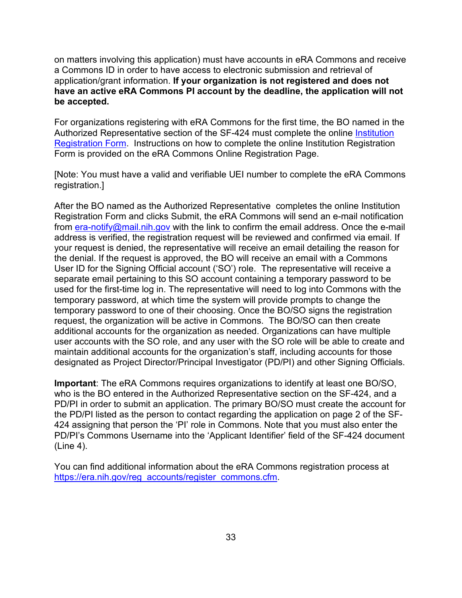on matters involving this application) must have accounts in eRA Commons and receive a Commons ID in order to have access to electronic submission and retrieval of application/grant information. **If your organization is not registered and does not have an active eRA Commons PI account by the deadline, the application will not be accepted.** 

For organizations registering with eRA Commons for the first time, the BO named in the Authorized Representative section of the SF-424 must complete the online Institution [Registration Form.](https://public.era.nih.gov/commons/public/registration/registrationInstructions.jsp) Instructions on how to complete the online Institution Registration Form is provided on the eRA Commons Online Registration Page.

[Note: You must have a valid and verifiable UEI number to complete the eRA Commons registration.]

After the BO named as the Authorized Representative completes the online Institution Registration Form and clicks Submit, the eRA Commons will send an e-mail notification from [era-notify@mail.nih.gov](mailto:era-notify@mail.nih.gov) with the link to confirm the email address. Once the e-mail address is verified, the registration request will be reviewed and confirmed via email. If your request is denied, the representative will receive an email detailing the reason for the denial. If the request is approved, the BO will receive an email with a Commons User ID for the Signing Official account ('SO') role. The representative will receive a separate email pertaining to this SO account containing a temporary password to be used for the first-time log in. The representative will need to log into Commons with the temporary password, at which time the system will provide prompts to change the temporary password to one of their choosing. Once the BO/SO signs the registration request, the organization will be active in Commons. The BO/SO can then create additional accounts for the organization as needed. Organizations can have multiple user accounts with the SO role, and any user with the SO role will be able to create and maintain additional accounts for the organization's staff, including accounts for those designated as Project Director/Principal Investigator (PD/PI) and other Signing Officials.

**Important**: The eRA Commons requires organizations to identify at least one BO/SO, who is the BO entered in the Authorized Representative section on the SF-424, and a PD/PI in order to submit an application. The primary BO/SO must create the account for the PD/PI listed as the person to contact regarding the application on page 2 of the SF-424 assigning that person the 'PI' role in Commons. Note that you must also enter the PD/PI's Commons Username into the 'Applicant Identifier' field of the SF-424 document (Line 4).

You can find additional information about the eRA Commons registration process at [https://era.nih.gov/reg\\_accounts/register\\_commons.cfm.](https://era.nih.gov/reg_accounts/register_commons.cfm)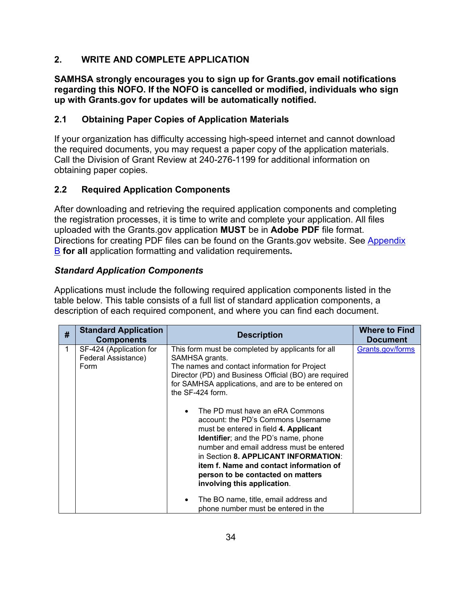## <span id="page-33-0"></span>**2. WRITE AND COMPLETE APPLICATION**

**SAMHSA strongly encourages you to sign up for Grants.gov email notifications regarding this NOFO. If the NOFO is cancelled or modified, individuals who sign up with Grants.gov for updates will be automatically notified.** 

## <span id="page-33-1"></span>**2.1 Obtaining Paper Copies of Application Materials**

If your organization has difficulty accessing high-speed internet and cannot download the required documents, you may request a paper copy of the application materials. Call the Division of Grant Review at 240-276-1199 for additional information on obtaining paper copies.

## <span id="page-33-2"></span>**2.2 Required Application Components**

After downloading and retrieving the required application components and completing the registration processes, it is time to write and complete your application. All files uploaded with the Grants.gov application **MUST** be in **Adobe PDF** file format. Directions for creating PDF files can be found on the Grants.gov website. See [Appendix](#page-41-0)  [B](#page-41-0) **for all** application formatting and validation requirements**.** 

## *Standard Application Components*

Applications must include the following required application components listed in the table below. This table consists of a full list of standard application components, a description of each required component, and where you can find each document.

| # | <b>Standard Application</b><br><b>Components</b>       | <b>Description</b>                                                                                                                                                                                                                                                                                                                                                                                                                                                                                                                                                                                                                         | <b>Where to Find</b><br><b>Document</b> |
|---|--------------------------------------------------------|--------------------------------------------------------------------------------------------------------------------------------------------------------------------------------------------------------------------------------------------------------------------------------------------------------------------------------------------------------------------------------------------------------------------------------------------------------------------------------------------------------------------------------------------------------------------------------------------------------------------------------------------|-----------------------------------------|
|   | SF-424 (Application for<br>Federal Assistance)<br>Form | This form must be completed by applicants for all<br>SAMHSA grants.<br>The names and contact information for Project<br>Director (PD) and Business Official (BO) are required<br>for SAMHSA applications, and are to be entered on<br>the $SF-424$ form.<br>The PD must have an eRA Commons<br>$\bullet$<br>account: the PD's Commons Username<br>must be entered in field 4. Applicant<br><b>Identifier</b> ; and the PD's name, phone<br>number and email address must be entered<br>in Section 8. APPLICANT INFORMATION:<br>item f. Name and contact information of<br>person to be contacted on matters<br>involving this application. | Grants.gov/forms                        |
|   |                                                        | The BO name, title, email address and<br>$\bullet$<br>phone number must be entered in the                                                                                                                                                                                                                                                                                                                                                                                                                                                                                                                                                  |                                         |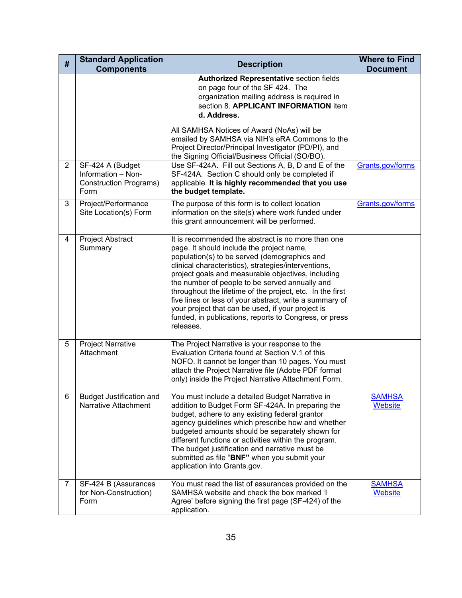| #              | <b>Standard Application</b><br><b>Components</b>                                | <b>Description</b>                                                                                                                                                                                                                                                                                                                                                                                                                                                                                                                                                  | <b>Where to Find</b><br><b>Document</b> |
|----------------|---------------------------------------------------------------------------------|---------------------------------------------------------------------------------------------------------------------------------------------------------------------------------------------------------------------------------------------------------------------------------------------------------------------------------------------------------------------------------------------------------------------------------------------------------------------------------------------------------------------------------------------------------------------|-----------------------------------------|
|                |                                                                                 | <b>Authorized Representative section fields</b><br>on page four of the SF 424. The<br>organization mailing address is required in<br>section 8. APPLICANT INFORMATION item<br>d. Address.                                                                                                                                                                                                                                                                                                                                                                           |                                         |
|                |                                                                                 | All SAMHSA Notices of Award (NoAs) will be<br>emailed by SAMHSA via NIH's eRA Commons to the<br>Project Director/Principal Investigator (PD/PI), and<br>the Signing Official/Business Official (SO/BO).                                                                                                                                                                                                                                                                                                                                                             |                                         |
| $\overline{2}$ | SF-424 A (Budget<br>Information - Non-<br><b>Construction Programs)</b><br>Form | Use SF-424A. Fill out Sections A, B, D and E of the<br>SF-424A. Section C should only be completed if<br>applicable. It is highly recommended that you use<br>the budget template.                                                                                                                                                                                                                                                                                                                                                                                  | Grants.gov/forms                        |
| 3              | Project/Performance<br>Site Location(s) Form                                    | The purpose of this form is to collect location<br>information on the site(s) where work funded under<br>this grant announcement will be performed.                                                                                                                                                                                                                                                                                                                                                                                                                 | Grants.gov/forms                        |
| 4              | Project Abstract<br>Summary                                                     | It is recommended the abstract is no more than one<br>page. It should include the project name,<br>population(s) to be served (demographics and<br>clinical characteristics), strategies/interventions,<br>project goals and measurable objectives, including<br>the number of people to be served annually and<br>throughout the lifetime of the project, etc. In the first<br>five lines or less of your abstract, write a summary of<br>your project that can be used, if your project is<br>funded, in publications, reports to Congress, or press<br>releases. |                                         |
| 5              | <b>Project Narrative</b><br>Attachment                                          | The Project Narrative is your response to the<br>Evaluation Criteria found at Section V.1 of this<br>NOFO. It cannot be longer than 10 pages. You must<br>attach the Project Narrative file (Adobe PDF format<br>only) inside the Project Narrative Attachment Form.                                                                                                                                                                                                                                                                                                |                                         |
| 6              | <b>Budget Justification and</b><br>Narrative Attachment                         | You must include a detailed Budget Narrative in<br>addition to Budget Form SF-424A. In preparing the<br>budget, adhere to any existing federal grantor<br>agency guidelines which prescribe how and whether<br>budgeted amounts should be separately shown for<br>different functions or activities within the program.<br>The budget justification and narrative must be<br>submitted as file "BNF" when you submit your<br>application into Grants.gov.                                                                                                           | <b>SAMHSA</b><br>Website                |
| 7              | SF-424 B (Assurances<br>for Non-Construction)<br>Form                           | You must read the list of assurances provided on the<br>SAMHSA website and check the box marked 'I<br>Agree' before signing the first page (SF-424) of the<br>application.                                                                                                                                                                                                                                                                                                                                                                                          | <b>SAMHSA</b><br>Website                |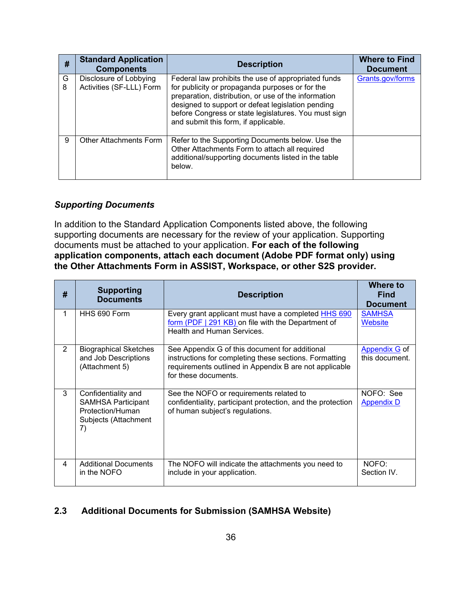| #      | <b>Standard Application</b><br><b>Components</b>   | <b>Description</b>                                                                                                                                                                                                                                                                                                  | <b>Where to Find</b><br><b>Document</b> |
|--------|----------------------------------------------------|---------------------------------------------------------------------------------------------------------------------------------------------------------------------------------------------------------------------------------------------------------------------------------------------------------------------|-----------------------------------------|
| G<br>8 | Disclosure of Lobbying<br>Activities (SF-LLL) Form | Federal law prohibits the use of appropriated funds<br>for publicity or propaganda purposes or for the<br>preparation, distribution, or use of the information<br>designed to support or defeat legislation pending<br>before Congress or state legislatures. You must sign<br>and submit this form, if applicable. | Grants.gov/forms                        |
| 9      | <b>Other Attachments Form</b>                      | Refer to the Supporting Documents below. Use the<br>Other Attachments Form to attach all required<br>additional/supporting documents listed in the table<br>below.                                                                                                                                                  |                                         |

## *Supporting Documents*

In addition to the Standard Application Components listed above, the following supporting documents are necessary for the review of your application. Supporting documents must be attached to your application. **For each of the following application components, attach each document (Adobe PDF format only) using the Other Attachments Form in ASSIST, Workspace, or other S2S provider.** 

| #              | <b>Supporting</b><br><b>Documents</b>                                                              | <b>Description</b>                                                                                                                                                                         | <b>Where to</b><br><b>Find</b><br><b>Document</b> |
|----------------|----------------------------------------------------------------------------------------------------|--------------------------------------------------------------------------------------------------------------------------------------------------------------------------------------------|---------------------------------------------------|
| 1              | HHS 690 Form                                                                                       | Every grant applicant must have a completed HHS 690<br>form (PDF   291 KB) on file with the Department of<br>Health and Human Services.                                                    | <b>SAMHSA</b><br>Website                          |
| $\overline{2}$ | <b>Biographical Sketches</b><br>and Job Descriptions<br>(Attachment 5)                             | See Appendix G of this document for additional<br>instructions for completing these sections. Formatting<br>requirements outlined in Appendix B are not applicable<br>for these documents. | <b>Appendix G</b> of<br>this document.            |
| 3              | Confidentiality and<br><b>SAMHSA Participant</b><br>Protection/Human<br>Subjects (Attachment<br>7) | See the NOFO or requirements related to<br>confidentiality, participant protection, and the protection<br>of human subject's regulations.                                                  | NOFO: See<br><b>Appendix D</b>                    |
| 4              | <b>Additional Documents</b><br>in the NOFO                                                         | The NOFO will indicate the attachments you need to<br>include in your application.                                                                                                         | NOFO:<br>Section IV.                              |

## **2.3 Additional Documents for Submission (SAMHSA Website)**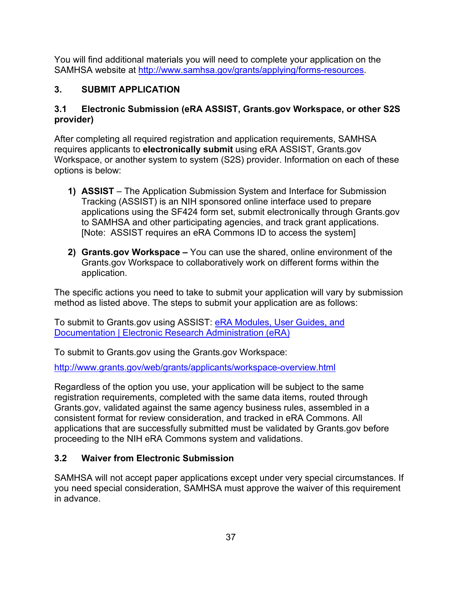You will find additional materials you will need to complete your application on the SAMHSA website at [http://www.samhsa.gov/grants/applying/forms-resources.](http://www.samhsa.gov/grants/applying/forms-resources)

## **3. SUBMIT APPLICATION**

## **3.1 Electronic Submission (eRA ASSIST, Grants.gov Workspace, or other S2S provider)**

After completing all required registration and application requirements, SAMHSA requires applicants to **electronically submit** using eRA ASSIST, Grants.gov Workspace, or another system to system (S2S) provider. Information on each of these options is below:

- **1) ASSIST** The Application Submission System and Interface for Submission Tracking (ASSIST) is an NIH sponsored online interface used to prepare applications using the SF424 form set, submit electronically through Grants.gov to SAMHSA and other participating agencies, and track grant applications. [Note: ASSIST requires an eRA Commons ID to access the system]
- **2) Grants.gov Workspace** You can use the shared, online environment of the Grants.gov Workspace to collaboratively work on different forms within the application.

The specific actions you need to take to submit your application will vary by submission method as listed above. The steps to submit your application are as follows:

To submit to Grants.gov using ASSIST: [eRA Modules, User Guides, and](https://era.nih.gov/modules_user-guides_documentation.cfm)  [Documentation | Electronic Research Administration \(eRA\)](https://era.nih.gov/modules_user-guides_documentation.cfm)

To submit to Grants.gov using the Grants.gov Workspace:

<http://www.grants.gov/web/grants/applicants/workspace-overview.html>

Regardless of the option you use, your application will be subject to the same registration requirements, completed with the same data items, routed through Grants.gov, validated against the same agency business rules, assembled in a consistent format for review consideration, and tracked in eRA Commons. All applications that are successfully submitted must be validated by Grants.gov before proceeding to the NIH eRA Commons system and validations.

## **3.2 Waiver from Electronic Submission**

SAMHSA will not accept paper applications except under very special circumstances. If you need special consideration, SAMHSA must approve the waiver of this requirement in advance.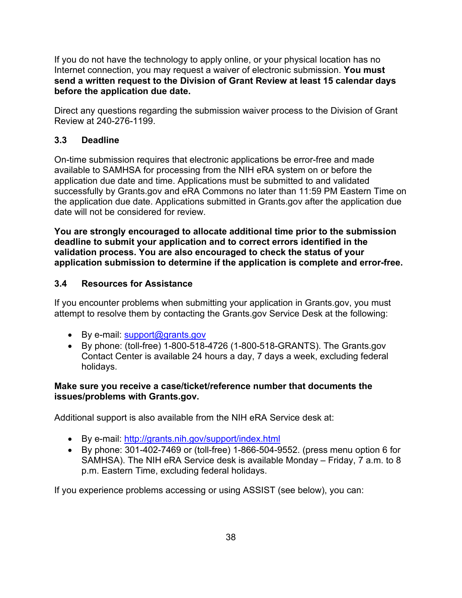If you do not have the technology to apply online, or your physical location has no Internet connection, you may request a waiver of electronic submission. **You must send a written request to the Division of Grant Review at least 15 calendar days before the application due date.**

Direct any questions regarding the submission waiver process to the Division of Grant Review at 240-276-1199.

## **3.3 Deadline**

On-time submission requires that electronic applications be error-free and made available to SAMHSA for processing from the NIH eRA system on or before the application due date and time. Applications must be submitted to and validated successfully by Grants.gov and eRA Commons no later than 11:59 PM Eastern Time on the application due date. Applications submitted in Grants.gov after the application due date will not be considered for review.

**You are strongly encouraged to allocate additional time prior to the submission deadline to submit your application and to correct errors identified in the validation process. You are also encouraged to check the status of your application submission to determine if the application is complete and error-free.** 

### **3.4 Resources for Assistance**

If you encounter problems when submitting your application in Grants.gov, you must attempt to resolve them by contacting the Grants.gov Service Desk at the following:

- By e-mail: support@grants.gov
- By phone: (toll-free) 1-800-518-4726 (1-800-518-GRANTS). The Grants.gov Contact Center is available 24 hours a day, 7 days a week, excluding federal holidays.

### **Make sure you receive a case/ticket/reference number that documents the issues/problems with Grants.gov.**

Additional support is also available from the NIH eRA Service desk at:

- By e-mail:<http://grants.nih.gov/support/index.html>
- By phone: 301-402-7469 or (toll-free) 1-866-504-9552. (press menu option 6 for SAMHSA). The NIH eRA Service desk is available Monday – Friday, 7 a.m. to 8 p.m. Eastern Time, excluding federal holidays.

If you experience problems accessing or using ASSIST (see below), you can: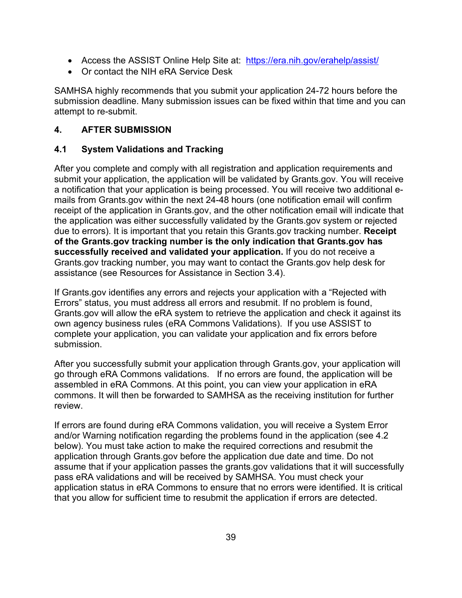- Access the ASSIST Online Help Site at: <https://era.nih.gov/erahelp/assist/>
- Or contact the NIH eRA Service Desk

SAMHSA highly recommends that you submit your application 24-72 hours before the submission deadline. Many submission issues can be fixed within that time and you can attempt to re-submit.

## **4. AFTER SUBMISSION**

### **4.1 System Validations and Tracking**

After you complete and comply with all registration and application requirements and submit your application, the application will be validated by Grants.gov. You will receive a notification that your application is being processed. You will receive two additional emails from Grants.gov within the next 24-48 hours (one notification email will confirm receipt of the application in Grants.gov, and the other notification email will indicate that the application was either successfully validated by the Grants.gov system or rejected due to errors). It is important that you retain this Grants.gov tracking number. **Receipt of the Grants.gov tracking number is the only indication that Grants.gov has successfully received and validated your application.** If you do not receive a Grants.gov tracking number, you may want to contact the Grants.gov help desk for assistance (see Resources for Assistance in Section 3.4).

If Grants.gov identifies any errors and rejects your application with a "Rejected with Errors" status, you must address all errors and resubmit. If no problem is found, Grants.gov will allow the eRA system to retrieve the application and check it against its own agency business rules (eRA Commons Validations). If you use ASSIST to complete your application, you can validate your application and fix errors before submission.

After you successfully submit your application through Grants.gov, your application will go through eRA Commons validations. If no errors are found, the application will be assembled in eRA Commons. At this point, you can view your application in eRA commons. It will then be forwarded to SAMHSA as the receiving institution for further review.

If errors are found during eRA Commons validation, you will receive a System Error and/or Warning notification regarding the problems found in the application (see 4.2 below). You must take action to make the required corrections and resubmit the application through Grants.gov before the application due date and time. Do not assume that if your application passes the grants.gov validations that it will successfully pass eRA validations and will be received by SAMHSA. You must check your application status in eRA Commons to ensure that no errors were identified. It is critical that you allow for sufficient time to resubmit the application if errors are detected.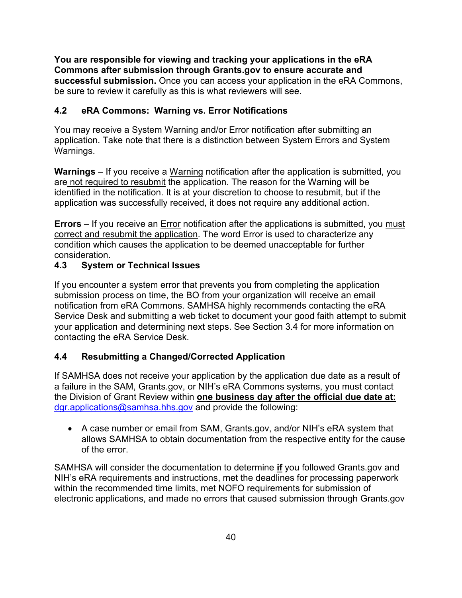**You are responsible for viewing and tracking your applications in the eRA Commons after submission through Grants.gov to ensure accurate and successful submission.** Once you can access your application in the eRA Commons, be sure to review it carefully as this is what reviewers will see.

## **4.2 eRA Commons: Warning vs. Error Notifications**

You may receive a System Warning and/or Error notification after submitting an application. Take note that there is a distinction between System Errors and System Warnings.

**Warnings** – If you receive a Warning notification after the application is submitted, you are not required to resubmit the application. The reason for the Warning will be identified in the notification. It is at your discretion to choose to resubmit, but if the application was successfully received, it does not require any additional action.

**Errors** – If you receive an **Error notification after the applications is submitted**, you must correct and resubmit the application. The word Error is used to characterize any condition which causes the application to be deemed unacceptable for further consideration.

## **4.3 System or Technical Issues**

If you encounter a system error that prevents you from completing the application submission process on time, the BO from your organization will receive an email notification from eRA Commons. SAMHSA highly recommends contacting the eRA Service Desk and submitting a web ticket to document your good faith attempt to submit your application and determining next steps. See Section 3.4 for more information on contacting the eRA Service Desk.

## <span id="page-39-0"></span>**4.4 Resubmitting a Changed/Corrected Application**

If SAMHSA does not receive your application by the application due date as a result of a failure in the SAM, Grants.gov, or NIH's eRA Commons systems, you must contact the Division of Grant Review within **one business day after the official due date at:**  [dgr.applications@samhsa.hhs.gov](mailto:dgr.applications@samhsa.hhs.gov) and provide the following:

• A case number or email from SAM, Grants.gov, and/or NIH's eRA system that allows SAMHSA to obtain documentation from the respective entity for the cause of the error.

SAMHSA will consider the documentation to determine **if** you followed Grants.gov and NIH's eRA requirements and instructions, met the deadlines for processing paperwork within the recommended time limits, met NOFO requirements for submission of electronic applications, and made no errors that caused submission through Grants.gov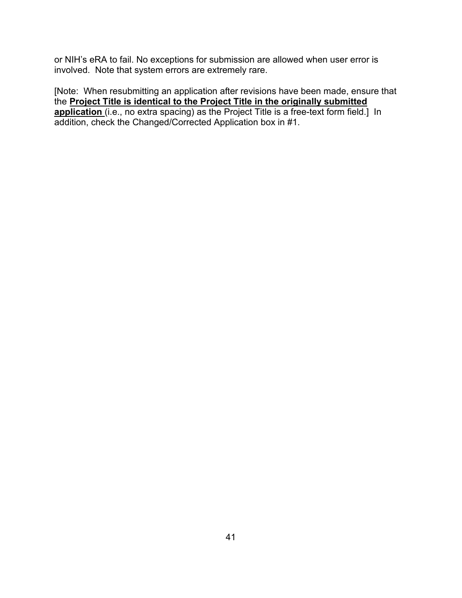or NIH's eRA to fail. No exceptions for submission are allowed when user error is involved. Note that system errors are extremely rare.

[Note: When resubmitting an application after revisions have been made, ensure that the **Project Title is identical to the Project Title in the originally submitted application** (i.e., no extra spacing) as the Project Title is a free-text form field.] In addition, check the Changed/Corrected Application box in #1.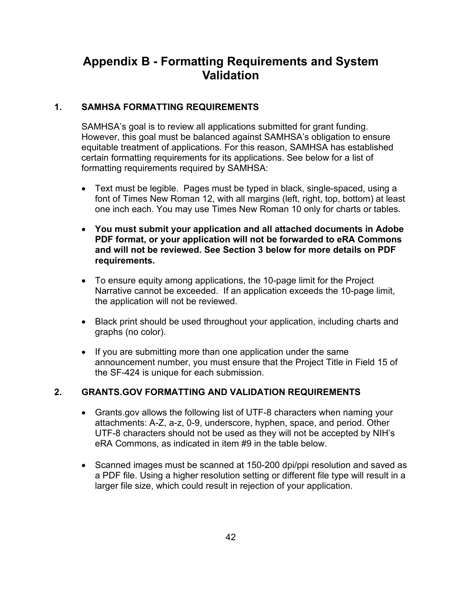# **Appendix B - Formatting Requirements and System Validation**

### **1. SAMHSA FORMATTING REQUIREMENTS**

SAMHSA's goal is to review all applications submitted for grant funding. However, this goal must be balanced against SAMHSA's obligation to ensure equitable treatment of applications. For this reason, SAMHSA has established certain formatting requirements for its applications. See below for a list of formatting requirements required by SAMHSA:

- Text must be legible. Pages must be typed in black, single-spaced, using a font of Times New Roman 12, with all margins (left, right, top, bottom) at least one inch each. You may use Times New Roman 10 only for charts or tables.
- **You must submit your application and all attached documents in Adobe PDF format, or your application will not be forwarded to eRA Commons and will not be reviewed. See Section 3 below for more details on PDF requirements.**
- To ensure equity among applications, the 10-page limit for the Project Narrative cannot be exceeded. If an application exceeds the 10-page limit, the application will not be reviewed.
- Black print should be used throughout your application, including charts and graphs (no color).
- If you are submitting more than one application under the same announcement number, you must ensure that the Project Title in Field 15 of the SF-424 is unique for each submission.

## **2. GRANTS.GOV FORMATTING AND VALIDATION REQUIREMENTS**

- Grants.gov allows the following list of UTF-8 characters when naming your attachments: A-Z, a-z, 0-9, underscore, hyphen, space, and period. Other UTF-8 characters should not be used as they will not be accepted by NIH's eRA Commons, as indicated in item #9 in the table below.
- Scanned images must be scanned at 150-200 dpi/ppi resolution and saved as a PDF file. Using a higher resolution setting or different file type will result in a larger file size, which could result in rejection of your application.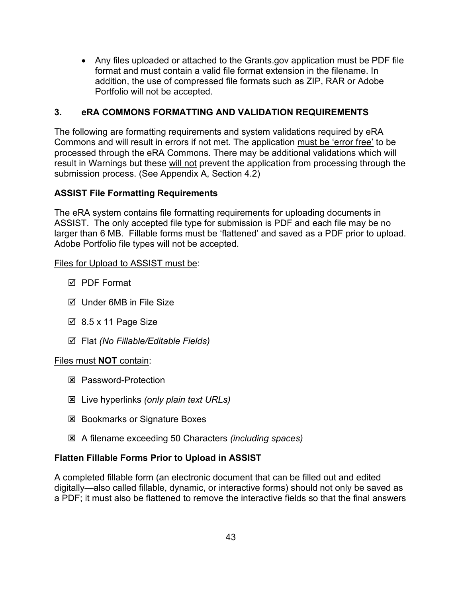• Any files uploaded or attached to the Grants.gov application must be PDF file format and must contain a valid file format extension in the filename. In addition, the use of compressed file formats such as ZIP, RAR or Adobe Portfolio will not be accepted.

## **3. eRA COMMONS FORMATTING AND VALIDATION REQUIREMENTS**

The following are formatting requirements and system validations required by eRA Commons and will result in errors if not met. The application must be 'error free' to be processed through the eRA Commons. There may be additional validations which will result in Warnings but these will not prevent the application from processing through the submission process. (See Appendix A, Section 4.2)

### **ASSIST File Formatting Requirements**

The eRA system contains file formatting requirements for uploading documents in ASSIST. The only accepted file type for submission is PDF and each file may be no larger than 6 MB. Fillable forms must be 'flattened' and saved as a PDF prior to upload. Adobe Portfolio file types will not be accepted.

### Files for Upload to ASSIST must be:

- **Ø PDF Format**
- $\boxtimes$  Under 6MB in File Size
- $\boxtimes$  8.5 x 11 Page Size
- Flat *(No Fillable/Editable Fields)*

### Files must **NOT** contain:

- **E** Password-Protection
- Live hyperlinks *(only plain text URLs)*
- **EX Bookmarks or Signature Boxes**
- A filename exceeding 50 Characters *(including spaces)*

### **Flatten Fillable Forms Prior to Upload in ASSIST**

A completed fillable form (an electronic document that can be filled out and edited digitally—also called fillable, dynamic, or interactive forms) should not only be saved as a PDF; it must also be flattened to remove the interactive fields so that the final answers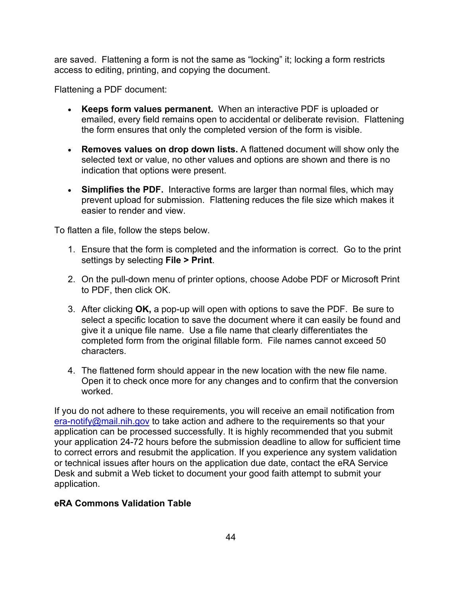are saved. Flattening a form is not the same as "locking" it; locking a form restricts access to editing, printing, and copying the document.

Flattening a PDF document:

- **Keeps form values permanent.** When an interactive PDF is uploaded or emailed, every field remains open to accidental or deliberate revision. Flattening the form ensures that only the completed version of the form is visible.
- **Removes values on drop down lists.** A flattened document will show only the selected text or value, no other values and options are shown and there is no indication that options were present.
- **Simplifies the PDF.** Interactive forms are larger than normal files, which may prevent upload for submission. Flattening reduces the file size which makes it easier to render and view.

To flatten a file, follow the steps below.

- 1. Ensure that the form is completed and the information is correct. Go to the print settings by selecting **File > Print**.
- 2. On the pull-down menu of printer options, choose Adobe PDF or Microsoft Print to PDF, then click OK.
- 3. After clicking **OK,** a pop-up will open with options to save the PDF. Be sure to select a specific location to save the document where it can easily be found and give it a unique file name. Use a file name that clearly differentiates the completed form from the original fillable form. File names cannot exceed 50 characters.
- 4. The flattened form should appear in the new location with the new file name. Open it to check once more for any changes and to confirm that the conversion worked.

If you do not adhere to these requirements, you will receive an email notification from [era-notify@mail.nih.gov](mailto:era-notify@mail.nih.gov) to take action and adhere to the requirements so that your application can be processed successfully. It is highly recommended that you submit your application 24-72 hours before the submission deadline to allow for sufficient time to correct errors and resubmit the application. If you experience any system validation or technical issues after hours on the application due date, contact the eRA Service Desk and submit a Web ticket to document your good faith attempt to submit your application.

## **eRA Commons Validation Table**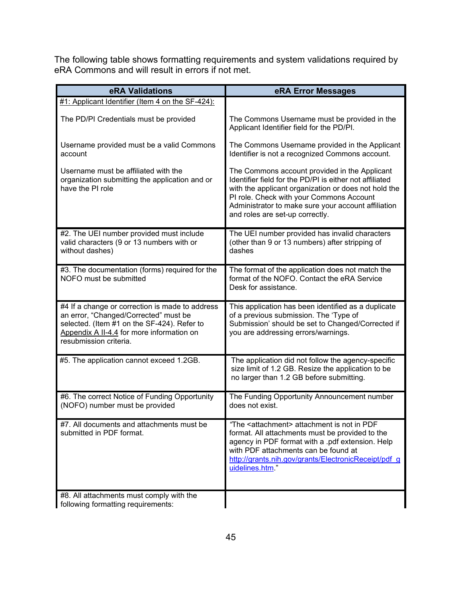The following table shows formatting requirements and system validations required by eRA Commons and will result in errors if not met.

| eRA Validations                                                                                                                                                                                                | eRA Error Messages                                                                                                                                                                                                                                                                                     |
|----------------------------------------------------------------------------------------------------------------------------------------------------------------------------------------------------------------|--------------------------------------------------------------------------------------------------------------------------------------------------------------------------------------------------------------------------------------------------------------------------------------------------------|
| #1: Applicant Identifier (Item 4 on the SF-424):                                                                                                                                                               |                                                                                                                                                                                                                                                                                                        |
| The PD/PI Credentials must be provided                                                                                                                                                                         | The Commons Username must be provided in the<br>Applicant Identifier field for the PD/PI.                                                                                                                                                                                                              |
| Username provided must be a valid Commons<br>account                                                                                                                                                           | The Commons Username provided in the Applicant<br>Identifier is not a recognized Commons account.                                                                                                                                                                                                      |
| Username must be affiliated with the<br>organization submitting the application and or<br>have the PI role                                                                                                     | The Commons account provided in the Applicant<br>Identifier field for the PD/PI is either not affiliated<br>with the applicant organization or does not hold the<br>PI role. Check with your Commons Account<br>Administrator to make sure your account affiliation<br>and roles are set-up correctly. |
| #2. The UEI number provided must include<br>valid characters (9 or 13 numbers with or<br>without dashes)                                                                                                       | The UEI number provided has invalid characters<br>(other than 9 or 13 numbers) after stripping of<br>dashes                                                                                                                                                                                            |
| #3. The documentation (forms) required for the<br>NOFO must be submitted                                                                                                                                       | The format of the application does not match the<br>format of the NOFO. Contact the eRA Service<br>Desk for assistance.                                                                                                                                                                                |
| #4 If a change or correction is made to address<br>an error, "Changed/Corrected" must be<br>selected. (Item #1 on the SF-424). Refer to<br>Appendix A II-4.4 for more information on<br>resubmission criteria. | This application has been identified as a duplicate<br>of a previous submission. The 'Type of<br>Submission' should be set to Changed/Corrected if<br>you are addressing errors/warnings.                                                                                                              |
| #5. The application cannot exceed 1.2GB.                                                                                                                                                                       | The application did not follow the agency-specific<br>size limit of 1.2 GB. Resize the application to be<br>no larger than 1.2 GB before submitting.                                                                                                                                                   |
| #6. The correct Notice of Funding Opportunity<br>(NOFO) number must be provided                                                                                                                                | The Funding Opportunity Announcement number<br>does not exist.                                                                                                                                                                                                                                         |
| #7. All documents and attachments must be<br>submitted in PDF format.                                                                                                                                          | "The <attachment> attachment is not in PDF<br/>format. All attachments must be provided to the<br/>agency in PDF format with a .pdf extension. Help<br/>with PDF attachments can be found at<br/>http://grants.nih.gov/grants/ElectronicReceipt/pdf g<br/>uidelines.htm."</attachment>                 |
| #8. All attachments must comply with the<br>following formatting requirements:                                                                                                                                 |                                                                                                                                                                                                                                                                                                        |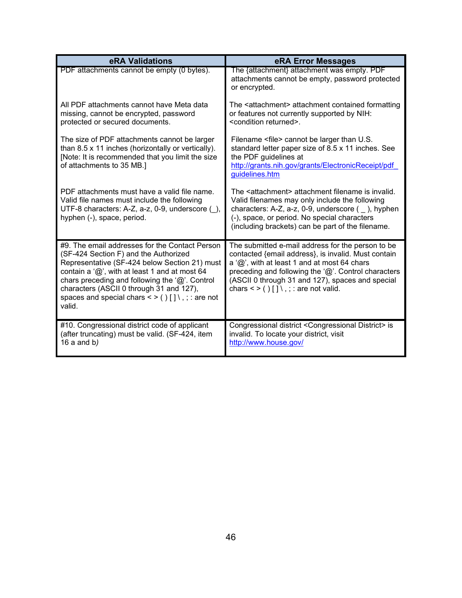| eRA Validations                                                                                                                                                                                                                                                                                                                                                                     | eRA Error Messages                                                                                                                                                                                                                                                                                                                    |
|-------------------------------------------------------------------------------------------------------------------------------------------------------------------------------------------------------------------------------------------------------------------------------------------------------------------------------------------------------------------------------------|---------------------------------------------------------------------------------------------------------------------------------------------------------------------------------------------------------------------------------------------------------------------------------------------------------------------------------------|
| PDF attachments cannot be empty (0 bytes).                                                                                                                                                                                                                                                                                                                                          | The {attachment} attachment was empty. PDF<br>attachments cannot be empty, password protected<br>or encrypted.                                                                                                                                                                                                                        |
| All PDF attachments cannot have Meta data<br>missing, cannot be encrypted, password<br>protected or secured documents.                                                                                                                                                                                                                                                              | The <attachment> attachment contained formatting<br/>or features not currently supported by NIH:<br/><condition returned="">.</condition></attachment>                                                                                                                                                                                |
| The size of PDF attachments cannot be larger<br>than 8.5 x 11 inches (horizontally or vertically).<br>[Note: It is recommended that you limit the size<br>of attachments to 35 MB.]                                                                                                                                                                                                 | Filename <file> cannot be larger than U.S.<br/>standard letter paper size of 8.5 x 11 inches. See<br/>the PDF guidelines at<br/>http://grants.nih.gov/grants/ElectronicReceipt/pdf<br/>guidelines.htm</file>                                                                                                                          |
| PDF attachments must have a valid file name.<br>Valid file names must include the following<br>UTF-8 characters: A-Z, a-z, 0-9, underscore (),<br>hyphen (-), space, period.                                                                                                                                                                                                        | The <attachment> attachment filename is invalid.<br/>Valid filenames may only include the following<br/>characters: A-Z, a-z, 0-9, underscore (), hyphen<br/>(-), space, or period. No special characters<br/>(including brackets) can be part of the filename.</attachment>                                                          |
| #9. The email addresses for the Contact Person<br>(SF-424 Section F) and the Authorized<br>Representative (SF-424 below Section 21) must<br>contain a ' $@$ ', with at least 1 and at most 64<br>chars preceding and following the $\langle \omega \rangle$ . Control<br>characters (ASCII 0 through 31 and 127),<br>spaces and special chars $\lt$ > ()[] \, ; : are not<br>valid. | The submitted e-mail address for the person to be<br>contacted {email address}, is invalid. Must contain<br>a $\langle \text{Q}\rangle$ , with at least 1 and at most 64 chars<br>preceding and following the '@'. Control characters<br>(ASCII 0 through 31 and 127), spaces and special<br>chars $\lt$ > ()[] \, ; : are not valid. |
| #10. Congressional district code of applicant<br>(after truncating) must be valid. (SF-424, item<br>16 a and $b$ )                                                                                                                                                                                                                                                                  | Congressional district < Congressional District> is<br>invalid. To locate your district, visit<br>http://www.house.gov/                                                                                                                                                                                                               |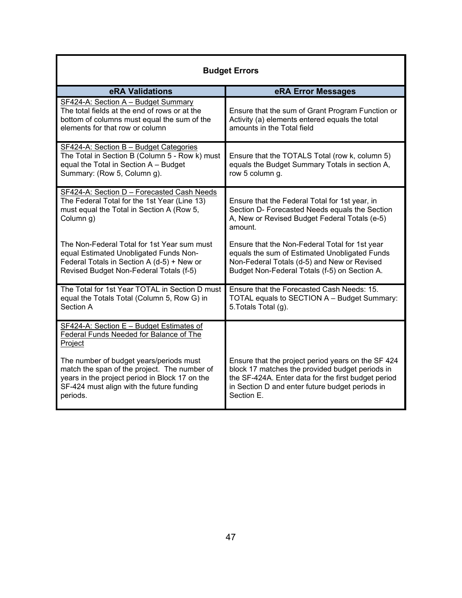| <b>Budget Errors</b>                                                                                                                                                                               |                                                                                                                                                                                                                               |  |  |
|----------------------------------------------------------------------------------------------------------------------------------------------------------------------------------------------------|-------------------------------------------------------------------------------------------------------------------------------------------------------------------------------------------------------------------------------|--|--|
| eRA Validations                                                                                                                                                                                    | eRA Error Messages                                                                                                                                                                                                            |  |  |
| SF424-A: Section A - Budget Summary<br>The total fields at the end of rows or at the<br>bottom of columns must equal the sum of the<br>elements for that row or column                             | Ensure that the sum of Grant Program Function or<br>Activity (a) elements entered equals the total<br>amounts in the Total field                                                                                              |  |  |
| SF424-A: Section B - Budget Categories<br>The Total in Section B (Column 5 - Row k) must<br>equal the Total in Section A - Budget<br>Summary: (Row 5, Column g).                                   | Ensure that the TOTALS Total (row k, column 5)<br>equals the Budget Summary Totals in section A,<br>row 5 column g.                                                                                                           |  |  |
| SF424-A: Section D - Forecasted Cash Needs<br>The Federal Total for the 1st Year (Line 13)<br>must equal the Total in Section A (Row 5,<br>Column g)                                               | Ensure that the Federal Total for 1st year, in<br>Section D- Forecasted Needs equals the Section<br>A, New or Revised Budget Federal Totals (e-5)<br>amount.                                                                  |  |  |
| The Non-Federal Total for 1st Year sum must<br>equal Estimated Unobligated Funds Non-<br>Federal Totals in Section A (d-5) + New or<br>Revised Budget Non-Federal Totals (f-5)                     | Ensure that the Non-Federal Total for 1st year<br>equals the sum of Estimated Unobligated Funds<br>Non-Federal Totals (d-5) and New or Revised<br>Budget Non-Federal Totals (f-5) on Section A.                               |  |  |
| The Total for 1st Year TOTAL in Section D must<br>equal the Totals Total (Column 5, Row G) in<br>Section A                                                                                         | Ensure that the Forecasted Cash Needs: 15.<br>TOTAL equals to SECTION A - Budget Summary:<br>5. Totals Total (g).                                                                                                             |  |  |
| SF424-A: Section E - Budget Estimates of<br>Federal Funds Needed for Balance of The<br>Project                                                                                                     |                                                                                                                                                                                                                               |  |  |
| The number of budget years/periods must<br>match the span of the project. The number of<br>years in the project period in Block 17 on the<br>SF-424 must align with the future funding<br>periods. | Ensure that the project period years on the SF 424<br>block 17 matches the provided budget periods in<br>the SF-424A. Enter data for the first budget period<br>in Section D and enter future budget periods in<br>Section E. |  |  |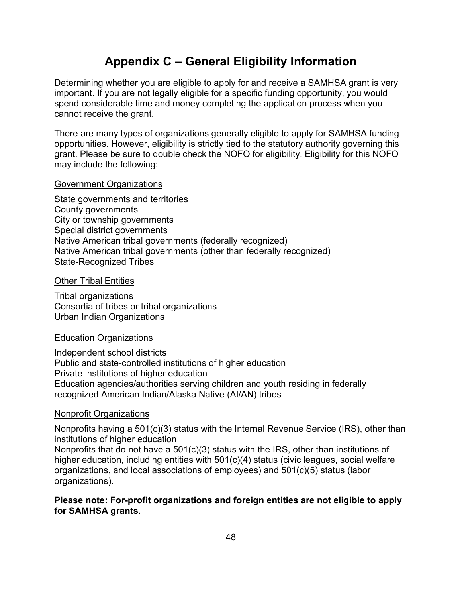# **Appendix C – General Eligibility Information**

Determining whether you are eligible to apply for and receive a SAMHSA grant is very important. If you are not legally eligible for a specific funding opportunity, you would spend considerable time and money completing the application process when you cannot receive the grant.

There are many types of organizations generally eligible to apply for SAMHSA funding opportunities. However, eligibility is strictly tied to the statutory authority governing this grant. Please be sure to double check the NOFO for eligibility. Eligibility for this NOFO may include the following:

### Government Organizations

State governments and territories County governments City or township governments Special district governments Native American tribal governments (federally recognized) Native American tribal governments (other than federally recognized) State-Recognized Tribes

#### **Other Tribal Entities**

Tribal organizations Consortia of tribes or tribal organizations Urban Indian Organizations

### Education Organizations

Independent school districts Public and state-controlled institutions of higher education Private institutions of higher education Education agencies/authorities serving children and youth residing in federally recognized American Indian/Alaska Native (AI/AN) tribes

### Nonprofit Organizations

Nonprofits having a 501(c)(3) status with the Internal Revenue Service (IRS), other than institutions of higher education Nonprofits that do not have a 501(c)(3) status with the IRS, other than institutions of higher education, including entities with 501(c)(4) status (civic leagues, social welfare organizations, and local associations of employees) and 501(c)(5) status (labor organizations).

### **Please note: For-profit organizations and foreign entities are not eligible to apply for SAMHSA grants.**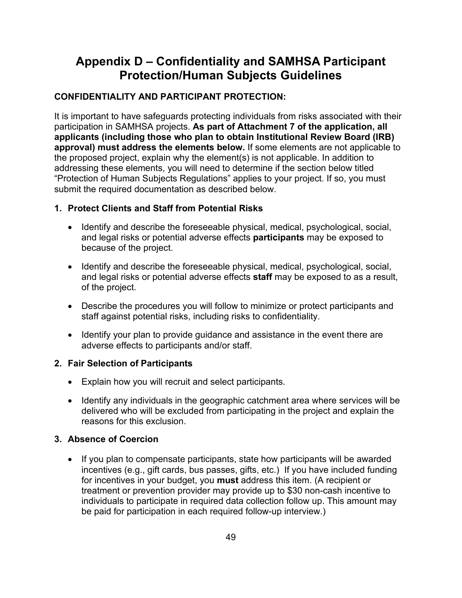# **Appendix D – Confidentiality and SAMHSA Participant Protection/Human Subjects Guidelines**

## **CONFIDENTIALITY AND PARTICIPANT PROTECTION:**

It is important to have safeguards protecting individuals from risks associated with their participation in SAMHSA projects. **As part of Attachment 7 of the application, all applicants (including those who plan to obtain Institutional Review Board (IRB) approval) must address the elements below.** If some elements are not applicable to the proposed project, explain why the element(s) is not applicable. In addition to addressing these elements, you will need to determine if the section below titled "Protection of Human Subjects Regulations" applies to your project. If so, you must submit the required documentation as described below.

## **1. Protect Clients and Staff from Potential Risks**

- Identify and describe the foreseeable physical, medical, psychological, social, and legal risks or potential adverse effects **participants** may be exposed to because of the project.
- Identify and describe the foreseeable physical, medical, psychological, social, and legal risks or potential adverse effects **staff** may be exposed to as a result, of the project.
- Describe the procedures you will follow to minimize or protect participants and staff against potential risks, including risks to confidentiality.
- Identify your plan to provide guidance and assistance in the event there are adverse effects to participants and/or staff.

## **2. Fair Selection of Participants**

- Explain how you will recruit and select participants.
- Identify any individuals in the geographic catchment area where services will be delivered who will be excluded from participating in the project and explain the reasons for this exclusion.

## **3. Absence of Coercion**

• If you plan to compensate participants, state how participants will be awarded incentives (e.g., gift cards, bus passes, gifts, etc.) If you have included funding for incentives in your budget, you **must** address this item. (A recipient or treatment or prevention provider may provide up to \$30 non-cash incentive to individuals to participate in required data collection follow up. This amount may be paid for participation in each required follow-up interview.)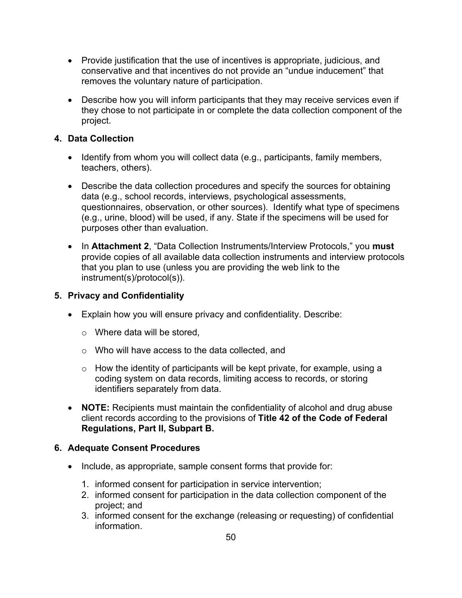- Provide justification that the use of incentives is appropriate, judicious, and conservative and that incentives do not provide an "undue inducement" that removes the voluntary nature of participation.
- Describe how you will inform participants that they may receive services even if they chose to not participate in or complete the data collection component of the project.

## **4. Data Collection**

- Identify from whom you will collect data (e.g., participants, family members, teachers, others).
- Describe the data collection procedures and specify the sources for obtaining data (e.g., school records, interviews, psychological assessments, questionnaires, observation, or other sources). Identify what type of specimens (e.g., urine, blood) will be used, if any. State if the specimens will be used for purposes other than evaluation.
- In **Attachment 2**, "Data Collection Instruments/Interview Protocols," you **must** provide copies of all available data collection instruments and interview protocols that you plan to use (unless you are providing the web link to the instrument(s)/protocol(s)).

## **5. Privacy and Confidentiality**

- Explain how you will ensure privacy and confidentiality. Describe:
	- o Where data will be stored,
	- o Who will have access to the data collected, and
	- $\circ$  How the identity of participants will be kept private, for example, using a coding system on data records, limiting access to records, or storing identifiers separately from data.
- **NOTE:** Recipients must maintain the confidentiality of alcohol and drug abuse client records according to the provisions of **Title 42 of the Code of Federal Regulations, Part II, Subpart B.**

## **6. Adequate Consent Procedures**

- Include, as appropriate, sample consent forms that provide for:
	- 1. informed consent for participation in service intervention;
	- 2. informed consent for participation in the data collection component of the project; and
	- 3. informed consent for the exchange (releasing or requesting) of confidential information.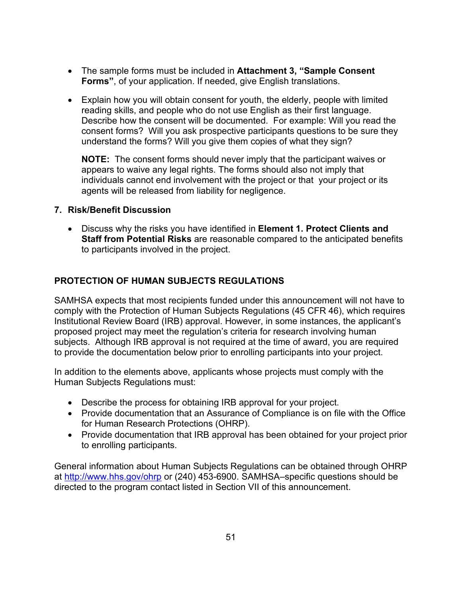- The sample forms must be included in **Attachment 3, "Sample Consent Forms"**, of your application. If needed, give English translations.
- Explain how you will obtain consent for youth, the elderly, people with limited reading skills, and people who do not use English as their first language. Describe how the consent will be documented. For example: Will you read the consent forms? Will you ask prospective participants questions to be sure they understand the forms? Will you give them copies of what they sign?

**NOTE:** The consent forms should never imply that the participant waives or appears to waive any legal rights. The forms should also not imply that individuals cannot end involvement with the project or that your project or its agents will be released from liability for negligence.

### **7. Risk/Benefit Discussion**

• Discuss why the risks you have identified in **Element 1. Protect Clients and Staff from Potential Risks** are reasonable compared to the anticipated benefits to participants involved in the project.

### **PROTECTION OF HUMAN SUBJECTS REGULATIONS**

SAMHSA expects that most recipients funded under this announcement will not have to comply with the Protection of Human Subjects Regulations (45 CFR 46), which requires Institutional Review Board (IRB) approval. However, in some instances, the applicant's proposed project may meet the regulation's criteria for research involving human subjects. Although IRB approval is not required at the time of award, you are required to provide the documentation below prior to enrolling participants into your project.

In addition to the elements above, applicants whose projects must comply with the Human Subjects Regulations must:

- Describe the process for obtaining IRB approval for your project.
- Provide documentation that an Assurance of Compliance is on file with the Office for Human Research Protections (OHRP).
- Provide documentation that IRB approval has been obtained for your project prior to enrolling participants.

General information about Human Subjects Regulations can be obtained through OHRP at<http://www.hhs.gov/ohrp> or (240) 453-6900. SAMHSA–specific questions should be directed to the program contact listed in Section VII of this announcement.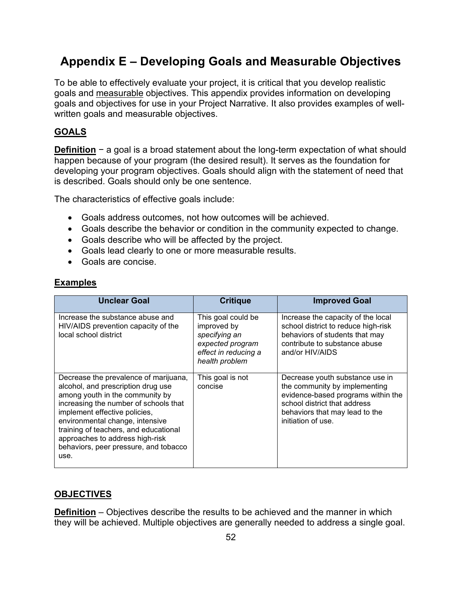# **Appendix E – Developing Goals and Measurable Objectives**

To be able to effectively evaluate your project, it is critical that you develop realistic goals and measurable objectives. This appendix provides information on developing goals and objectives for use in your Project Narrative. It also provides examples of wellwritten goals and measurable objectives.

## **GOALS**

**Definition** − a goal is a broad statement about the long-term expectation of what should happen because of your program (the desired result). It serves as the foundation for developing your program objectives. Goals should align with the statement of need that is described. Goals should only be one sentence.

The characteristics of effective goals include:

- Goals address outcomes, not how outcomes will be achieved.
- Goals describe the behavior or condition in the community expected to change.
- Goals describe who will be affected by the project.
- Goals lead clearly to one or more measurable results.
- Goals are concise.

### **Examples**

| <b>Unclear Goal</b>                                                                                                                                                                                                                                                                                                                                      | <b>Critique</b>                                                                                                  | <b>Improved Goal</b>                                                                                                                                                                           |
|----------------------------------------------------------------------------------------------------------------------------------------------------------------------------------------------------------------------------------------------------------------------------------------------------------------------------------------------------------|------------------------------------------------------------------------------------------------------------------|------------------------------------------------------------------------------------------------------------------------------------------------------------------------------------------------|
| Increase the substance abuse and<br>HIV/AIDS prevention capacity of the<br>local school district                                                                                                                                                                                                                                                         | This goal could be<br>improved by<br>specifying an<br>expected program<br>effect in reducing a<br>health problem | Increase the capacity of the local<br>school district to reduce high-risk<br>behaviors of students that may<br>contribute to substance abuse<br>and/or HIV/AIDS                                |
| Decrease the prevalence of marijuana,<br>alcohol, and prescription drug use<br>among youth in the community by<br>increasing the number of schools that<br>implement effective policies,<br>environmental change, intensive<br>training of teachers, and educational<br>approaches to address high-risk<br>behaviors, peer pressure, and tobacco<br>use. | This goal is not<br>concise                                                                                      | Decrease youth substance use in<br>the community by implementing<br>evidence-based programs within the<br>school district that address<br>behaviors that may lead to the<br>initiation of use. |

### **OBJECTIVES**

**Definition** – Objectives describe the results to be achieved and the manner in which they will be achieved. Multiple objectives are generally needed to address a single goal.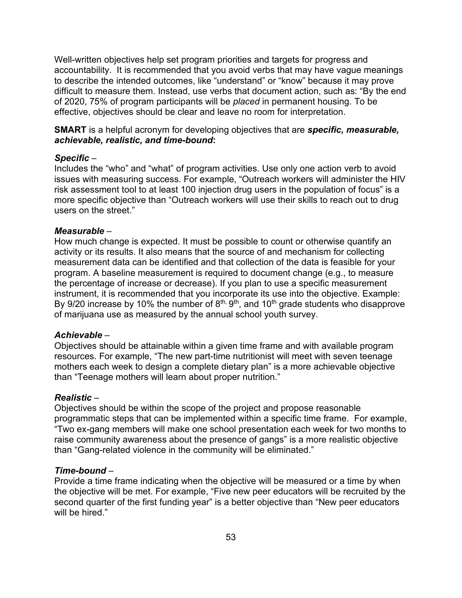Well-written objectives help set program priorities and targets for progress and accountability. It is recommended that you avoid verbs that may have vague meanings to describe the intended outcomes, like "understand" or "know" because it may prove difficult to measure them. Instead, use verbs that document action, such as: "By the end of 2020, 75% of program participants will be *placed* in permanent housing. To be effective, objectives should be clear and leave no room for interpretation.

### **SMART** is a helpful acronym for developing objectives that are *specific, measurable, achievable, realistic, and time-bound***:**

#### *Specific* –

Includes the "who" and "what" of program activities. Use only one action verb to avoid issues with measuring success. For example, "Outreach workers will administer the HIV risk assessment tool to at least 100 injection drug users in the population of focus" is a more specific objective than "Outreach workers will use their skills to reach out to drug users on the street."

#### *Measurable* –

How much change is expected. It must be possible to count or otherwise quantify an activity or its results. It also means that the source of and mechanism for collecting measurement data can be identified and that collection of the data is feasible for your program. A baseline measurement is required to document change (e.g., to measure the percentage of increase or decrease). If you plan to use a specific measurement instrument, it is recommended that you incorporate its use into the objective. Example: By 9/20 increase by 10% the number of  $8<sup>th</sup>$ ,  $9<sup>th</sup>$ , and 10<sup>th</sup> grade students who disapprove of marijuana use as measured by the annual school youth survey.

#### *Achievable –*

Objectives should be attainable within a given time frame and with available program resources. For example, "The new part-time nutritionist will meet with seven teenage mothers each week to design a complete dietary plan" is a more achievable objective than "Teenage mothers will learn about proper nutrition."

### *Realistic –*

Objectives should be within the scope of the project and propose reasonable programmatic steps that can be implemented within a specific time frame. For example, "Two ex-gang members will make one school presentation each week for two months to raise community awareness about the presence of gangs" is a more realistic objective than "Gang-related violence in the community will be eliminated."

### *Time-bound* –

Provide a time frame indicating when the objective will be measured or a time by when the objective will be met. For example, "Five new peer educators will be recruited by the second quarter of the first funding year" is a better objective than "New peer educators will be hired."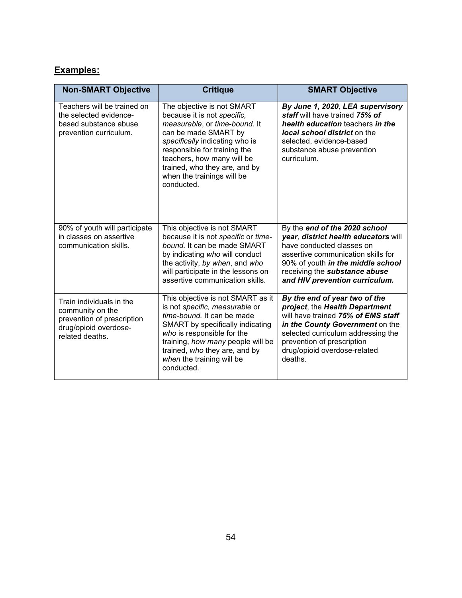## **Examples:**

| <b>Non-SMART Objective</b>                                                                                             | <b>Critique</b>                                                                                                                                                                                                                                                                                 | <b>SMART Objective</b>                                                                                                                                                                                                                                  |  |
|------------------------------------------------------------------------------------------------------------------------|-------------------------------------------------------------------------------------------------------------------------------------------------------------------------------------------------------------------------------------------------------------------------------------------------|---------------------------------------------------------------------------------------------------------------------------------------------------------------------------------------------------------------------------------------------------------|--|
| Teachers will be trained on<br>the selected evidence-<br>based substance abuse<br>prevention curriculum.               | The objective is not SMART<br>because it is not specific,<br>measurable, or time-bound. It<br>can be made SMART by<br>specifically indicating who is<br>responsible for training the<br>teachers, how many will be<br>trained, who they are, and by<br>when the trainings will be<br>conducted. | By June 1, 2020, LEA supervisory<br>staff will have trained 75% of<br>health education teachers in the<br><b>local school district</b> on the<br>selected, evidence-based<br>substance abuse prevention<br>curriculum.                                  |  |
| 90% of youth will participate<br>in classes on assertive<br>communication skills.                                      | This objective is not SMART<br>because it is not specific or time-<br>bound. It can be made SMART<br>by indicating who will conduct<br>the activity, by when, and who<br>will participate in the lessons on<br>assertive communication skills.                                                  | By the end of the 2020 school<br>year, district health educators will<br>have conducted classes on<br>assertive communication skills for<br>90% of youth in the middle school<br>receiving the substance abuse<br>and HIV prevention curriculum.        |  |
| Train individuals in the<br>community on the<br>prevention of prescription<br>drug/opioid overdose-<br>related deaths. | This objective is not SMART as it<br>is not specific, measurable or<br>time-bound. It can be made<br>SMART by specifically indicating<br>who is responsible for the<br>training, how many people will be<br>trained, who they are, and by<br>when the training will be<br>conducted.            | By the end of year two of the<br>project, the Health Department<br>will have trained 75% of EMS staff<br>in the County Government on the<br>selected curriculum addressing the<br>prevention of prescription<br>drug/opioid overdose-related<br>deaths. |  |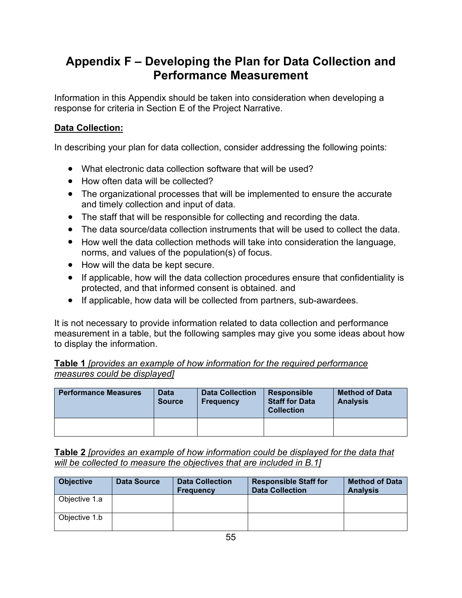# **Appendix F – Developing the Plan for Data Collection and Performance Measurement**

Information in this Appendix should be taken into consideration when developing a response for criteria in Section E of the Project Narrative.

## **Data Collection:**

In describing your plan for data collection, consider addressing the following points:

- What electronic data collection software that will be used?
- How often data will be collected?
- The organizational processes that will be implemented to ensure the accurate and timely collection and input of data.
- The staff that will be responsible for collecting and recording the data.
- The data source/data collection instruments that will be used to collect the data.
- How well the data collection methods will take into consideration the language, norms, and values of the population(s) of focus.
- How will the data be kept secure.
- If applicable, how will the data collection procedures ensure that confidentiality is protected, and that informed consent is obtained. and
- If applicable, how data will be collected from partners, sub-awardees.

It is not necessary to provide information related to data collection and performance measurement in a table, but the following samples may give you some ideas about how to display the information.

### **Table 1** *[provides an example of how information for the required performance measures could be displayed]*

| <b>Performance Measures</b> | <b>Data</b><br><b>Source</b> | <b>Data Collection</b><br><b>Frequency</b> | <b>Responsible</b><br><b>Staff for Data</b><br><b>Collection</b> | <b>Method of Data</b><br><b>Analysis</b> |
|-----------------------------|------------------------------|--------------------------------------------|------------------------------------------------------------------|------------------------------------------|
|                             |                              |                                            |                                                                  |                                          |

**Table 2** *[provides an example of how information could be displayed for the data that will be collected to measure the objectives that are included in B.1]*

| <b>Objective</b> | <b>Data Source</b> | <b>Data Collection</b><br><b>Frequency</b> | <b>Responsible Staff for</b><br><b>Data Collection</b> | <b>Method of Data</b><br><b>Analysis</b> |
|------------------|--------------------|--------------------------------------------|--------------------------------------------------------|------------------------------------------|
| Objective 1.a    |                    |                                            |                                                        |                                          |
| Objective 1.b    |                    |                                            |                                                        |                                          |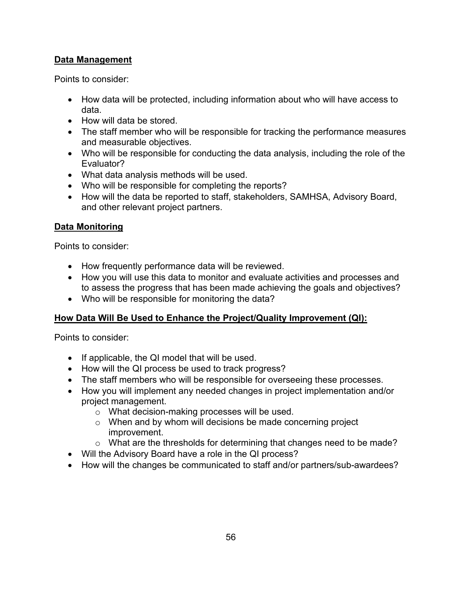## **Data Management**

Points to consider:

- How data will be protected, including information about who will have access to data.
- How will data be stored.
- The staff member who will be responsible for tracking the performance measures and measurable objectives.
- Who will be responsible for conducting the data analysis, including the role of the Evaluator?
- What data analysis methods will be used.
- Who will be responsible for completing the reports?
- How will the data be reported to staff, stakeholders, SAMHSA, Advisory Board, and other relevant project partners.

### **Data Monitoring**

Points to consider:

- How frequently performance data will be reviewed.
- How you will use this data to monitor and evaluate activities and processes and to assess the progress that has been made achieving the goals and objectives?
- Who will be responsible for monitoring the data?

## **How Data Will Be Used to Enhance the Project/Quality Improvement (QI):**

Points to consider:

- If applicable, the QI model that will be used.
- How will the QI process be used to track progress?
- The staff members who will be responsible for overseeing these processes.
- How you will implement any needed changes in project implementation and/or project management.
	- o What decision-making processes will be used.
	- o When and by whom will decisions be made concerning project improvement.
	- o What are the thresholds for determining that changes need to be made?
- Will the Advisory Board have a role in the QI process?
- How will the changes be communicated to staff and/or partners/sub-awardees?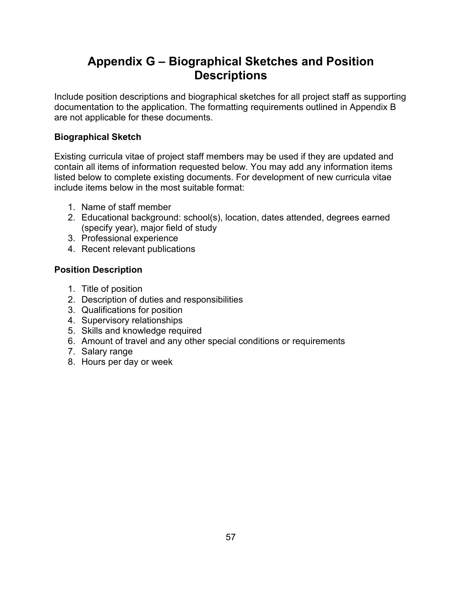# **Appendix G – Biographical Sketches and Position Descriptions**

Include position descriptions and biographical sketches for all project staff as supporting documentation to the application. The formatting requirements outlined in Appendix B are not applicable for these documents.

## **Biographical Sketch**

Existing curricula vitae of project staff members may be used if they are updated and contain all items of information requested below. You may add any information items listed below to complete existing documents. For development of new curricula vitae include items below in the most suitable format:

- 1. Name of staff member
- 2. Educational background: school(s), location, dates attended, degrees earned (specify year), major field of study
- 3. Professional experience
- 4. Recent relevant publications

## **Position Description**

- 1. Title of position
- 2. Description of duties and responsibilities
- 3. Qualifications for position
- 4. Supervisory relationships
- 5. Skills and knowledge required
- 6. Amount of travel and any other special conditions or requirements
- 7. Salary range
- 8. Hours per day or week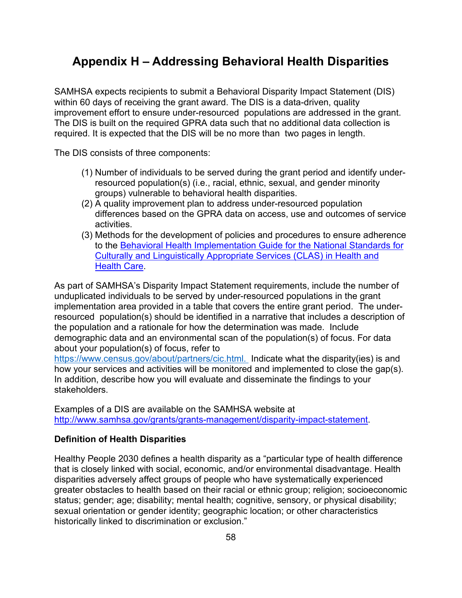# **Appendix H – Addressing Behavioral Health Disparities**

SAMHSA expects recipients to submit a Behavioral Disparity Impact Statement (DIS) within 60 days of receiving the grant award. The DIS is a data-driven, quality improvement effort to ensure under-resourced populations are addressed in the grant. The DIS is built on the required GPRA data such that no additional data collection is required. It is expected that the DIS will be no more than two pages in length.

The DIS consists of three components:

- (1) Number of individuals to be served during the grant period and identify underresourced population(s) (i.e., racial, ethnic, sexual, and gender minority groups) vulnerable to behavioral health disparities.
- (2) A quality improvement plan to address under-resourced population differences based on the GPRA data on access, use and outcomes of service activities.
- (3) Methods for the development of policies and procedures to ensure adherence to the [Behavioral Health Implementation Guide for the](https://www.minorityhealth.hhs.gov/minority-mental-health/clas/?utm_medium=email&utm_source=govdelivery) National Standards for [Culturally and Linguistically Appropriate Services \(CLAS\) in Health and](https://www.minorityhealth.hhs.gov/minority-mental-health/clas/?utm_medium=email&utm_source=govdelivery)  [Health Care.](https://www.minorityhealth.hhs.gov/minority-mental-health/clas/?utm_medium=email&utm_source=govdelivery)

As part of SAMHSA's Disparity Impact Statement requirements, include the number of unduplicated individuals to be served by under-resourced populations in the grant implementation area provided in a table that covers the entire grant period. The underresourced population(s) should be identified in a narrative that includes a description of the population and a rationale for how the determination was made. Include demographic data and an environmental scan of the population(s) of focus. For data about your population(s) of focus, refer to

[https://www.census.gov/about/partners/cic.html.](https://www.census.gov/about/partners/cic.html) Indicate what the disparity(ies) is and how your services and activities will be monitored and implemented to close the gap(s). In addition, describe how you will evaluate and disseminate the findings to your stakeholders.

Examples of a DIS are available on the SAMHSA website at [http://www.samhsa.gov/grants/grants-management/disparity-impact-statement.](http://www.samhsa.gov/grants/grants-management/disparity-impact-statement)

### **Definition of Health Disparities**

Healthy People 2030 defines a health disparity as a "particular type of health difference that is closely linked with social, economic, and/or environmental disadvantage. Health disparities adversely affect groups of people who have systematically experienced greater obstacles to health based on their racial or ethnic group; religion; socioeconomic status; gender; age; disability; mental health; cognitive, sensory, or physical disability; sexual orientation or gender identity; geographic location; or other characteristics historically linked to discrimination or exclusion."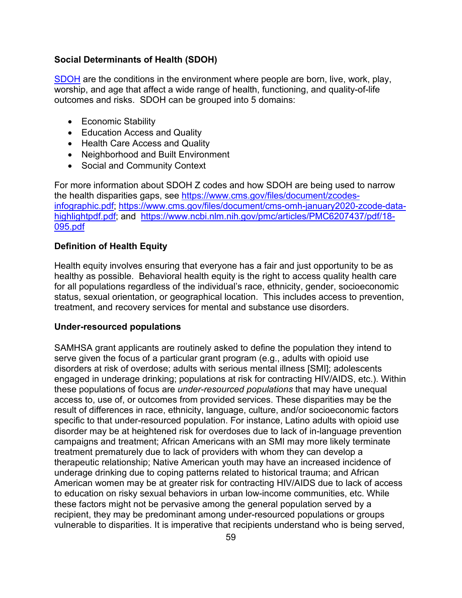### **Social Determinants of Health (SDOH)**

[SDOH](https://www.cdc.gov/socialdeterminants/index.htm) are the conditions in the environment where people are born, live, work, play, worship, and age that affect a wide range of health, functioning, and quality-of-life outcomes and risks. SDOH can be grouped into 5 domains:

- Economic Stability
- Education Access and Quality
- Health Care Access and Quality
- Neighborhood and Built Environment
- Social and Community Context

For more information about SDOH Z codes and how SDOH are being used to narrow the health disparities gaps, see [https://www.cms.gov/files/document/zcodes](https://www.cms.gov/files/document/zcodes-infographic.pdf)[infographic.pdf;](https://www.cms.gov/files/document/zcodes-infographic.pdf) [https://www.cms.gov/files/document/cms-omh-january2020-zcode-data](https://www.cms.gov/files/document/cms-omh-january2020-zcode-data-highlightpdf.pdf)[highlightpdf.pdf;](https://www.cms.gov/files/document/cms-omh-january2020-zcode-data-highlightpdf.pdf) and [https://www.ncbi.nlm.nih.gov/pmc/articles/PMC6207437/pdf/18-](https://www.ncbi.nlm.nih.gov/pmc/articles/PMC6207437/pdf/18-095.pdf) [095.pdf](https://www.ncbi.nlm.nih.gov/pmc/articles/PMC6207437/pdf/18-095.pdf)

### **Definition of Health Equity**

Health equity involves ensuring that everyone has a fair and just opportunity to be as healthy as possible. Behavioral health equity is the right to access quality health care for all populations regardless of the individual's race, ethnicity, gender, socioeconomic status, sexual orientation, or geographical location. This includes access to prevention, treatment, and recovery services for mental and substance use disorders.

### **Under-resourced populations**

SAMHSA grant applicants are routinely asked to define the population they intend to serve given the focus of a particular grant program (e.g., adults with opioid use disorders at risk of overdose; adults with serious mental illness [SMI]; adolescents engaged in underage drinking; populations at risk for contracting HIV/AIDS, etc.). Within these populations of focus are *under-resourced populations* that may have unequal access to, use of, or outcomes from provided services. These disparities may be the result of differences in race, ethnicity, language, culture, and/or socioeconomic factors specific to that under-resourced population. For instance, Latino adults with opioid use disorder may be at heightened risk for overdoses due to lack of in-language prevention campaigns and treatment; African Americans with an SMI may more likely terminate treatment prematurely due to lack of providers with whom they can develop a therapeutic relationship; Native American youth may have an increased incidence of underage drinking due to coping patterns related to historical trauma; and African American women may be at greater risk for contracting HIV/AIDS due to lack of access to education on risky sexual behaviors in urban low-income communities, etc. While these factors might not be pervasive among the general population served by a recipient, they may be predominant among under-resourced populations or groups vulnerable to disparities. It is imperative that recipients understand who is being served,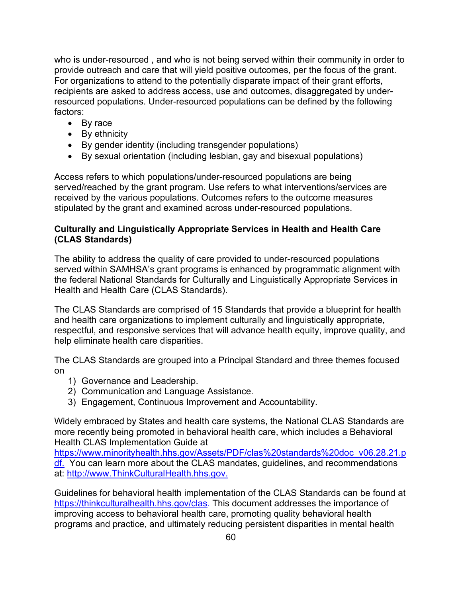who is under-resourced , and who is not being served within their community in order to provide outreach and care that will yield positive outcomes, per the focus of the grant. For organizations to attend to the potentially disparate impact of their grant efforts, recipients are asked to address access, use and outcomes, disaggregated by underresourced populations. Under-resourced populations can be defined by the following factors:

- By race
- By ethnicity
- By gender identity (including transgender populations)
- By sexual orientation (including lesbian, gay and bisexual populations)

Access refers to which populations/under-resourced populations are being served/reached by the grant program. Use refers to what interventions/services are received by the various populations. Outcomes refers to the outcome measures stipulated by the grant and examined across under-resourced populations.

### **Culturally and Linguistically Appropriate Services in Health and Health Care (CLAS Standards)**

The ability to address the quality of care provided to under-resourced populations served within SAMHSA's grant programs is enhanced by programmatic alignment with the federal National Standards for Culturally and Linguistically Appropriate Services in Health and Health Care (CLAS Standards).

The CLAS Standards are comprised of 15 Standards that provide a blueprint for health and health care organizations to implement culturally and linguistically appropriate, respectful, and responsive services that will advance health equity, improve quality, and help eliminate health care disparities.

The CLAS Standards are grouped into a Principal Standard and three themes focused on

- 1) Governance and Leadership.
- 2) Communication and Language Assistance.
- 3) Engagement, Continuous Improvement and Accountability.

Widely embraced by States and health care systems, the National CLAS Standards are more recently being promoted in behavioral health care, which includes a Behavioral Health CLAS Implementation Guide at

[https://www.minorityhealth.hhs.gov/Assets/PDF/clas%20standards%20doc\\_v06.28.21.p](https://www.minorityhealth.hhs.gov/Assets/PDF/clas%20standards%20doc_v06.28.21.pdf) [df.](https://www.minorityhealth.hhs.gov/Assets/PDF/clas%20standards%20doc_v06.28.21.pdf) You can learn more about the CLAS mandates, guidelines, and recommendations at: [http://www.ThinkCulturalHealth.hhs.gov.](http://www.thinkculturalhealth.hhs.gov/)

Guidelines for behavioral health implementation of the CLAS Standards can be found at [https://thinkculturalhealth.hhs.gov/clas.](https://thinkculturalhealth.hhs.gov/clas) This document addresses the importance of improving access to behavioral health care, promoting quality behavioral health programs and practice, and ultimately reducing persistent disparities in mental health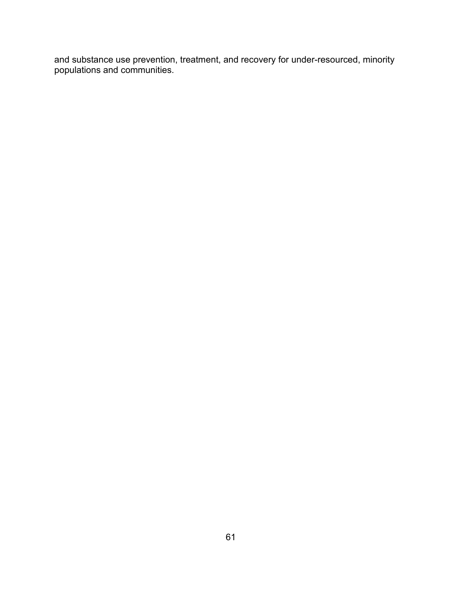and substance use prevention, treatment, and recovery for under-resourced, minority populations and communities.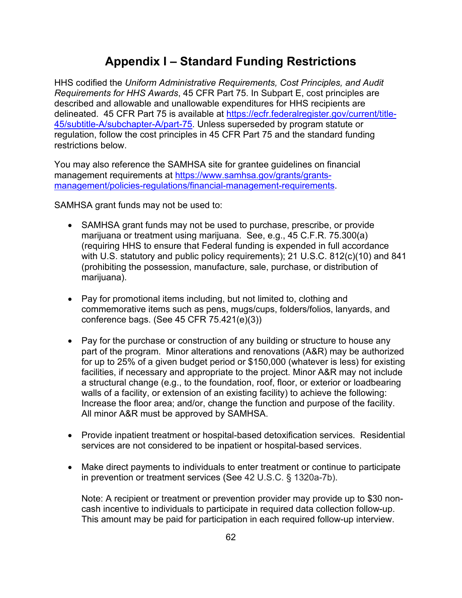# **Appendix I – Standard Funding Restrictions**

HHS codified the *Uniform Administrative Requirements, Cost Principles, and Audit Requirements for HHS Awards*, 45 CFR Part 75. In Subpart E, cost principles are described and allowable and unallowable expenditures for HHS recipients are delineated. 45 CFR Part 75 is available at [https://ecfr.federalregister.gov/current/title-](https://ecfr.federalregister.gov/current/title-45/subtitle-A/subchapter-A/part-75)[45/subtitle-A/subchapter-A/part-75.](https://ecfr.federalregister.gov/current/title-45/subtitle-A/subchapter-A/part-75) Unless superseded by program statute or regulation, follow the cost principles in 45 CFR Part 75 and the standard funding restrictions below.

You may also reference the SAMHSA site for grantee guidelines on financial management requirements at [https://www.samhsa.gov/grants/grants](https://www.samhsa.gov/grants/grants-management/policies-regulations/financial-management-requirements)[management/policies-regulations/financial-management-requirements.](https://www.samhsa.gov/grants/grants-management/policies-regulations/financial-management-requirements)

SAMHSA grant funds may not be used to:

- SAMHSA grant funds may not be used to purchase, prescribe, or provide marijuana or treatment using marijuana. See, e.g., 45 C.F.R. 75.300(a) (requiring HHS to ensure that Federal funding is expended in full accordance with U.S. statutory and public policy requirements); 21 U.S.C. 812(c)(10) and 841 (prohibiting the possession, manufacture, sale, purchase, or distribution of marijuana).
- Pay for promotional items including, but not limited to, clothing and commemorative items such as pens, mugs/cups, folders/folios, lanyards, and conference bags. (See 45 CFR 75.421(e)(3))
- Pay for the purchase or construction of any building or structure to house any part of the program. Minor alterations and renovations (A&R) may be authorized for up to 25% of a given budget period or \$150,000 (whatever is less) for existing facilities, if necessary and appropriate to the project. Minor A&R may not include a structural change (e.g., to the foundation, roof, floor, or exterior or loadbearing walls of a facility, or extension of an existing facility) to achieve the following: Increase the floor area; and/or, change the function and purpose of the facility. All minor A&R must be approved by SAMHSA.
- Provide inpatient treatment or hospital-based detoxification services. Residential services are not considered to be inpatient or hospital-based services.
- Make direct payments to individuals to enter treatment or continue to participate in prevention or treatment services (See 42 U.S.C. § 1320a-7b).

Note: A recipient or treatment or prevention provider may provide up to \$30 noncash incentive to individuals to participate in required data collection follow-up. This amount may be paid for participation in each required follow-up interview.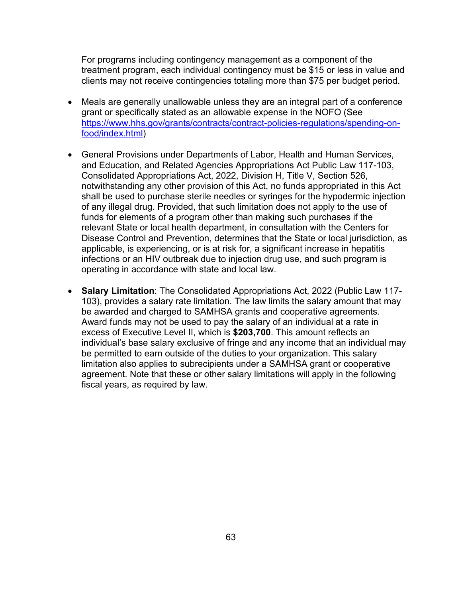For programs including contingency management as a component of the treatment program, each individual contingency must be \$15 or less in value and clients may not receive contingencies totaling more than \$75 per budget period.

- Meals are generally unallowable unless they are an integral part of a conference grant or specifically stated as an allowable expense in the NOFO (See [https://www.hhs.gov/grants/contracts/contract-policies-regulations/spending-on](https://www.hhs.gov/grants/contracts/contract-policies-regulations/spending-on-food/index.html)[food/index.html\)](https://www.hhs.gov/grants/contracts/contract-policies-regulations/spending-on-food/index.html)
- General Provisions under Departments of Labor, Health and Human Services, and Education, and Related Agencies Appropriations Act Public Law 117-103, Consolidated Appropriations Act, 2022, Division H, Title V, Section 526, notwithstanding any other provision of this Act, no funds appropriated in this Act shall be used to purchase sterile needles or syringes for the hypodermic injection of any illegal drug. Provided, that such limitation does not apply to the use of funds for elements of a program other than making such purchases if the relevant State or local health department, in consultation with the Centers for Disease Control and Prevention, determines that the State or local jurisdiction, as applicable, is experiencing, or is at risk for, a significant increase in hepatitis infections or an HIV outbreak due to injection drug use, and such program is operating in accordance with state and local law.
- **Salary Limitation**: The Consolidated Appropriations Act, 2022 (Public Law 117- 103), provides a salary rate limitation. The law limits the salary amount that may be awarded and charged to SAMHSA grants and cooperative agreements. Award funds may not be used to pay the salary of an individual at a rate in excess of Executive Level II, which is **\$203,700**. This amount reflects an individual's base salary exclusive of fringe and any income that an individual may be permitted to earn outside of the duties to your organization. This salary limitation also applies to subrecipients under a SAMHSA grant or cooperative agreement. Note that these or other salary limitations will apply in the following fiscal years, as required by law.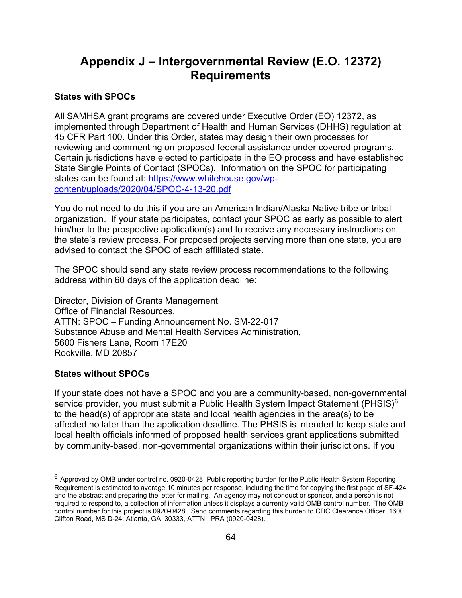# **Appendix J – Intergovernmental Review (E.O. 12372) Requirements**

### **States with SPOCs**

All SAMHSA grant programs are covered under Executive Order (EO) 12372, as implemented through Department of Health and Human Services (DHHS) regulation at 45 CFR Part 100. Under this Order, states may design their own processes for reviewing and commenting on proposed federal assistance under covered programs. Certain jurisdictions have elected to participate in the EO process and have established State Single Points of Contact (SPOCs). Information on the SPOC for participating states can be found at: [https://www.whitehouse.gov/wp](https://www.whitehouse.gov/wp-content/uploads/2020/04/SPOC-4-13-20.pdf)[content/uploads/2020/04/SPOC-4-13-20.pdf](https://www.whitehouse.gov/wp-content/uploads/2020/04/SPOC-4-13-20.pdf)

You do not need to do this if you are an American Indian/Alaska Native tribe or tribal organization. If your state participates, contact your SPOC as early as possible to alert him/her to the prospective application(s) and to receive any necessary instructions on the state's review process. For proposed projects serving more than one state, you are advised to contact the SPOC of each affiliated state.

The SPOC should send any state review process recommendations to the following address within 60 days of the application deadline:

Director, Division of Grants Management Office of Financial Resources, ATTN: SPOC – Funding Announcement No. SM-22-017 Substance Abuse and Mental Health Services Administration, 5600 Fishers Lane, Room 17E20 Rockville, MD 20857

### **States without SPOCs**

If your state does not have a SPOC and you are a community-based, non-governmental service provider, you must submit a Public Health System Impact Statement (PHSIS)<sup>[6](#page-63-0)</sup> to the head(s) of appropriate state and local health agencies in the area(s) to be affected no later than the application deadline. The PHSIS is intended to keep state and local health officials informed of proposed health services grant applications submitted by community-based, non-governmental organizations within their jurisdictions. If you

<span id="page-63-0"></span> $6$  Approved by OMB under control no. 0920-0428; Public reporting burden for the Public Health System Reporting Requirement is estimated to average 10 minutes per response, including the time for copying the first page of SF-424 and the abstract and preparing the letter for mailing. An agency may not conduct or sponsor, and a person is not required to respond to, a collection of information unless it displays a currently valid OMB control number. The OMB control number for this project is 0920-0428. Send comments regarding this burden to CDC Clearance Officer, 1600 Clifton Road, MS D-24, Atlanta, GA 30333, ATTN: PRA (0920-0428).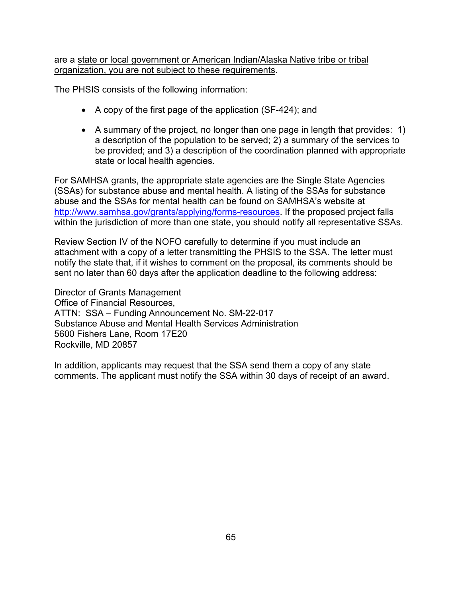are a state or local government or American Indian/Alaska Native tribe or tribal organization, you are not subject to these requirements.

The PHSIS consists of the following information:

- A copy of the first page of the application (SF-424); and
- A summary of the project, no longer than one page in length that provides: 1) a description of the population to be served; 2) a summary of the services to be provided; and 3) a description of the coordination planned with appropriate state or local health agencies.

For SAMHSA grants, the appropriate state agencies are the Single State Agencies (SSAs) for substance abuse and mental health. A listing of the SSAs for substance abuse and the SSAs for mental health can be found on SAMHSA's website at [http://www.samhsa.gov/grants/applying/forms-resources.](http://www.samhsa.gov/grants/applying/forms-resources) If the proposed project falls within the jurisdiction of more than one state, you should notify all representative SSAs.

Review Section IV of the NOFO carefully to determine if you must include an attachment with a copy of a letter transmitting the PHSIS to the SSA. The letter must notify the state that, if it wishes to comment on the proposal, its comments should be sent no later than 60 days after the application deadline to the following address:

Director of Grants Management Office of Financial Resources, ATTN: SSA – Funding Announcement No. SM-22-017 Substance Abuse and Mental Health Services Administration 5600 Fishers Lane, Room 17E20 Rockville, MD 20857

In addition, applicants may request that the SSA send them a copy of any state comments. The applicant must notify the SSA within 30 days of receipt of an award.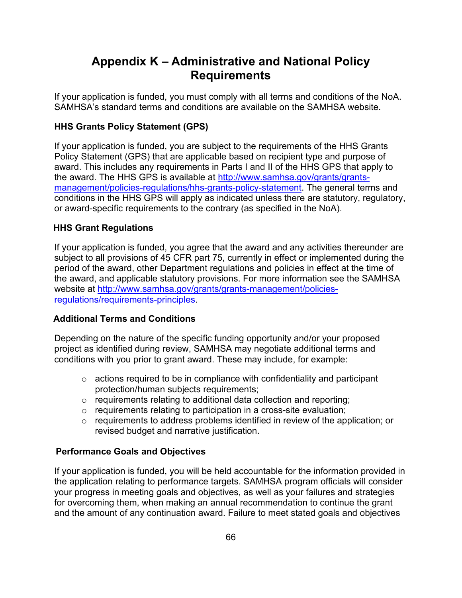# **Appendix K – Administrative and National Policy Requirements**

If your application is funded, you must comply with all terms and conditions of the NoA. SAMHSA's standard terms and conditions are available on the SAMHSA website.

## **HHS Grants Policy Statement (GPS)**

If your application is funded, you are subject to the requirements of the HHS Grants Policy Statement (GPS) that are applicable based on recipient type and purpose of award. This includes any requirements in Parts I and II of the HHS GPS that apply to the award. The HHS GPS is available at [http://www.samhsa.gov/grants/grants](http://www.samhsa.gov/grants/grants-management/policies-regulations/hhs-grants-policy-statement)[management/policies-regulations/hhs-grants-policy-statement.](http://www.samhsa.gov/grants/grants-management/policies-regulations/hhs-grants-policy-statement) The general terms and conditions in the HHS GPS will apply as indicated unless there are statutory, regulatory, or award-specific requirements to the contrary (as specified in the NoA).

### **HHS Grant Regulations**

If your application is funded, you agree that the award and any activities thereunder are subject to all provisions of 45 CFR part 75, currently in effect or implemented during the period of the award, other Department regulations and policies in effect at the time of the award, and applicable statutory provisions. For more information see the SAMHSA website at [http://www.samhsa.gov/grants/grants-management/policies](http://www.samhsa.gov/grants/grants-management/policies-regulations/requirements-principles)[regulations/requirements-principles.](http://www.samhsa.gov/grants/grants-management/policies-regulations/requirements-principles)

### **Additional Terms and Conditions**

Depending on the nature of the specific funding opportunity and/or your proposed project as identified during review, SAMHSA may negotiate additional terms and conditions with you prior to grant award. These may include, for example:

- $\circ$  actions required to be in compliance with confidentiality and participant protection/human subjects requirements;
- o requirements relating to additional data collection and reporting;
- $\circ$  requirements relating to participation in a cross-site evaluation;
- $\circ$  requirements to address problems identified in review of the application; or revised budget and narrative justification.

### **Performance Goals and Objectives**

If your application is funded, you will be held accountable for the information provided in the application relating to performance targets. SAMHSA program officials will consider your progress in meeting goals and objectives, as well as your failures and strategies for overcoming them, when making an annual recommendation to continue the grant and the amount of any continuation award. Failure to meet stated goals and objectives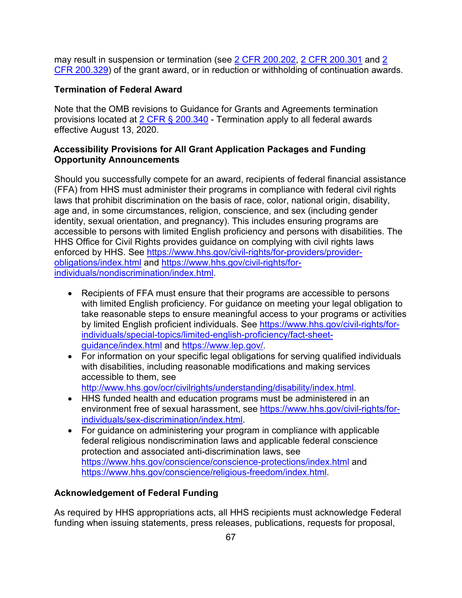may result in suspension or termination (see [2 CFR 200.202,](https://www.ecfr.gov/current/title-2/subtitle-A/chapter-II/part-200/subpart-C/section-200.202) [2 CFR 200.301](https://www.ecfr.gov/current/title-2/subtitle-A/chapter-II/part-200/subpart-D/section-200.301) and 2 [CFR 200.329\)](https://www.ecfr.gov/current/title-2/subtitle-A/chapter-II/part-200/subpart-D/subject-group-ECFR36520e4111dce32/section-200.329) of the grant award, or in reduction or withholding of continuation awards.

### **Termination of Federal Award**

Note that the OMB revisions to Guidance for Grants and Agreements termination provisions located at [2 CFR § 200.340](https://www.ecfr.gov/current/title-2/subtitle-A/chapter-II/part-200/subpart-D/subject-group-ECFR86b76dde0e1e9dc/section-200.340) - Termination apply to all federal awards effective August 13, 2020.

### **Accessibility Provisions for All Grant Application Packages and Funding Opportunity Announcements**

Should you successfully compete for an award, recipients of federal financial assistance (FFA) from HHS must administer their programs in compliance with federal civil rights laws that prohibit discrimination on the basis of race, color, national origin, disability, age and, in some circumstances, religion, conscience, and sex (including gender identity, sexual orientation, and pregnancy). This includes ensuring programs are accessible to persons with limited English proficiency and persons with disabilities. The HHS Office for Civil Rights provides guidance on complying with civil rights laws enforced by HHS. See [https://www.hhs.gov/civil-rights/for-providers/provider](https://www.hhs.gov/civil-rights/for-providers/provider-obligations/index.html)[obligations/index.html](https://www.hhs.gov/civil-rights/for-providers/provider-obligations/index.html) and [https://www.hhs.gov/civil-rights/for](https://www.hhs.gov/civil-rights/for-individuals/nondiscrimination/index.html)individuals/nondiscrimination/index.html

- Recipients of FFA must ensure that their programs are accessible to persons with limited English proficiency. For guidance on meeting your legal obligation to take reasonable steps to ensure meaningful access to your programs or activities by limited English proficient individuals. See [https://www.hhs.gov/civil-rights/for](https://www.hhs.gov/civil-rights/for-individuals/special-topics/limited-english-proficiency/fact-sheet-guidance/index.html)[individuals/special-topics/limited-english-proficiency/fact-sheet](https://www.hhs.gov/civil-rights/for-individuals/special-topics/limited-english-proficiency/fact-sheet-guidance/index.html)[guidance/index.html](https://www.hhs.gov/civil-rights/for-individuals/special-topics/limited-english-proficiency/fact-sheet-guidance/index.html) and [https://www.lep.gov/.](https://www.lep.gov/)
- For information on your specific legal obligations for serving qualified individuals with disabilities, including reasonable modifications and making services accessible to them, see [http://www.hhs.gov/ocr/civilrights/understanding/disability/index.html.](http://www.hhs.gov/ocr/civilrights/understanding/disability/index.html)
- HHS funded health and education programs must be administered in an environment free of sexual harassment, see [https://www.hhs.gov/civil-rights/for](https://www.hhs.gov/civil-rights/for-individuals/sex-discrimination/index.html)[individuals/sex-discrimination/index.html.](https://www.hhs.gov/civil-rights/for-individuals/sex-discrimination/index.html)
- For guidance on administering your program in compliance with applicable federal religious nondiscrimination laws and applicable federal conscience protection and associated anti-discrimination laws, see <https://www.hhs.gov/conscience/conscience-protections/index.html> and [https://www.hhs.gov/conscience/religious-freedom/index.html.](https://www.hhs.gov/conscience/religious-freedom/index.html)

### **Acknowledgement of Federal Funding**

As required by HHS appropriations acts, all HHS recipients must acknowledge Federal funding when issuing statements, press releases, publications, requests for proposal,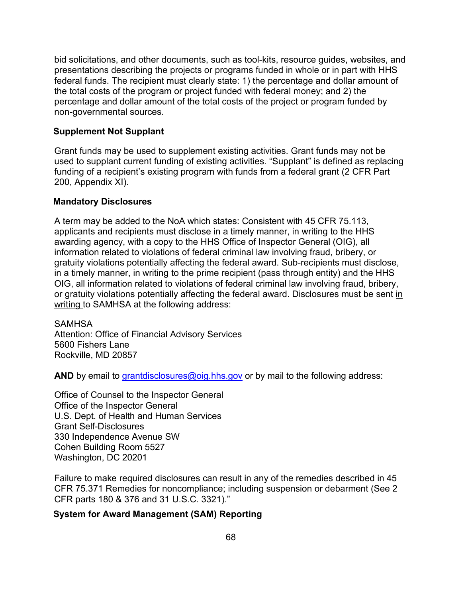bid solicitations, and other documents, such as tool-kits, resource guides, websites, and presentations describing the projects or programs funded in whole or in part with HHS federal funds. The recipient must clearly state: 1) the percentage and dollar amount of the total costs of the program or project funded with federal money; and 2) the percentage and dollar amount of the total costs of the project or program funded by non-governmental sources.

### **Supplement Not Supplant**

Grant funds may be used to supplement existing activities. Grant funds may not be used to supplant current funding of existing activities. "Supplant" is defined as replacing funding of a recipient's existing program with funds from a federal grant (2 CFR Part 200, Appendix XI).

#### **Mandatory Disclosures**

A term may be added to the NoA which states: Consistent with 45 CFR 75.113, applicants and recipients must disclose in a timely manner, in writing to the HHS awarding agency, with a copy to the HHS Office of Inspector General (OIG), all information related to violations of federal criminal law involving fraud, bribery, or gratuity violations potentially affecting the federal award. Sub-recipients must disclose, in a timely manner, in writing to the prime recipient (pass through entity) and the HHS OIG, all information related to violations of federal criminal law involving fraud, bribery, or gratuity violations potentially affecting the federal award. Disclosures must be sent in writing to SAMHSA at the following address:

**SAMHSA** Attention: Office of Financial Advisory Services 5600 Fishers Lane Rockville, MD 20857

AND by email to [grantdisclosures@oig.hhs.gov](mailto:grantdisclosures@oig.hhs.gov) or by mail to the following address:

Office of Counsel to the Inspector General Office of the Inspector General U.S. Dept. of Health and Human Services Grant Self-Disclosures 330 Independence Avenue SW Cohen Building Room 5527 Washington, DC 20201

Failure to make required disclosures can result in any of the remedies described in 45 CFR 75.371 Remedies for noncompliance; including suspension or debarment (See 2 CFR parts 180 & 376 and 31 U.S.C. 3321)."

### **System for Award Management (SAM) Reporting**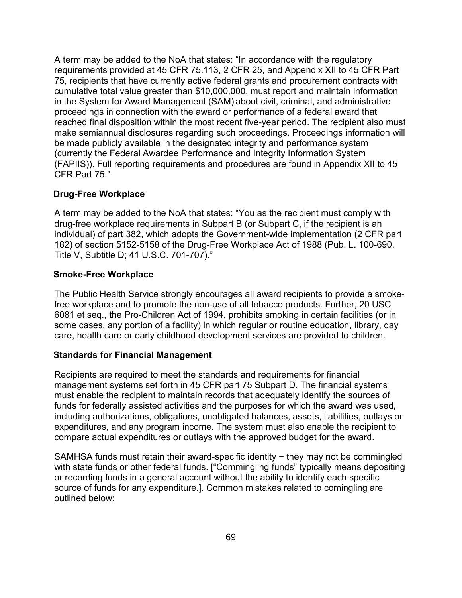A term may be added to the NoA that states: "In accordance with the regulatory requirements provided at 45 CFR 75.113, 2 CFR 25, and Appendix XII to 45 CFR Part 75, recipients that have currently active federal grants and procurement contracts with cumulative total value greater than \$10,000,000, must report and maintain information in the System for Award Management (SAM) about civil, criminal, and administrative proceedings in connection with the award or performance of a federal award that reached final disposition within the most recent five-year period. The recipient also must make semiannual disclosures regarding such proceedings. Proceedings information will be made publicly available in the designated integrity and performance system (currently the Federal Awardee Performance and Integrity Information System (FAPIIS)). Full reporting requirements and procedures are found in Appendix XII to 45 CFR Part 75."

### **Drug-Free Workplace**

A term may be added to the NoA that states: "You as the recipient must comply with drug-free workplace requirements in Subpart B (or Subpart C, if the recipient is an individual) of part 382, which adopts the Government-wide implementation (2 CFR part 182) of section 5152-5158 of the Drug-Free Workplace Act of 1988 (Pub. L. 100-690, Title V, Subtitle D; 41 U.S.C. 701-707)."

### **Smoke-Free Workplace**

The Public Health Service strongly encourages all award recipients to provide a smokefree workplace and to promote the non-use of all tobacco products. Further, 20 USC 6081 et seq., the Pro-Children Act of 1994, prohibits smoking in certain facilities (or in some cases, any portion of a facility) in which regular or routine education, library, day care, health care or early childhood development services are provided to children.

### **Standards for Financial Management**

Recipients are required to meet the standards and requirements for financial management systems set forth in 45 CFR part 75 Subpart D. The financial systems must enable the recipient to maintain records that adequately identify the sources of funds for federally assisted activities and the purposes for which the award was used, including authorizations, obligations, unobligated balances, assets, liabilities, outlays or expenditures, and any program income. The system must also enable the recipient to compare actual expenditures or outlays with the approved budget for the award.

SAMHSA funds must retain their award-specific identity − they may not be commingled with state funds or other federal funds. ["Commingling funds" typically means depositing or recording funds in a general account without the ability to identify each specific source of funds for any expenditure.]. Common mistakes related to comingling are outlined below: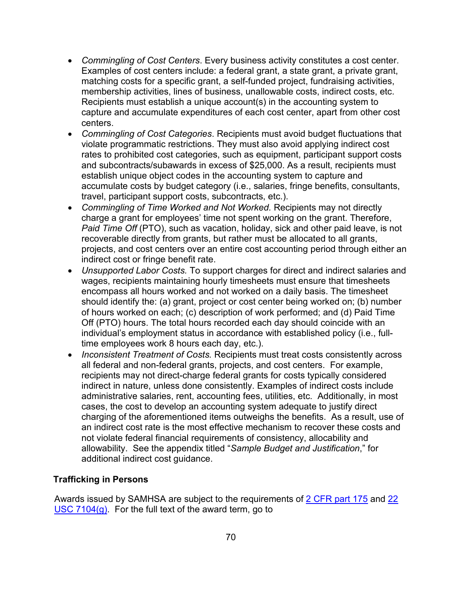- *Commingling of Cost Centers*. Every business activity constitutes a cost center. Examples of cost centers include: a federal grant, a state grant, a private grant, matching costs for a specific grant, a self-funded project, fundraising activities, membership activities, lines of business, unallowable costs, indirect costs, etc. Recipients must establish a unique account(s) in the accounting system to capture and accumulate expenditures of each cost center, apart from other cost centers.
- *Commingling of Cost Categories*. Recipients must avoid budget fluctuations that violate programmatic restrictions. They must also avoid applying indirect cost rates to prohibited cost categories, such as equipment, participant support costs and subcontracts/subawards in excess of \$25,000. As a result, recipients must establish unique object codes in the accounting system to capture and accumulate costs by budget category (i.e., salaries, fringe benefits, consultants, travel, participant support costs, subcontracts, etc.).
- *Commingling of Time Worked and Not Worked.* Recipients may not directly charge a grant for employees' time not spent working on the grant. Therefore, *Paid Time Off* (PTO), such as vacation, holiday, sick and other paid leave, is not recoverable directly from grants, but rather must be allocated to all grants, projects, and cost centers over an entire cost accounting period through either an indirect cost or fringe benefit rate.
- *Unsupported Labor Costs.* To support charges for direct and indirect salaries and wages, recipients maintaining hourly timesheets must ensure that timesheets encompass all hours worked and not worked on a daily basis. The timesheet should identify the: (a) grant, project or cost center being worked on; (b) number of hours worked on each; (c) description of work performed; and (d) Paid Time Off (PTO) hours. The total hours recorded each day should coincide with an individual's employment status in accordance with established policy (i.e., fulltime employees work 8 hours each day, etc.).
- *Inconsistent Treatment of Costs.* Recipients must treat costs consistently across all federal and non-federal grants, projects, and cost centers. For example, recipients may not direct-charge federal grants for costs typically considered indirect in nature, unless done consistently. Examples of indirect costs include administrative salaries, rent, accounting fees, utilities, etc. Additionally, in most cases, the cost to develop an accounting system adequate to justify direct charging of the aforementioned items outweighs the benefits. As a result, use of an indirect cost rate is the most effective mechanism to recover these costs and not violate federal financial requirements of consistency, allocability and allowability. See the appendix titled "*Sample Budget and Justification*," for additional indirect cost guidance.

### **Trafficking in Persons**

Awards issued by SAMHSA are subject to the requirements of [2 CFR part 175](https://www.ecfr.gov/current/title-2/subtitle-A/chapter-I/part-175) and [22](https://www.govinfo.gov/app/details/USCODE-2010-title22/USCODE-2010-title22-chap78-sec7104)  [USC 7104\(g\).](https://www.govinfo.gov/app/details/USCODE-2010-title22/USCODE-2010-title22-chap78-sec7104) For the full text of the award term, go to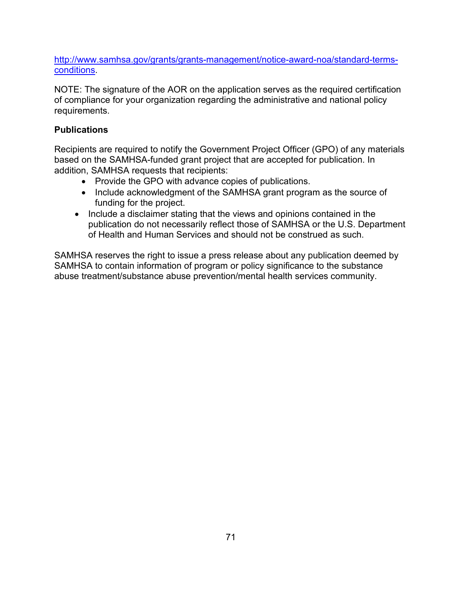[http://www.samhsa.gov/grants/grants-management/notice-award-noa/standard-terms](http://www.samhsa.gov/grants/grants-management/notice-award-noa/standard-terms-conditions)[conditions.](http://www.samhsa.gov/grants/grants-management/notice-award-noa/standard-terms-conditions)

NOTE: The signature of the AOR on the application serves as the required certification of compliance for your organization regarding the administrative and national policy requirements.

### **Publications**

Recipients are required to notify the Government Project Officer (GPO) of any materials based on the SAMHSA-funded grant project that are accepted for publication. In addition, SAMHSA requests that recipients:

- Provide the GPO with advance copies of publications.
- Include acknowledgment of the SAMHSA grant program as the source of funding for the project.
- Include a disclaimer stating that the views and opinions contained in the publication do not necessarily reflect those of SAMHSA or the U.S. Department of Health and Human Services and should not be construed as such.

SAMHSA reserves the right to issue a press release about any publication deemed by SAMHSA to contain information of program or policy significance to the substance abuse treatment/substance abuse prevention/mental health services community.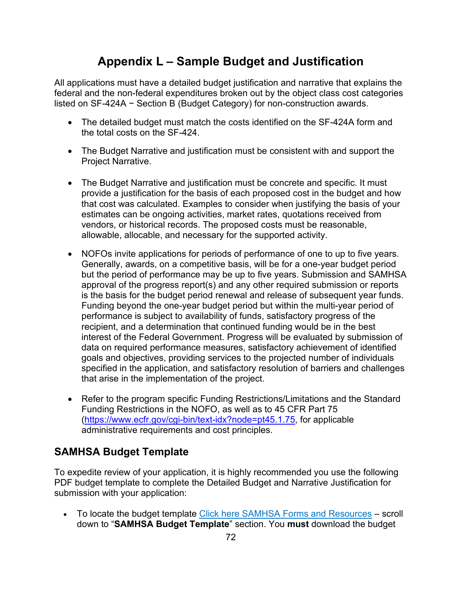# **Appendix L – Sample Budget and Justification**

All applications must have a detailed budget justification and narrative that explains the federal and the non-federal expenditures broken out by the object class cost categories listed on SF-424A − Section B (Budget Category) for non-construction awards.

- The detailed budget must match the costs identified on the SF-424A form and the total costs on the SF-424.
- The Budget Narrative and justification must be consistent with and support the Project Narrative.
- The Budget Narrative and justification must be concrete and specific. It must provide a justification for the basis of each proposed cost in the budget and how that cost was calculated. Examples to consider when justifying the basis of your estimates can be ongoing activities, market rates, quotations received from vendors, or historical records. The proposed costs must be reasonable, allowable, allocable, and necessary for the supported activity.
- NOFOs invite applications for periods of performance of one to up to five years. Generally, awards, on a competitive basis, will be for a one-year budget period but the period of performance may be up to five years. Submission and SAMHSA approval of the progress report(s) and any other required submission or reports is the basis for the budget period renewal and release of subsequent year funds. Funding beyond the one-year budget period but within the multi-year period of performance is subject to availability of funds, satisfactory progress of the recipient, and a determination that continued funding would be in the best interest of the Federal Government. Progress will be evaluated by submission of data on required performance measures, satisfactory achievement of identified goals and objectives, providing services to the projected number of individuals specified in the application, and satisfactory resolution of barriers and challenges that arise in the implementation of the project.
- Refer to the program specific Funding Restrictions/Limitations and the Standard Funding Restrictions in the NOFO, as well as to 45 CFR Part 75 [\(https://www.ecfr.gov/cgi-bin/text-idx?node=pt45.1.75,](https://www.ecfr.gov/cgi-bin/text-idx?node=pt45.1.75) for applicable administrative requirements and cost principles.

## **SAMHSA Budget Template**

To expedite review of your application, it is highly recommended you use the following PDF budget template to complete the Detailed Budget and Narrative Justification for submission with your application:

• To locate the budget template [Click here SAMHSA Forms and Resources](https://www.samhsa.gov/grants/applying/forms-resources) – scroll down to "**SAMHSA Budget Template**" section. You **must** download the budget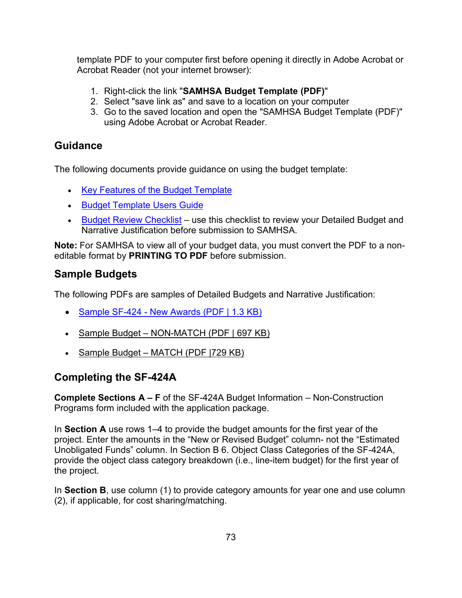template PDF to your computer first before opening it directly in Adobe Acrobat or Acrobat Reader (not your internet browser):

- 1. Right-click the link "**SAMHSA Budget Template (PDF)**"
- 2. Select "save link as" and save to a location on your computer
- 3. Go to the saved location and open the "SAMHSA Budget Template (PDF)" using Adobe Acrobat or Acrobat Reader.

## **Guidance**

The following documents provide guidance on using the budget template:

- [Key Features of the Budget Template](https://www.samhsa.gov/sites/default/files/grants/key-features-budget-template.pdf)
- [Budget Template Users Guide](https://www.samhsa.gov/sites/default/files/grants/budget-template-user-guide.pdf)
- [Budget Review Checklist](https://www.samhsa.gov/grants/continuation-grants)  use this checklist to review your Detailed Budget and Narrative Justification before submission to SAMHSA.

**Note:** For SAMHSA to view all of your budget data, you must convert the PDF to a noneditable format by **PRINTING TO PDF** before submission.

## **Sample Budgets**

The following PDFs are samples of Detailed Budgets and Narrative Justification:

- [Sample SF-424 New Awards \(PDF | 1.3 KB\)](https://www.samhsa.gov/sites/default/files/sample-sf-424-new-awards.pdf)
- [Sample Budget NON-MATCH \(PDF | 697 KB\)](https://www.samhsa.gov/sites/default/files/grants/budget-non-match.pdf)
- Sample Budget MATCH (PDF | 729 KB)

## **Completing the SF-424A**

**Complete Sections A – F** of the SF-424A Budget Information – Non-Construction Programs form included with the application package.

In **Section A** use rows 1–4 to provide the budget amounts for the first year of the project. Enter the amounts in the "New or Revised Budget" column- not the "Estimated Unobligated Funds" column. In Section B 6. Object Class Categories of the SF-424A, provide the object class category breakdown (i.e., line-item budget) for the first year of the project.

In **Section B**, use column (1) to provide category amounts for year one and use column (2), if applicable, for cost sharing/matching.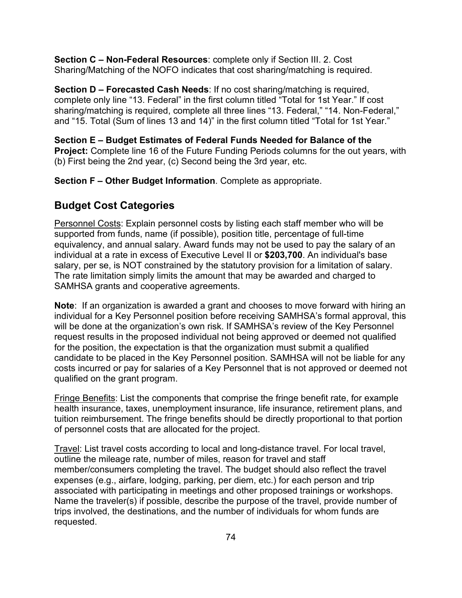**Section C – Non-Federal Resources**: complete only if Section III. 2. Cost Sharing/Matching of the NOFO indicates that cost sharing/matching is required.

**Section D – Forecasted Cash Needs**: If no cost sharing/matching is required, complete only line "13. Federal" in the first column titled "Total for 1st Year." If cost sharing/matching is required, complete all three lines "13. Federal," "14. Non-Federal," and "15. Total (Sum of lines 13 and 14)" in the first column titled "Total for 1st Year."

**Section E – Budget Estimates of Federal Funds Needed for Balance of the Project:** Complete line 16 of the Future Funding Periods columns for the out years, with (b) First being the 2nd year, (c) Second being the 3rd year, etc.

**Section F – Other Budget Information**. Complete as appropriate.

## **Budget Cost Categories**

Personnel Costs: Explain personnel costs by listing each staff member who will be supported from funds, name (if possible), position title, percentage of full-time equivalency, and annual salary. Award funds may not be used to pay the salary of an individual at a rate in excess of Executive Level II or **\$203,700**. An individual's base salary, per se, is NOT constrained by the statutory provision for a limitation of salary. The rate limitation simply limits the amount that may be awarded and charged to SAMHSA grants and cooperative agreements.

**Note**: If an organization is awarded a grant and chooses to move forward with hiring an individual for a Key Personnel position before receiving SAMHSA's formal approval, this will be done at the organization's own risk. If SAMHSA's review of the Key Personnel request results in the proposed individual not being approved or deemed not qualified for the position, the expectation is that the organization must submit a qualified candidate to be placed in the Key Personnel position. SAMHSA will not be liable for any costs incurred or pay for salaries of a Key Personnel that is not approved or deemed not qualified on the grant program.

Fringe Benefits: List the components that comprise the fringe benefit rate, for example health insurance, taxes, unemployment insurance, life insurance, retirement plans, and tuition reimbursement. The fringe benefits should be directly proportional to that portion of personnel costs that are allocated for the project.

Travel: List travel costs according to local and long-distance travel. For local travel, outline the mileage rate, number of miles, reason for travel and staff member/consumers completing the travel. The budget should also reflect the travel expenses (e.g., airfare, lodging, parking, per diem, etc.) for each person and trip associated with participating in meetings and other proposed trainings or workshops. Name the traveler(s) if possible, describe the purpose of the travel, provide number of trips involved, the destinations, and the number of individuals for whom funds are requested.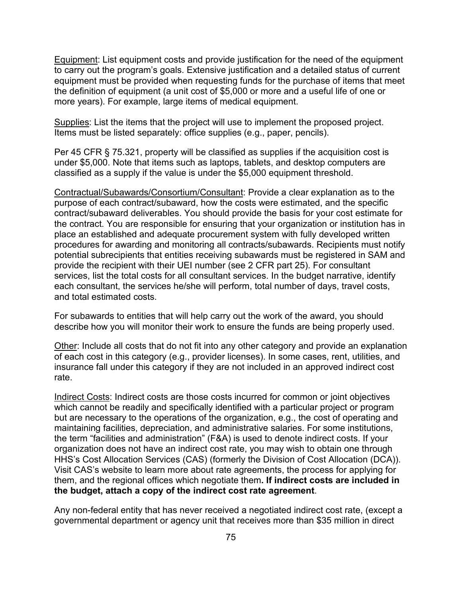Equipment: List equipment costs and provide justification for the need of the equipment to carry out the program's goals. Extensive justification and a detailed status of current equipment must be provided when requesting funds for the purchase of items that meet the definition of equipment (a unit cost of \$5,000 or more and a useful life of one or more years). For example, large items of medical equipment.

Supplies: List the items that the project will use to implement the proposed project. Items must be listed separately: office supplies (e.g., paper, pencils).

Per 45 CFR § 75.321, property will be classified as supplies if the acquisition cost is under \$5,000. Note that items such as laptops, tablets, and desktop computers are classified as a supply if the value is under the \$5,000 equipment threshold.

Contractual/Subawards/Consortium/Consultant: Provide a clear explanation as to the purpose of each contract/subaward, how the costs were estimated, and the specific contract/subaward deliverables. You should provide the basis for your cost estimate for the contract. You are responsible for ensuring that your organization or institution has in place an established and adequate procurement system with fully developed written procedures for awarding and monitoring all contracts/subawards. Recipients must notify potential subrecipients that entities receiving subawards must be registered in SAM and provide the recipient with their UEI number (see 2 CFR part 25). For consultant services, list the total costs for all consultant services. In the budget narrative, identify each consultant, the services he/she will perform, total number of days, travel costs, and total estimated costs.

For subawards to entities that will help carry out the work of the award, you should describe how you will monitor their work to ensure the funds are being properly used.

Other: Include all costs that do not fit into any other category and provide an explanation of each cost in this category (e.g., provider licenses). In some cases, rent, utilities, and insurance fall under this category if they are not included in an approved indirect cost rate.

Indirect Costs: Indirect costs are those costs incurred for common or joint objectives which cannot be readily and specifically identified with a particular project or program but are necessary to the operations of the organization, e.g., the cost of operating and maintaining facilities, depreciation, and administrative salaries. For some institutions, the term "facilities and administration" (F&A) is used to denote indirect costs. If your organization does not have an indirect cost rate, you may wish to obtain one through HHS's Cost Allocation Services (CAS) (formerly the Division of Cost Allocation (DCA)). Visit CAS's website to learn more about rate agreements, the process for applying for them, and the regional offices which negotiate them**. If indirect costs are included in the budget, attach a copy of the indirect cost rate agreement**.

Any non-federal entity that has never received a negotiated indirect cost rate, (except a governmental department or agency unit that receives more than \$35 million in direct